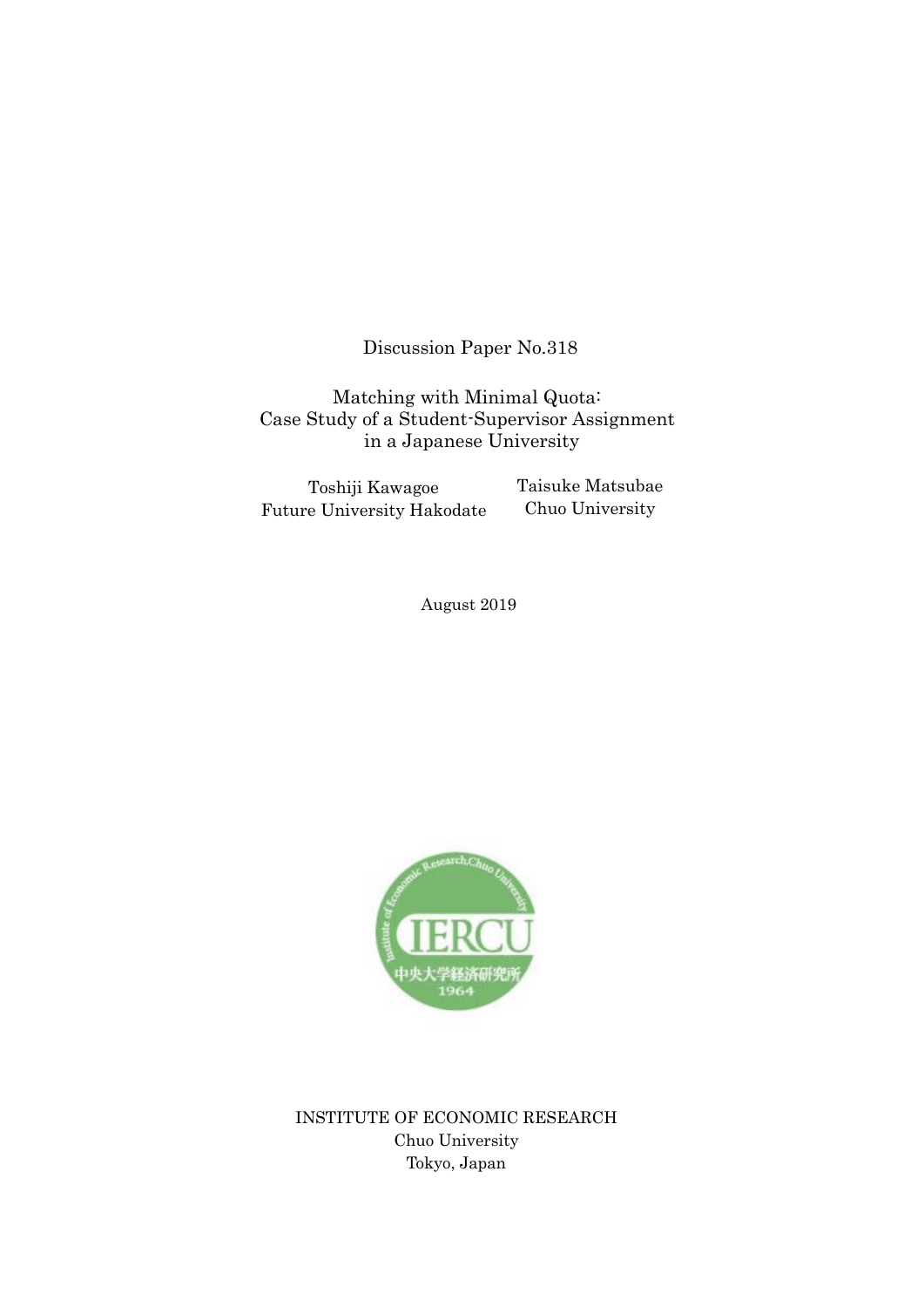Discussion Paper No.318

Matching with Minimal Quota: Case Study of a Student-Supervisor Assignment in a Japanese University

Toshiji Kawagoe Future University Hakodate Taisuke Matsubae Chuo University

August 2019



INSTITUTE OF ECONOMIC RESEARCH Chuo University Tokyo, Japan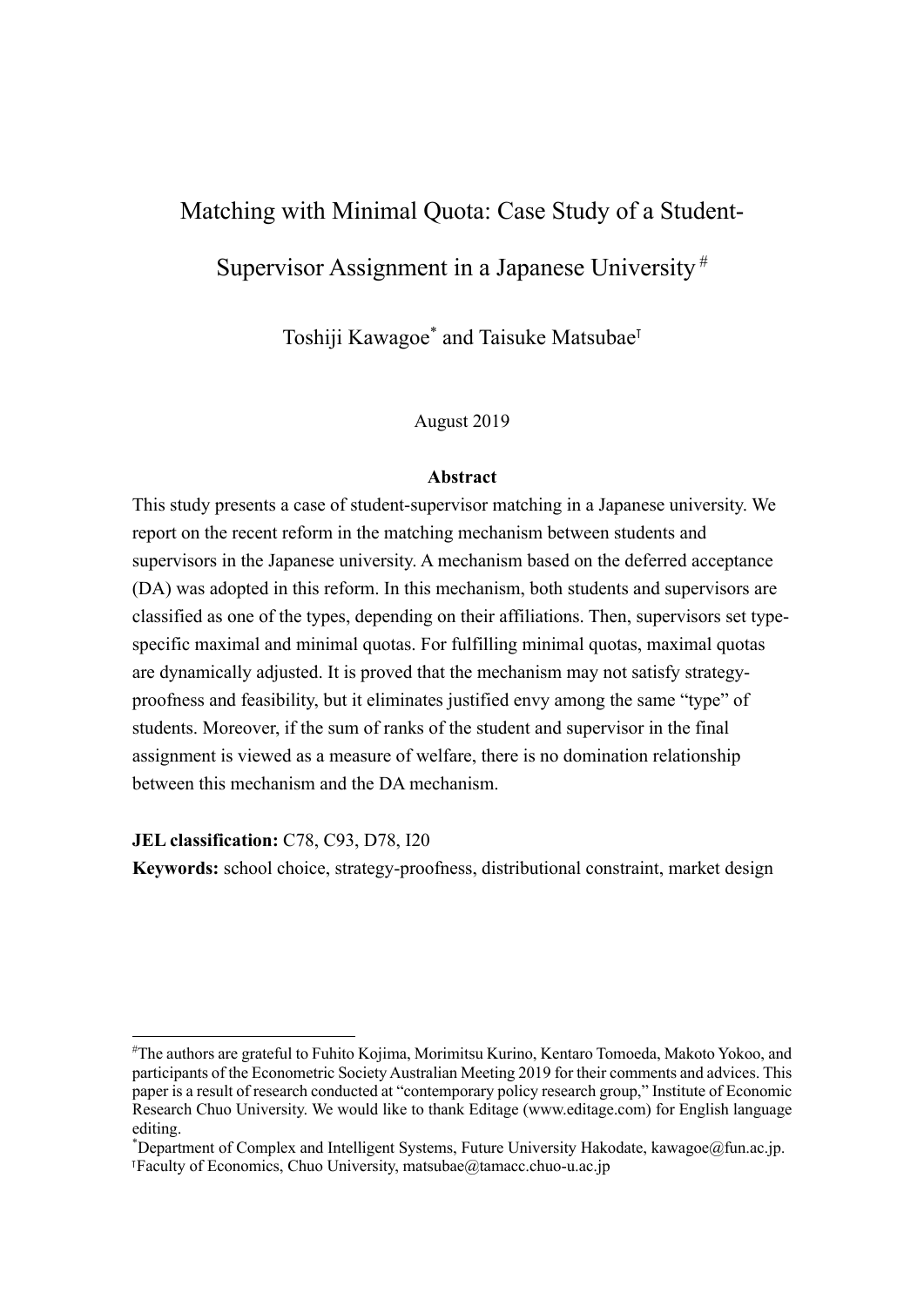# Matching with Minimal Quota: Case Study of a Student-Supervisor Assignment in a Japanese University  $#$

Toshiji Kawagoe<sup>\*</sup> and Taisuke Matsubae<sup>™</sup>

## August 2019

## **Abstract**

This study presents a case of student-supervisor matching in a Japanese university. We report on the recent reform in the matching mechanism between students and supervisors in the Japanese university. A mechanism based on the deferred acceptance (DA) was adopted in this reform. In this mechanism, both students and supervisors are classified as one of the types, depending on their affiliations. Then, supervisors set typespecific maximal and minimal quotas. For fulfilling minimal quotas, maximal quotas are dynamically adjusted. It is proved that the mechanism may not satisfy strategyproofness and feasibility, but it eliminates justified envy among the same "type" of students. Moreover, if the sum of ranks of the student and supervisor in the final assignment is viewed as a measure of welfare, there is no domination relationship between this mechanism and the DA mechanism.

**JEL classification:** C78, C93, D78, I20

**Keywords:** school choice, strategy-proofness, distributional constraint, market design

<sup>#</sup> The authors are grateful to Fuhito Kojima, Morimitsu Kurino, Kentaro Tomoeda, Makoto Yokoo, and participants of the Econometric Society Australian Meeting 2019 for their comments and advices. This paper is a result of research conducted at "contemporary policy research group," Institute of Economic Research Chuo University. We would like to thank Editage (www.editage.com) for English language editing.

<sup>\*</sup> Department of Complex and Intelligent Systems, Future University Hakodate, kawagoe@fun.ac.jp. ⊺Faculty of Economics, Chuo University, matsubae@tamacc.chuo-u.ac.jp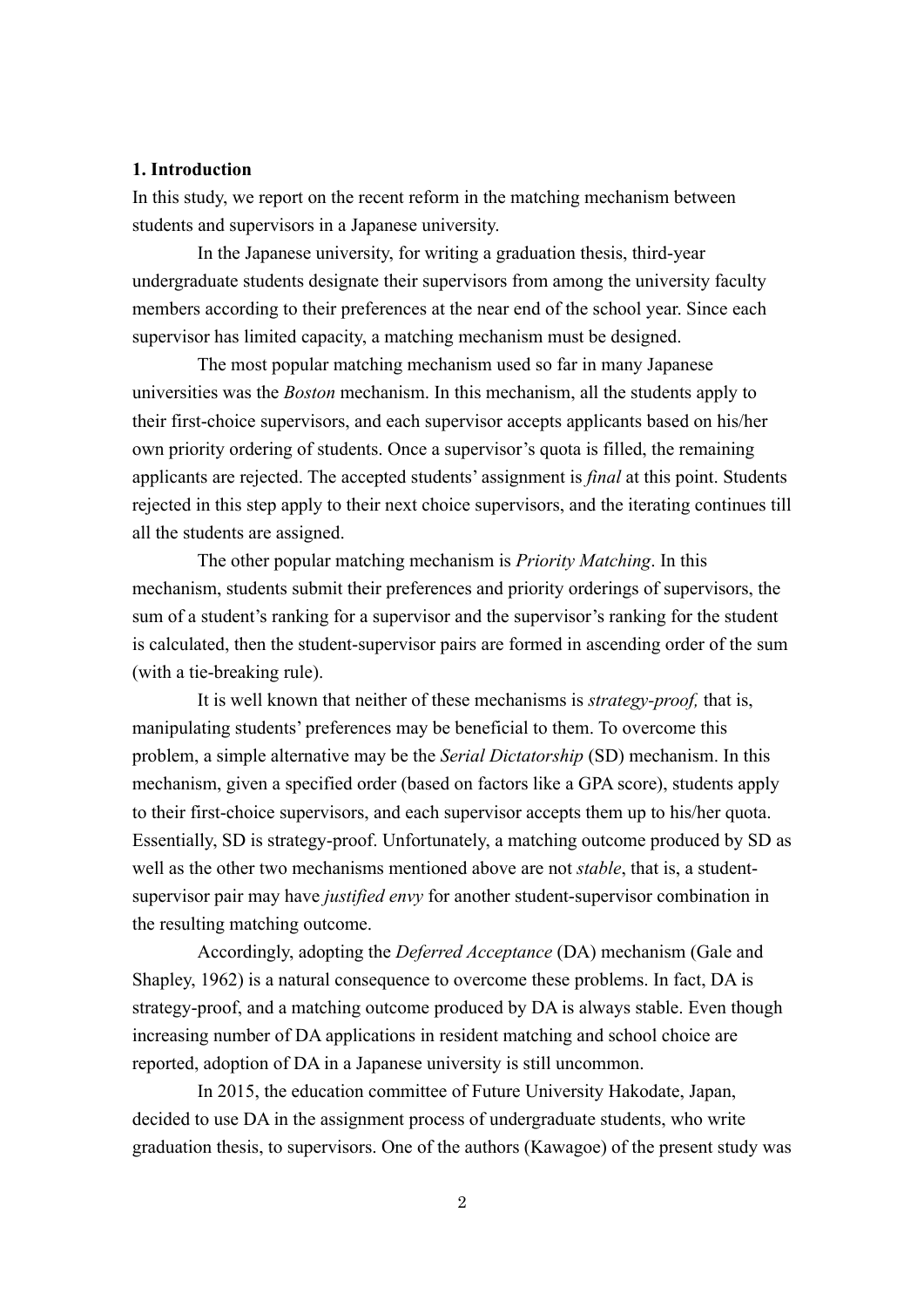## **1. Introduction**

In this study, we report on the recent reform in the matching mechanism between students and supervisors in a Japanese university.

In the Japanese university, for writing a graduation thesis, third-year undergraduate students designate their supervisors from among the university faculty members according to their preferences at the near end of the school year. Since each supervisor has limited capacity, a matching mechanism must be designed.

The most popular matching mechanism used so far in many Japanese universities was the *Boston* mechanism. In this mechanism, all the students apply to their first-choice supervisors, and each supervisor accepts applicants based on his/her own priority ordering of students. Once a supervisor's quota is filled, the remaining applicants are rejected. The accepted students' assignment is *final* at this point. Students rejected in this step apply to their next choice supervisors, and the iterating continues till all the students are assigned.

The other popular matching mechanism is *Priority Matching*. In this mechanism, students submit their preferences and priority orderings of supervisors, the sum of a student's ranking for a supervisor and the supervisor's ranking for the student is calculated, then the student-supervisor pairs are formed in ascending order of the sum (with a tie-breaking rule).

It is well known that neither of these mechanisms is *strategy-proof,* that is, manipulating students' preferences may be beneficial to them. To overcome this problem, a simple alternative may be the *Serial Dictatorship* (SD) mechanism. In this mechanism, given a specified order (based on factors like a GPA score), students apply to their first-choice supervisors, and each supervisor accepts them up to his/her quota. Essentially, SD is strategy-proof. Unfortunately, a matching outcome produced by SD as well as the other two mechanisms mentioned above are not *stable*, that is, a studentsupervisor pair may have *justified envy* for another student-supervisor combination in the resulting matching outcome.

Accordingly, adopting the *Deferred Acceptance* (DA) mechanism (Gale and Shapley, 1962) is a natural consequence to overcome these problems. In fact, DA is strategy-proof, and a matching outcome produced by DA is always stable. Even though increasing number of DA applications in resident matching and school choice are reported, adoption of DA in a Japanese university is still uncommon.

In 2015, the education committee of Future University Hakodate, Japan, decided to use DA in the assignment process of undergraduate students, who write graduation thesis, to supervisors. One of the authors (Kawagoe) of the present study was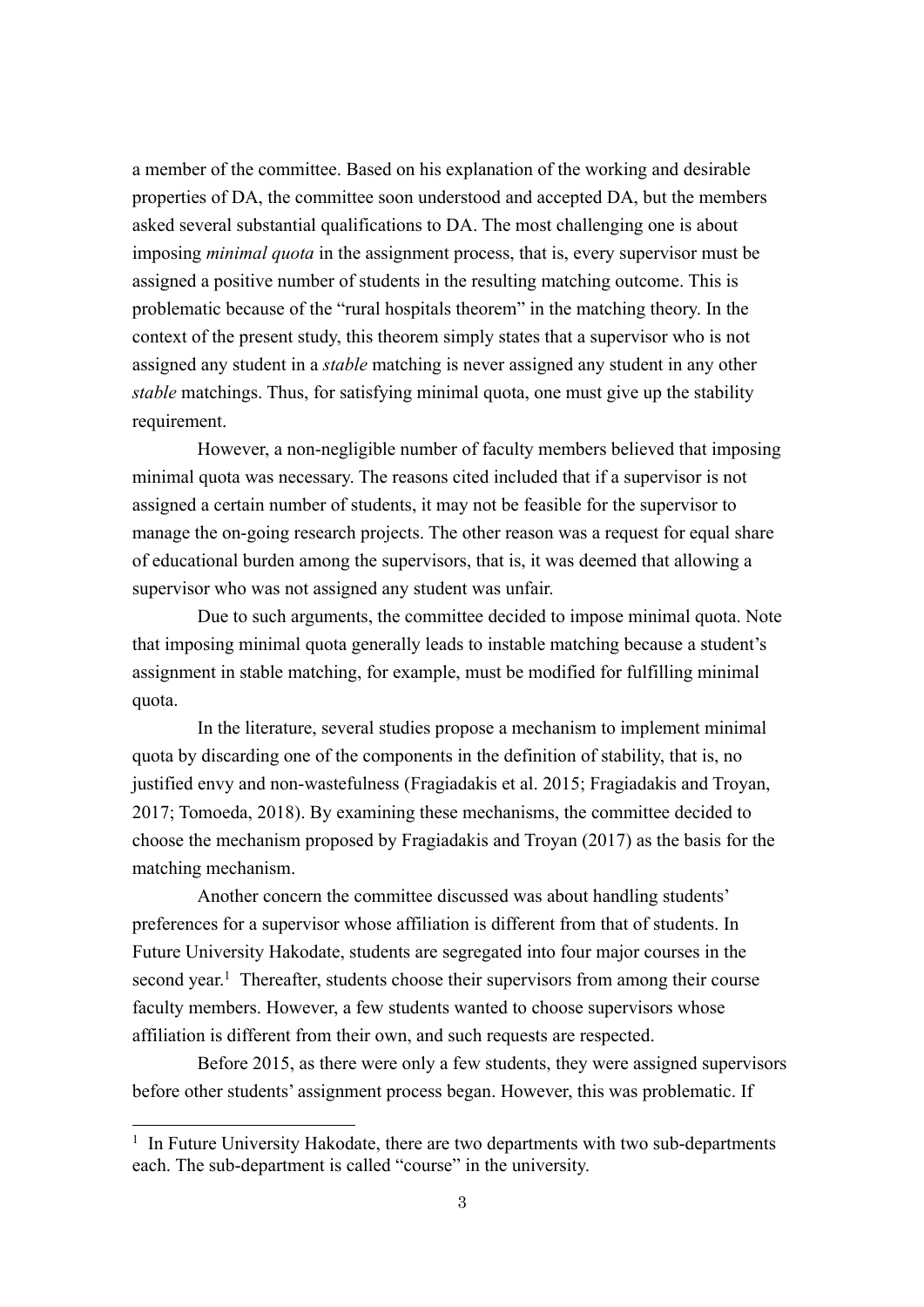a member of the committee. Based on his explanation of the working and desirable properties of DA, the committee soon understood and accepted DA, but the members asked several substantial qualifications to DA. The most challenging one is about imposing *minimal quota* in the assignment process, that is, every supervisor must be assigned a positive number of students in the resulting matching outcome. This is problematic because of the "rural hospitals theorem" in the matching theory. In the context of the present study, this theorem simply states that a supervisor who is not assigned any student in a *stable* matching is never assigned any student in any other *stable* matchings. Thus, for satisfying minimal quota, one must give up the stability requirement.

However, a non-negligible number of faculty members believed that imposing minimal quota was necessary. The reasons cited included that if a supervisor is not assigned a certain number of students, it may not be feasible for the supervisor to manage the on-going research projects. The other reason was a request for equal share of educational burden among the supervisors, that is, it was deemed that allowing a supervisor who was not assigned any student was unfair.

Due to such arguments, the committee decided to impose minimal quota. Note that imposing minimal quota generally leads to instable matching because a student's assignment in stable matching, for example, must be modified for fulfilling minimal quota.

In the literature, several studies propose a mechanism to implement minimal quota by discarding one of the components in the definition of stability, that is, no justified envy and non-wastefulness (Fragiadakis et al. 2015; Fragiadakis and Troyan, 2017; Tomoeda, 2018). By examining these mechanisms, the committee decided to choose the mechanism proposed by Fragiadakis and Troyan (2017) as the basis for the matching mechanism.

Another concern the committee discussed was about handling students' preferences for a supervisor whose affiliation is different from that of students. In Future University Hakodate, students are segregated into four major courses in the second year.<sup>1</sup> Thereafter, students choose their supervisors from among their course faculty members. However, a few students wanted to choose supervisors whose affiliation is different from their own, and such requests are respected.

Before 2015, as there were only a few students, they were assigned supervisors before other students' assignment process began. However, this was problematic. If

 $1$  In Future University Hakodate, there are two departments with two sub-departments each. The sub-department is called "course" in the university.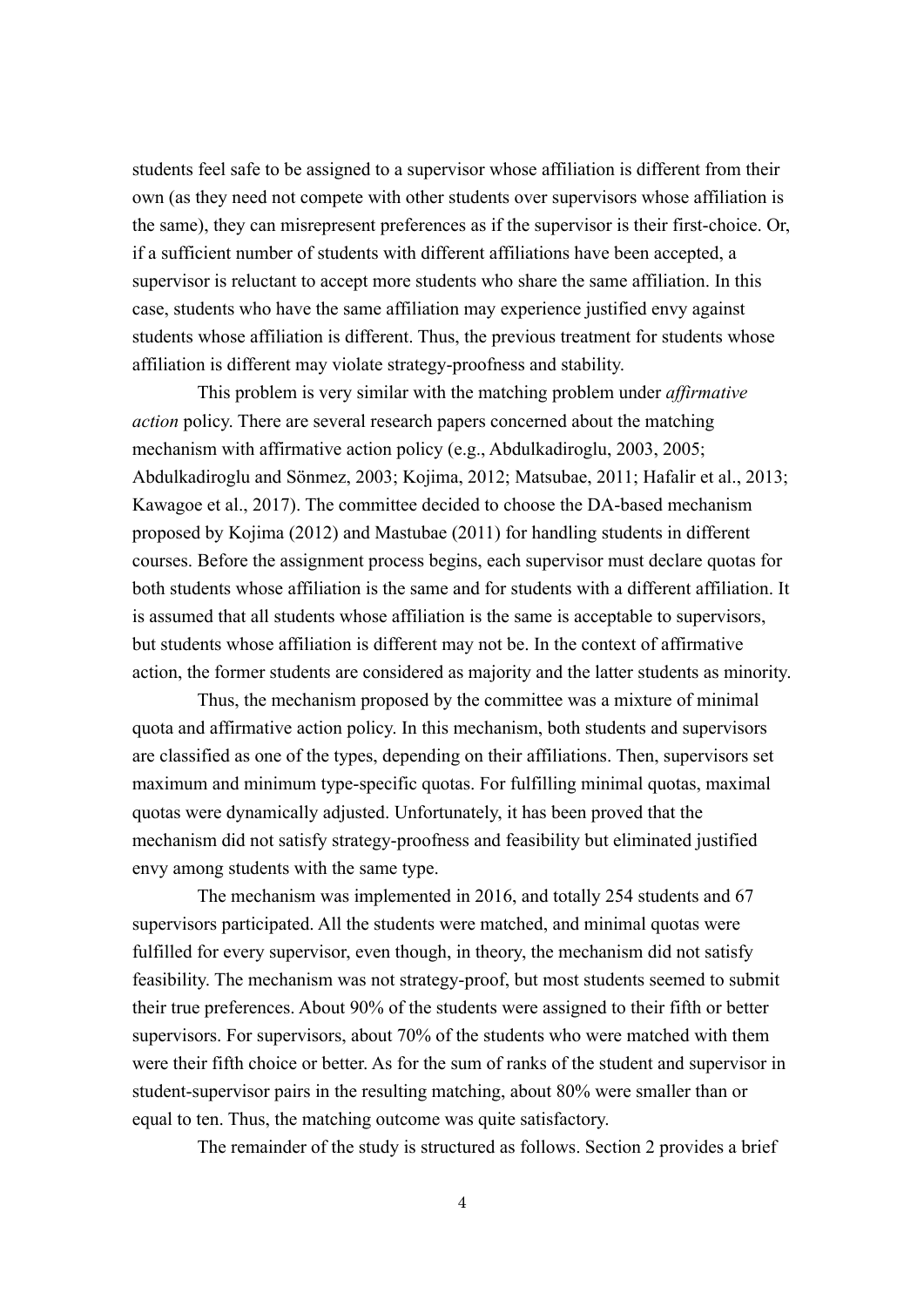students feel safe to be assigned to a supervisor whose affiliation is different from their own (as they need not compete with other students over supervisors whose affiliation is the same), they can misrepresent preferences as if the supervisor is their first-choice. Or, if a sufficient number of students with different affiliations have been accepted, a supervisor is reluctant to accept more students who share the same affiliation. In this case, students who have the same affiliation may experience justified envy against students whose affiliation is different. Thus, the previous treatment for students whose affiliation is different may violate strategy-proofness and stability.

This problem is very similar with the matching problem under *affirmative action* policy. There are several research papers concerned about the matching mechanism with affirmative action policy (e.g., Abdulkadiroglu, 2003, 2005; Abdulkadiroglu and Sönmez, 2003; Kojima, 2012; Matsubae, 2011; Hafalir et al., 2013; Kawagoe et al., 2017). The committee decided to choose the DA-based mechanism proposed by Kojima (2012) and Mastubae (2011) for handling students in different courses. Before the assignment process begins, each supervisor must declare quotas for both students whose affiliation is the same and for students with a different affiliation. It is assumed that all students whose affiliation is the same is acceptable to supervisors, but students whose affiliation is different may not be. In the context of affirmative action, the former students are considered as majority and the latter students as minority.

Thus, the mechanism proposed by the committee was a mixture of minimal quota and affirmative action policy. In this mechanism, both students and supervisors are classified as one of the types, depending on their affiliations. Then, supervisors set maximum and minimum type-specific quotas. For fulfilling minimal quotas, maximal quotas were dynamically adjusted. Unfortunately, it has been proved that the mechanism did not satisfy strategy-proofness and feasibility but eliminated justified envy among students with the same type.

The mechanism was implemented in 2016, and totally 254 students and 67 supervisors participated. All the students were matched, and minimal quotas were fulfilled for every supervisor, even though, in theory, the mechanism did not satisfy feasibility. The mechanism was not strategy-proof, but most students seemed to submit their true preferences. About 90% of the students were assigned to their fifth or better supervisors. For supervisors, about 70% of the students who were matched with them were their fifth choice or better. As for the sum of ranks of the student and supervisor in student-supervisor pairs in the resulting matching, about 80% were smaller than or equal to ten. Thus, the matching outcome was quite satisfactory.

The remainder of the study is structured as follows. Section 2 provides a brief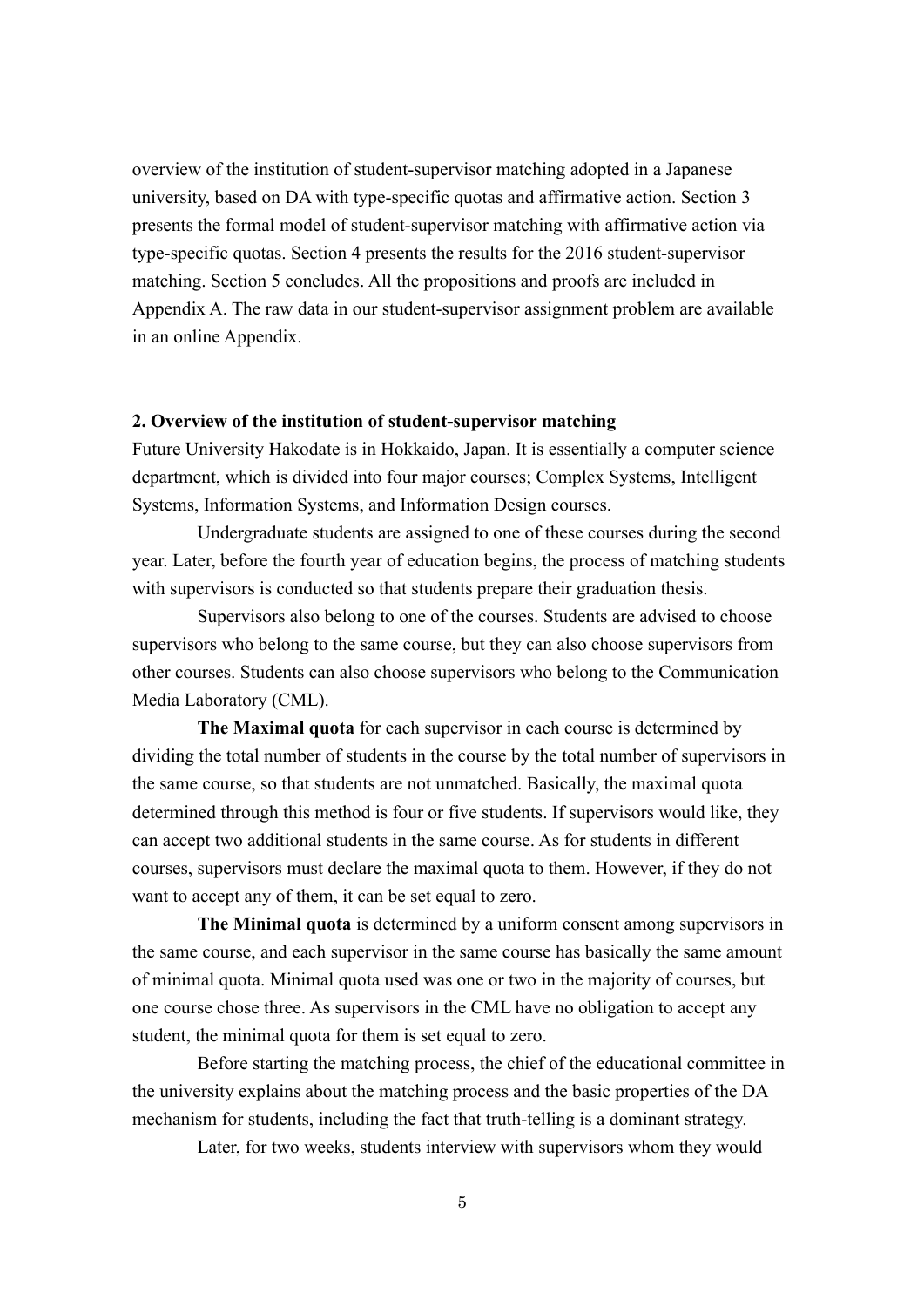overview of the institution of student-supervisor matching adopted in a Japanese university, based on DA with type-specific quotas and affirmative action. Section 3 presents the formal model of student-supervisor matching with affirmative action via type-specific quotas. Section 4 presents the results for the 2016 student-supervisor matching. Section 5 concludes. All the propositions and proofs are included in Appendix A. The raw data in our student-supervisor assignment problem are available in an online Appendix.

## **2. Overview of the institution of student-supervisor matching**

Future University Hakodate is in Hokkaido, Japan. It is essentially a computer science department, which is divided into four major courses; Complex Systems, Intelligent Systems, Information Systems, and Information Design courses.

Undergraduate students are assigned to one of these courses during the second year. Later, before the fourth year of education begins, the process of matching students with supervisors is conducted so that students prepare their graduation thesis.

Supervisors also belong to one of the courses. Students are advised to choose supervisors who belong to the same course, but they can also choose supervisors from other courses. Students can also choose supervisors who belong to the Communication Media Laboratory (CML).

**The Maximal quota** for each supervisor in each course is determined by dividing the total number of students in the course by the total number of supervisors in the same course, so that students are not unmatched. Basically, the maximal quota determined through this method is four or five students. If supervisors would like, they can accept two additional students in the same course. As for students in different courses, supervisors must declare the maximal quota to them. However, if they do not want to accept any of them, it can be set equal to zero.

**The Minimal quota** is determined by a uniform consent among supervisors in the same course, and each supervisor in the same course has basically the same amount of minimal quota. Minimal quota used was one or two in the majority of courses, but one course chose three. As supervisors in the CML have no obligation to accept any student, the minimal quota for them is set equal to zero.

Before starting the matching process, the chief of the educational committee in the university explains about the matching process and the basic properties of the DA mechanism for students, including the fact that truth-telling is a dominant strategy.

Later, for two weeks, students interview with supervisors whom they would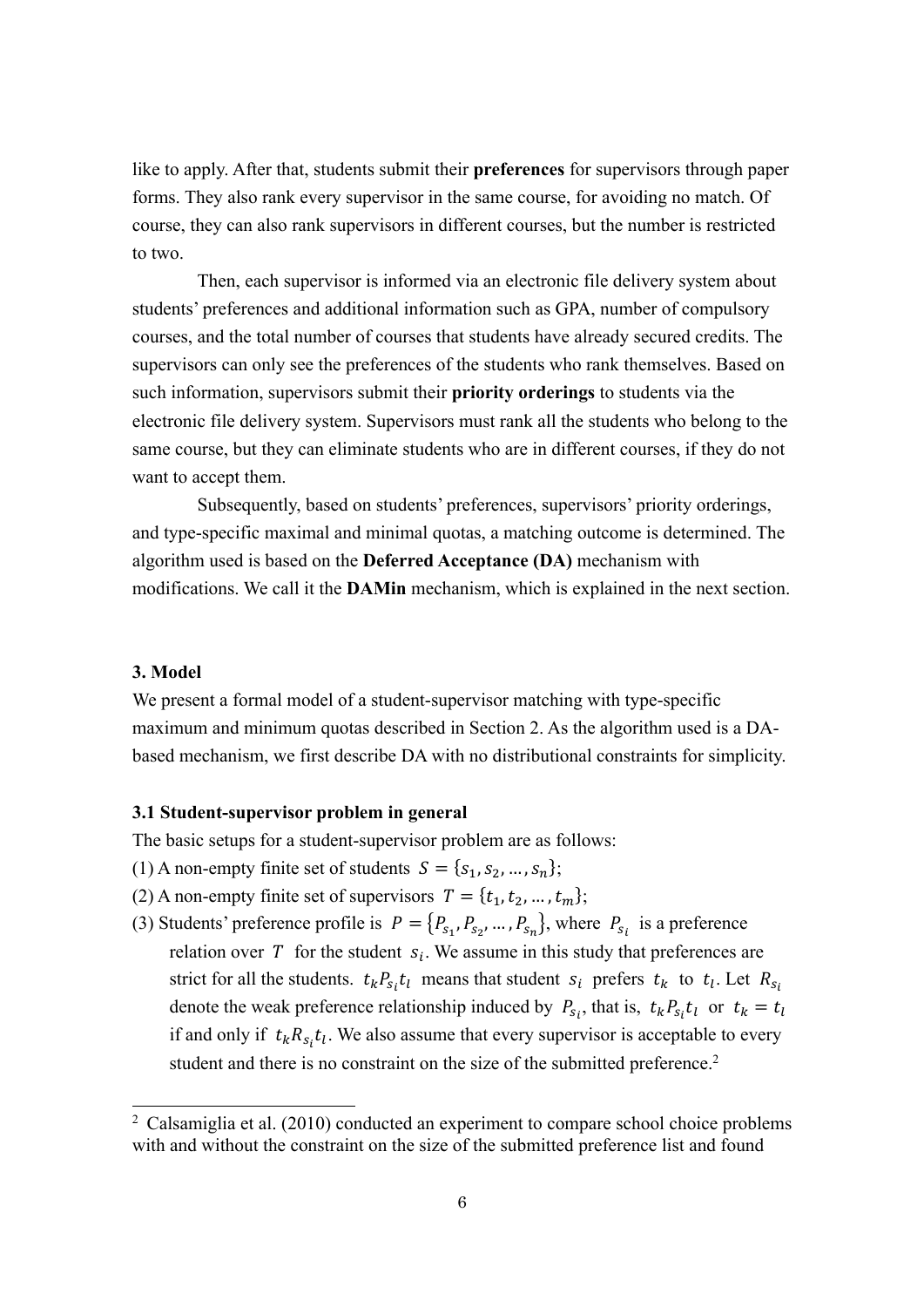like to apply. After that, students submit their **preferences** for supervisors through paper forms. They also rank every supervisor in the same course, for avoiding no match. Of course, they can also rank supervisors in different courses, but the number is restricted to two.

Then, each supervisor is informed via an electronic file delivery system about students' preferences and additional information such as GPA, number of compulsory courses, and the total number of courses that students have already secured credits. The supervisors can only see the preferences of the students who rank themselves. Based on such information, supervisors submit their **priority orderings** to students via the electronic file delivery system. Supervisors must rank all the students who belong to the same course, but they can eliminate students who are in different courses, if they do not want to accept them.

Subsequently, based on students' preferences, supervisors' priority orderings, and type-specific maximal and minimal quotas, a matching outcome is determined. The algorithm used is based on the **Deferred Acceptance (DA)** mechanism with modifications. We call it the **DAMin** mechanism, which is explained in the next section.

# **3. Model**

We present a formal model of a student-supervisor matching with type-specific maximum and minimum quotas described in Section 2. As the algorithm used is a DAbased mechanism, we first describe DA with no distributional constraints for simplicity.

#### **3.1 Student-supervisor problem in general**

The basic setups for a student-supervisor problem are as follows:

- (1) A non-empty finite set of students  $S = \{s_1, s_2, ..., s_n\};$
- (2) A non-empty finite set of supervisors  $T = \{t_1, t_2, ..., t_m\};$
- (3) Students' preference profile is  $P = \{P_{s_1}, P_{s_2}, ..., P_{s_n}\}\$ , where  $P_{s_i}$  is a preference relation over T for the student  $s_i$ . We assume in this study that preferences are strict for all the students.  $t_k P_{s_i} t_l$  means that student  $s_i$  prefers  $t_k$  to  $t_l$ . Let  $R_{s_l}$ denote the weak preference relationship induced by  $P_{s_i}$ , that is,  $t_k P_{s_i} t_l$  or  $t_k = t_l$ if and only if  $t_k R_{s_i} t_l$ . We also assume that every supervisor is acceptable to every student and there is no constraint on the size of the submitted preference.<sup>2</sup>

 $2$  Calsamiglia et al. (2010) conducted an experiment to compare school choice problems with and without the constraint on the size of the submitted preference list and found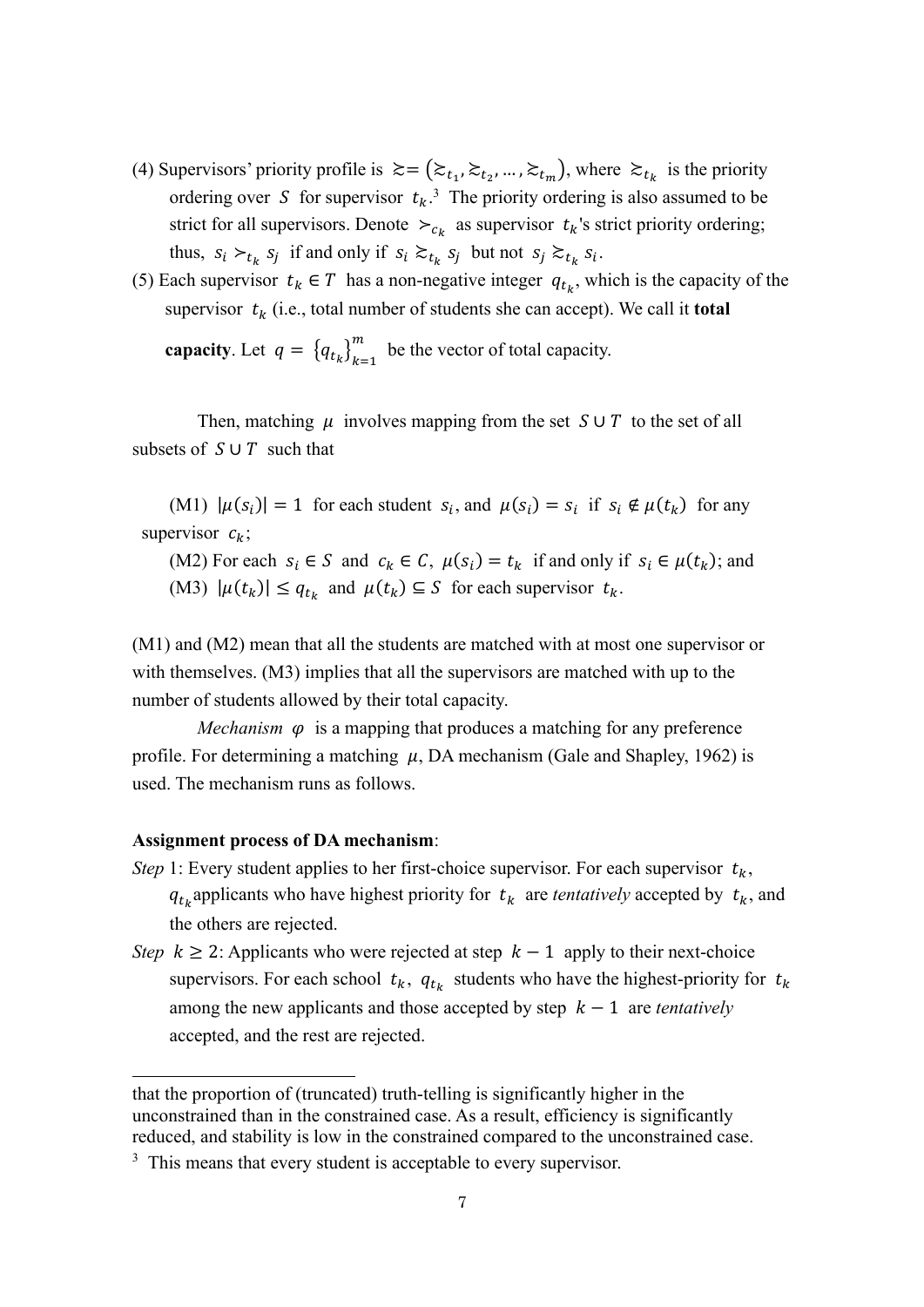- (4) Supervisors' priority profile is  $\gtrsim = (\gtrsim_{t_1}, \gtrsim_{t_2}, ..., \gtrsim_{t_m})$ , where  $\gtrsim_{t_k}$  is the priority ordering over S for supervisor  $t_k$ .<sup>3</sup> The priority ordering is also assumed to be strict for all supervisors. Denote  $\succ_{c_k}$  as supervisor  $t_k$ 's strict priority ordering; thus,  $s_i \succ_{t_k} s_j$  if and only if  $s_i \succ_{t_k} s_j$  but not  $s_j \succ_{t_k} s_i$ .
- (5) Each supervisor  $t_k \in T$  has a non-negative integer  $q_{t_k}$ , which is the capacity of the supervisor  $t_k$  (i.e., total number of students she can accept). We call it **total**

**capacity**. Let  $q = \{q_{t_k}\}_{k=1}^m$  be the vector of total capacity.

Then, matching  $\mu$  involves mapping from the set  $S \cup T$  to the set of all subsets of  $S \cup T$  such that

(M1)  $|\mu(s_i)| = 1$  for each student  $s_i$ , and  $\mu(s_i) = s_i$  if  $s_i \notin \mu(t_k)$  for any supervisor  $c_k$ ;

(M2) For each  $s_i \in S$  and  $c_k \in C$ ,  $\mu(s_i) = t_k$  if and only if  $s_i \in \mu(t_k)$ ; and (M3)  $|\mu(t_k)| \leq q_{t_k}$  and  $\mu(t_k) \subseteq S$  for each supervisor  $t_k$ .

(M1) and (M2) mean that all the students are matched with at most one supervisor or with themselves. (M3) implies that all the supervisors are matched with up to the number of students allowed by their total capacity.

*Mechanism*  $\varphi$  is a mapping that produces a matching for any preference profile. For determining a matching  $\mu$ , DA mechanism (Gale and Shapley, 1962) is used. The mechanism runs as follows.

## **Assignment process of DA mechanism**:

- *Step* 1: Every student applies to her first-choice supervisor. For each supervisor  $t_k$ ,  $q_{t_k}$  applicants who have highest priority for  $t_k$  are *tentatively* accepted by  $t_k$ , and the others are rejected.
- *Step k*  $\geq$  2: Applicants who were rejected at step *k* 1 apply to their next-choice supervisors. For each school  $t_k$ ,  $q_{t_k}$  students who have the highest-priority for  $t_k$ among the new applicants and those accepted by step  $k - 1$  are *tentatively* accepted, and the rest are rejected.

that the proportion of (truncated) truth-telling is significantly higher in the unconstrained than in the constrained case. As a result, efficiency is significantly reduced, and stability is low in the constrained compared to the unconstrained case.

<sup>&</sup>lt;sup>3</sup> This means that every student is acceptable to every supervisor.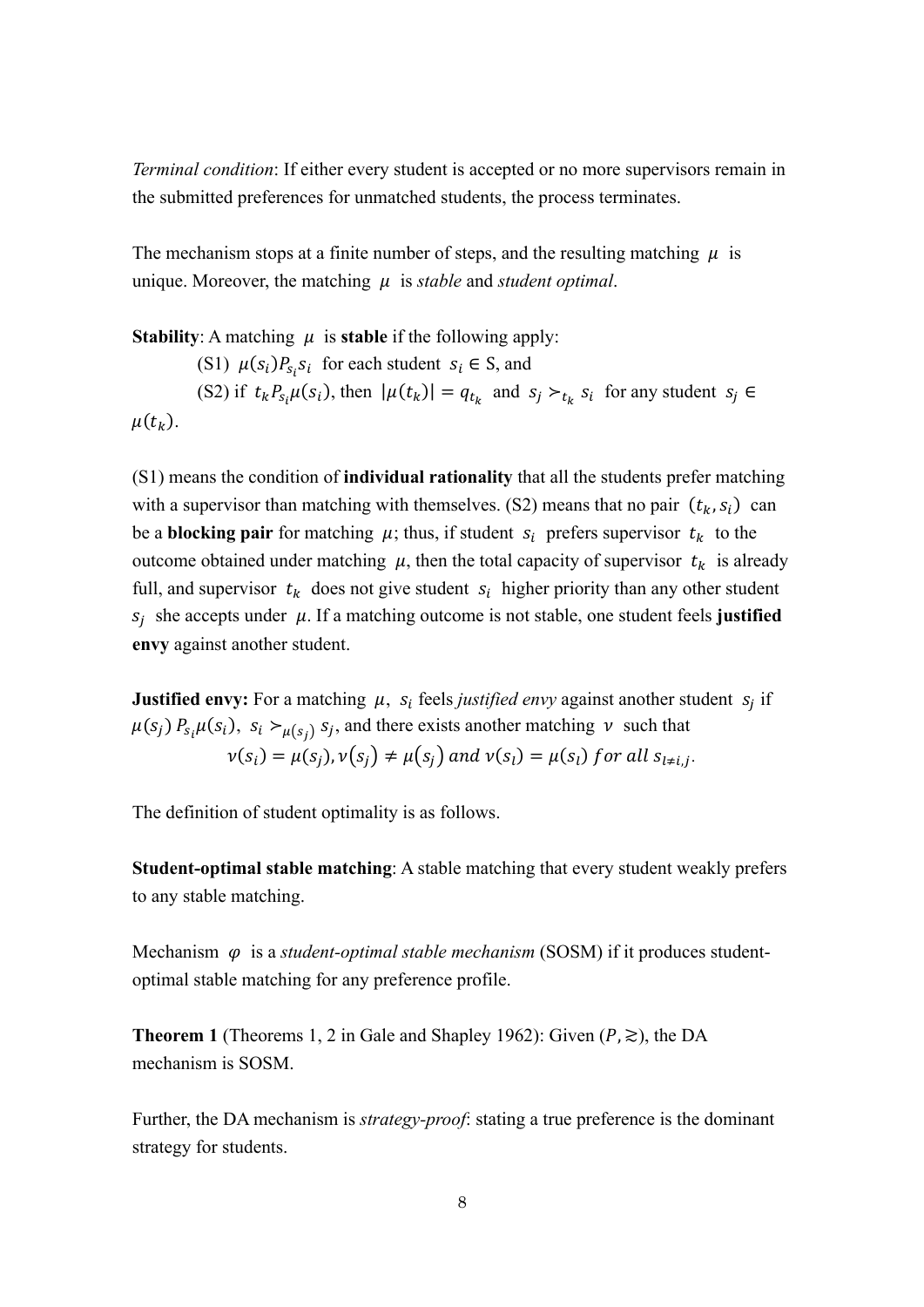*Terminal condition*: If either every student is accepted or no more supervisors remain in the submitted preferences for unmatched students, the process terminates.

The mechanism stops at a finite number of steps, and the resulting matching  $\mu$  is unique. Moreover, the matching  $\mu$  is *stable* and *student optimal*.

**Stability:** A matching  $\mu$  is **stable** if the following apply: (S1)  $\mu(s_i)P_{s_i}s_i$  for each student  $s_i \in S$ , and (S2) if  $t_k P_{s_i} \mu(s_i)$ , then  $|\mu(t_k)| = q_{t_k}$  and  $s_j \succ_{t_k} s_i$  for any student  $s_j \in$  $\mu(t_k)$ .

(S1) means the condition of **individual rationality** that all the students prefer matching with a supervisor than matching with themselves. (S2) means that no pair  $(t_k, s_i)$  can be a **blocking pair** for matching  $\mu$ ; thus, if student  $s_i$  prefers supervisor  $t_k$  to the outcome obtained under matching  $\mu$ , then the total capacity of supervisor  $t_k$  is already full, and supervisor  $t_k$  does not give student  $s_i$  higher priority than any other student  $S_i$  she accepts under  $\mu$ . If a matching outcome is not stable, one student feels **justified envy** against another student.

**Justified envy:** For a matching  $\mu$ ,  $s_i$  feels *justified envy* against another student  $s_i$  if  $\mu(s_j)$   $P_{s_i}\mu(s_i)$ ,  $s_i >_{\mu(s_j)} s_j$ , and there exists another matching  $\nu$  such that  $v(s_i) = \mu(s_i)$ ,  $v(s_i) \neq \mu(s_i)$  and  $v(s_i) = \mu(s_i)$  for all  $s_{i \neq i}$ ;

The definition of student optimality is as follows.

**Student-optimal stable matching**: A stable matching that every student weakly prefers to any stable matching.

Mechanism  $\varphi$  is a *student-optimal stable mechanism* (SOSM) if it produces studentoptimal stable matching for any preference profile.

**Theorem 1** (Theorems 1, 2 in Gale and Shapley 1962): Given  $(P, \ge)$ , the DA mechanism is SOSM.

Further, the DA mechanism is *strategy-proof*: stating a true preference is the dominant strategy for students.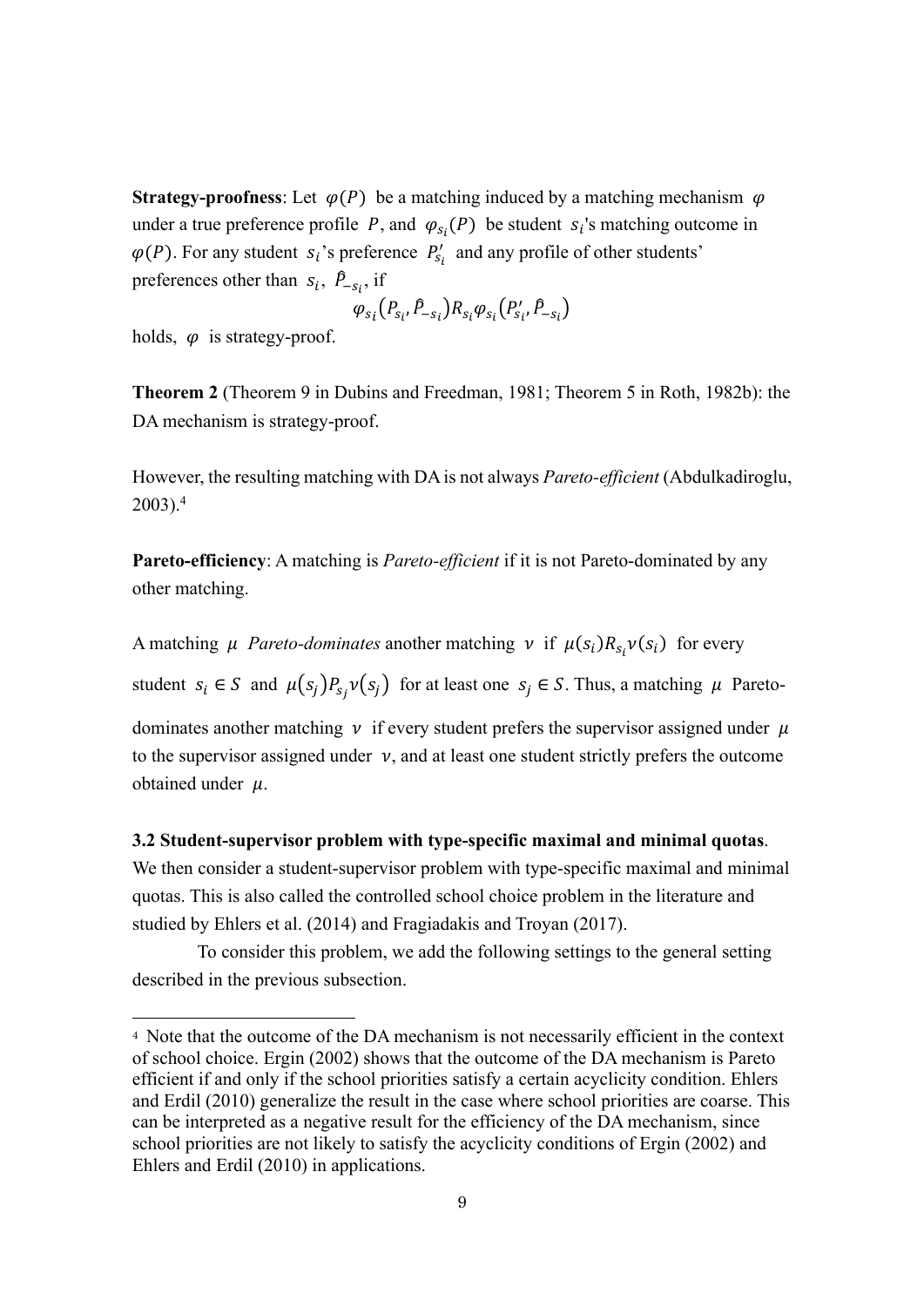**Strategy-proofness:** Let  $\varphi(P)$  be a matching induced by a matching mechanism  $\varphi$ under a true preference profile P, and  $\varphi_{s_i}(P)$  be student  $s_i$ 's matching outcome in  $\varphi(P)$ . For any student  $s_i$ 's preference  $P'_{s_i}$  and any profile of other students' preferences other than  $s_i$ ,  $\hat{P}_{-s_i}$ , if

$$
\varphi_{s_i}(P_{s_i}, \hat{P}_{-s_i}) R_{s_i} \varphi_{s_i}(P'_{s_i}, \hat{P}_{-s_i})
$$

holds,  $\varphi$  is strategy-proof.

**Theorem 2** (Theorem 9 in Dubins and Freedman, 1981; Theorem 5 in Roth, 1982b): the DA mechanism is strategy-proof.

However, the resulting matching with DA is not always *Pareto-efficient* (Abdulkadiroglu, 2003). 4

**Pareto-efficiency**: A matching is *Pareto-efficient* if it is not Pareto-dominated by any other matching.

A matching  $\mu$  *Pareto-dominates* another matching  $\nu$  if  $\mu(s_i)R_{s_i}\nu(s_i)$  for every

student  $s_i \in S$  and  $\mu(s_j)P_{s_j}v(s_j)$  for at least one  $s_j \in S$ . Thus, a matching  $\mu$  Pareto-

dominates another matching  $\nu$  if every student prefers the supervisor assigned under  $\mu$ to the supervisor assigned under  $v$ , and at least one student strictly prefers the outcome obtained under  $\mu$ .

## **3.2 Student-supervisor problem with type-specific maximal and minimal quotas**.

We then consider a student-supervisor problem with type-specific maximal and minimal quotas. This is also called the controlled school choice problem in the literature and studied by Ehlers et al. (2014) and Fragiadakis and Troyan (2017).

To consider this problem, we add the following settings to the general setting described in the previous subsection.

<sup>4</sup> Note that the outcome of the DA mechanism is not necessarily efficient in the context of school choice. Ergin (2002) shows that the outcome of the DA mechanism is Pareto efficient if and only if the school priorities satisfy a certain acyclicity condition. Ehlers and Erdil (2010) generalize the result in the case where school priorities are coarse. This can be interpreted as a negative result for the efficiency of the DA mechanism, since school priorities are not likely to satisfy the acyclicity conditions of Ergin (2002) and Ehlers and Erdil (2010) in applications.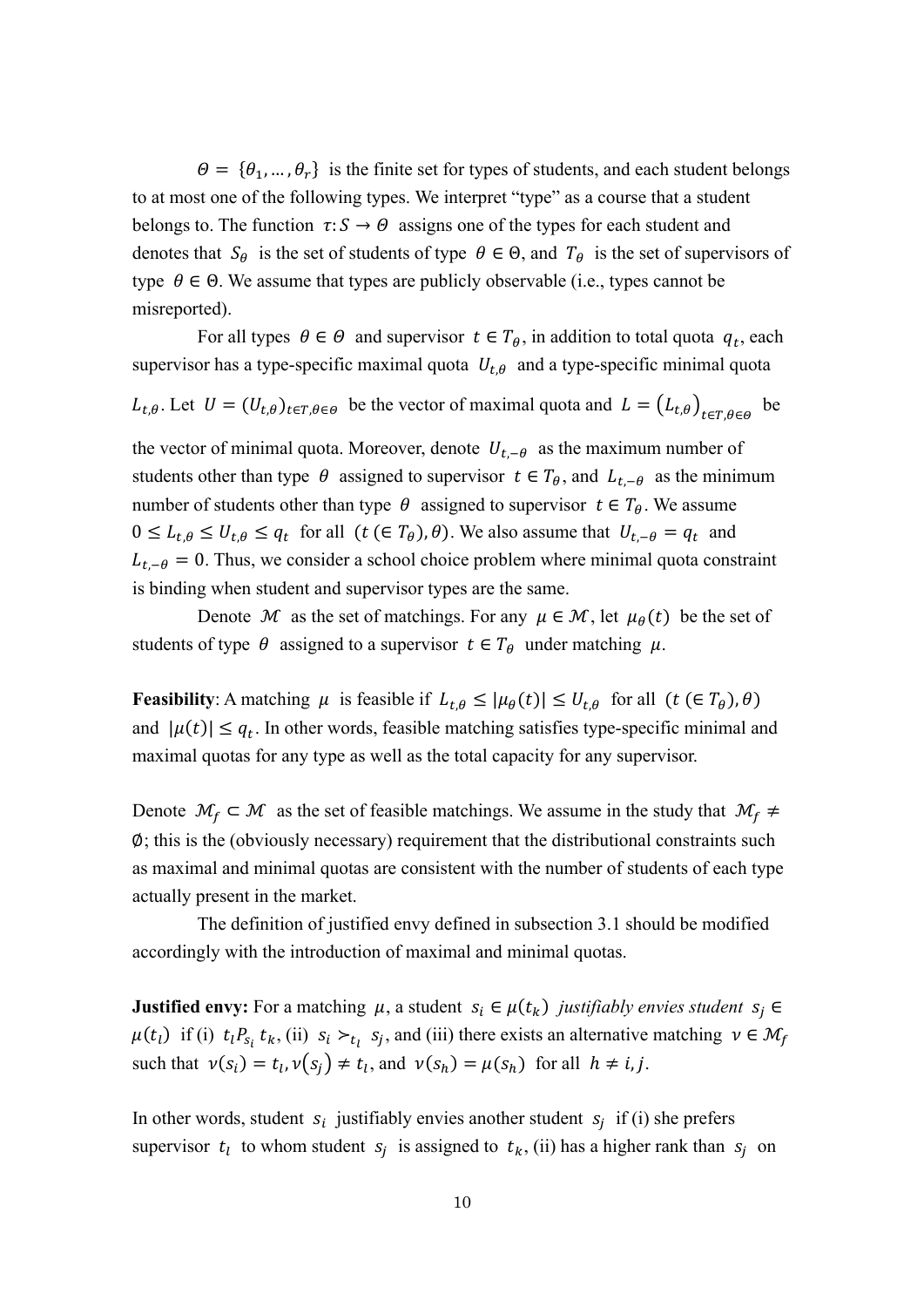$\theta = {\theta_1, ..., \theta_r}$  is the finite set for types of students, and each student belongs to at most one of the following types. We interpret "type" as a course that a student belongs to. The function  $\tau: S \to \Theta$  assigns one of the types for each student and denotes that  $S_{\theta}$  is the set of students of type  $\theta \in \Theta$ , and  $T_{\theta}$  is the set of supervisors of type  $\theta \in \Theta$ . We assume that types are publicly observable (i.e., types cannot be misreported).

For all types  $\theta \in \Theta$  and supervisor  $t \in T_{\theta}$ , in addition to total quota  $q_t$ , each supervisor has a type-specific maximal quota  $U_{t,\theta}$  and a type-specific minimal quota

 $L_{t,\theta}$ . Let  $U = (U_{t,\theta})_{t \in T, \theta \in \Theta}$  be the vector of maximal quota and  $L = (L_{t,\theta})_{t \in T, \theta \in \Theta}$  be

the vector of minimal quota. Moreover, denote  $U_{t,-\theta}$  as the maximum number of students other than type  $\theta$  assigned to supervisor  $t \in T_{\theta}$ , and  $L_{t,-\theta}$  as the minimum number of students other than type  $\theta$  assigned to supervisor  $t \in T_{\theta}$ . We assume  $0 \leq L_{t,\theta} \leq U_{t,\theta} \leq q_t$  for all  $(t \in T_{\theta})$ ,  $\theta$ ). We also assume that  $U_{t-\theta} = q_t$  and  $L_{t,-\theta} = 0$ . Thus, we consider a school choice problem where minimal quota constraint is binding when student and supervisor types are the same.

Denote M as the set of matchings. For any  $\mu \in \mathcal{M}$ , let  $\mu_{\theta}(t)$  be the set of students of type  $\theta$  assigned to a supervisor  $t \in T_\theta$  under matching  $\mu$ .

**Feasibility**: A matching  $\mu$  is feasible if  $L_{t,\theta} \leq |\mu_{\theta}(t)| \leq U_{t,\theta}$  for all  $(t \in T_{\theta})$ ,  $\theta$ ) and  $|\mu(t)| \leq q_t$ . In other words, feasible matching satisfies type-specific minimal and maximal quotas for any type as well as the total capacity for any supervisor.

Denote  $\mathcal{M}_f \subset \mathcal{M}$  as the set of feasible matchings. We assume in the study that  $\mathcal{M}_f \neq$ ∅; this is the (obviously necessary) requirement that the distributional constraints such as maximal and minimal quotas are consistent with the number of students of each type actually present in the market.

The definition of justified envy defined in subsection 3.1 should be modified accordingly with the introduction of maximal and minimal quotas.

**Justified envy:** For a matching  $\mu$ , a student  $s_i \in \mu(t_k)$  *justifiably envies student*  $s_i \in$  $\mu(t_l)$  if (i)  $t_l P_{s_i} t_k$ , (ii)  $s_i \succ_{t_l} s_j$ , and (iii) there exists an alternative matching  $v \in \mathcal{M}_f$ such that  $v(s_i) = t_i$ ,  $v(s_i) \neq t_i$ , and  $v(s_h) = \mu(s_h)$  for all  $h \neq i, j$ .

In other words, student  $s_i$  justifiably envies another student  $s_i$  if (i) she prefers supervisor  $t_l$  to whom student  $s_j$  is assigned to  $t_k$ , (ii) has a higher rank than  $s_j$  on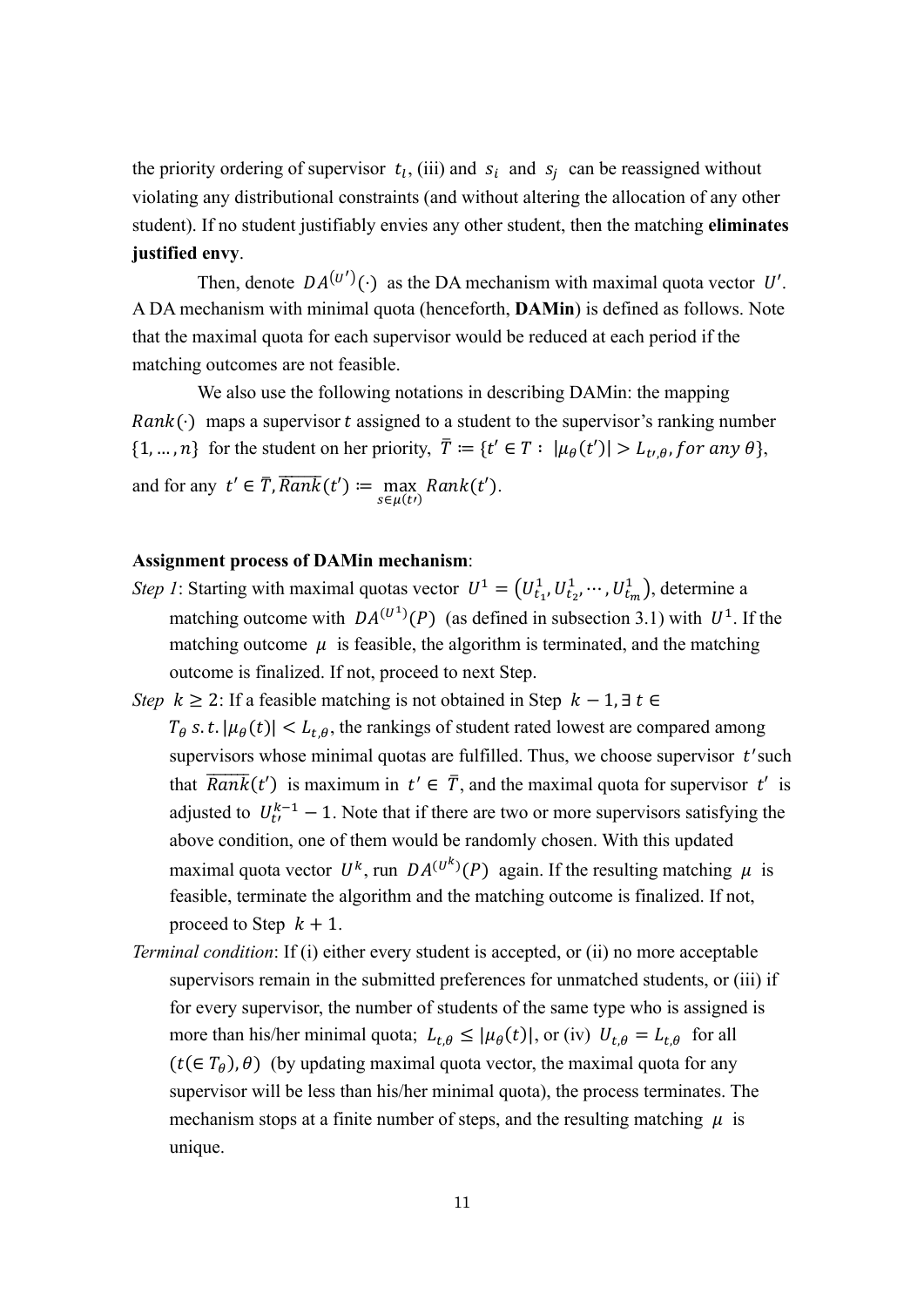the priority ordering of supervisor  $t_i$ , (iii) and  $s_i$  and  $s_j$  can be reassigned without violating any distributional constraints (and without altering the allocation of any other student). If no student justifiably envies any other student, then the matching **eliminates justified envy**.

Then, denote  $DA^{(U')}(\cdot)$  as the DA mechanism with maximal quota vector U'. A DA mechanism with minimal quota (henceforth, **DAMin**) is defined as follows. Note that the maximal quota for each supervisor would be reduced at each period if the matching outcomes are not feasible.

We also use the following notations in describing DAMin: the mapping  $Rank(\cdot)$  maps a supervisor t assigned to a student to the supervisor's ranking number  $\{1, ..., n\}$  for the student on her priority,  $\overline{T} := \{t' \in T : |\mu_{\theta}(t')| > L_{t,\theta},$  for any  $\theta\}$ , and for any  $t' \in \overline{T}$ ,  $\overline{Rank}(t') \coloneqq \max_{s \in \mu(t')} Rank(t').$ 

#### **Assignment process of DAMin mechanism**:

- *Step 1*: Starting with maximal quotas vector  $U^1 = (U_{t_1}^1, U_{t_2}^1, \dots, U_{t_m}^1)$ , determine a matching outcome with  $DA^{(U^1)}(P)$  (as defined in subsection 3.1) with  $U^1$ . If the matching outcome  $\mu$  is feasible, the algorithm is terminated, and the matching outcome is finalized. If not, proceed to next Step.
- *Step k*  $\geq$  2: If a feasible matching is not obtained in Step  $k 1$ ,  $\exists t \in$  $T_{\theta}$  s. t.  $|\mu_{\theta}(t)| < L_{t,\theta}$ , the rankings of student rated lowest are compared among supervisors whose minimal quotas are fulfilled. Thus, we choose supervisor  $t'$  such that  $\overline{Rank}(t')$  is maximum in  $t' \in \overline{T}$ , and the maximal quota for supervisor  $t'$  is adjusted to  $U_{t'}^{k-1} - 1$ . Note that if there are two or more supervisors satisfying the above condition, one of them would be randomly chosen. With this updated maximal quota vector  $U^k$ , run  $DA^{(U^k)}(P)$  again. If the resulting matching  $\mu$  is feasible, terminate the algorithm and the matching outcome is finalized. If not, proceed to Step  $k + 1$ .
- *Terminal condition*: If (i) either every student is accepted, or (ii) no more acceptable supervisors remain in the submitted preferences for unmatched students, or (iii) if for every supervisor, the number of students of the same type who is assigned is more than his/her minimal quota;  $L_{t,\theta} \leq |\mu_{\theta}(t)|$ , or (iv)  $U_{t,\theta} = L_{t,\theta}$  for all  $(t(\in T_\theta), \theta)$  (by updating maximal quota vector, the maximal quota for any supervisor will be less than his/her minimal quota), the process terminates. The mechanism stops at a finite number of steps, and the resulting matching  $\mu$  is unique.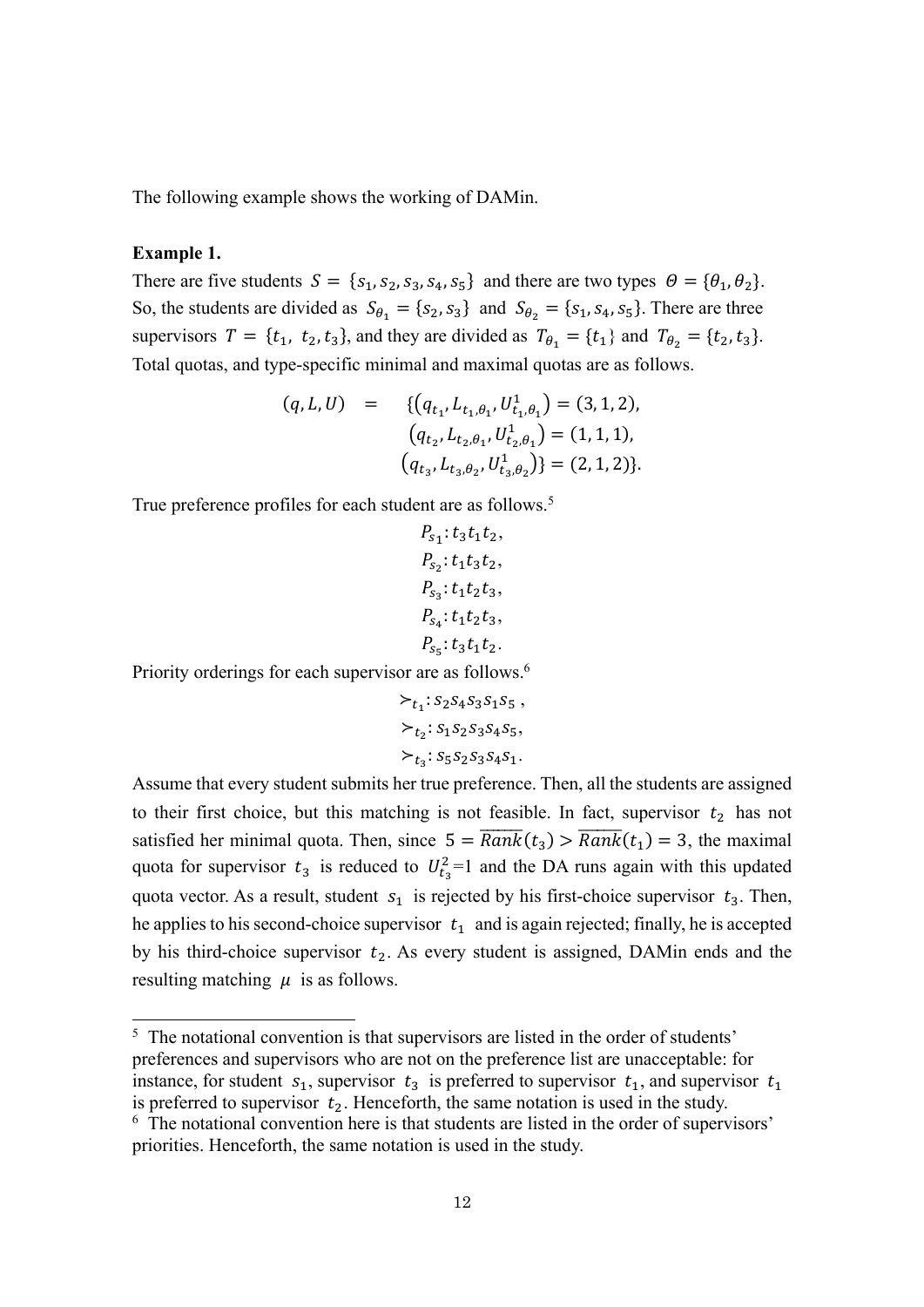The following example shows the working of DAMin.

## **Example 1.**

There are five students  $S = \{s_1, s_2, s_3, s_4, s_5\}$  and there are two types  $\Theta = \{\theta_1, \theta_2\}.$ So, the students are divided as  $S_{\theta_1} = \{s_2, s_3\}$  and  $S_{\theta_2} = \{s_1, s_4, s_5\}$ . There are three supervisors  $T = \{t_1, t_2, t_3\}$ , and they are divided as  $T_{\theta_1} = \{t_1\}$  and  $T_{\theta_2} = \{t_2, t_3\}$ . Total quotas, and type-specific minimal and maximal quotas are as follows.

$$
(q, L, U) = \{ (q_{t_1}, L_{t_1, \theta_1}, U_{t_1, \theta_1}^1) = (3, 1, 2), (q_{t_2}, L_{t_2, \theta_1}, U_{t_2, \theta_1}^1) = (1, 1, 1), (q_{t_3}, L_{t_3, \theta_2}, U_{t_3, \theta_2}^1) \} = (2, 1, 2) \}.
$$

True preference profiles for each student are as follows.<sup>5</sup>

$$
P_{s_1}: t_3t_1t_2,
$$
  
\n
$$
P_{s_2}: t_1t_3t_2,
$$
  
\n
$$
P_{s_3}: t_1t_2t_3,
$$
  
\n
$$
P_{s_4}: t_1t_2t_3,
$$
  
\n
$$
P_{s_5}: t_3t_1t_2.
$$

 $\cdot$ ,  $\cdot$ 

Priority orderings for each supervisor are as follows.<sup>6</sup>

$$
\succ_{t_1}: S_2S_4S_3S_1S_5 ,
$$
  
\n
$$
\succ_{t_2}: S_1S_2S_3S_4S_5,
$$
  
\n
$$
\succ_{t_3}: S_5S_2S_3S_4S_1.
$$

Assume that every student submits her true preference. Then, all the students are assigned to their first choice, but this matching is not feasible. In fact, supervisor  $t_2$  has not satisfied her minimal quota. Then, since  $5 = \overline{Rank}(t_3) > \overline{Rank}(t_1) = 3$ , the maximal quota for supervisor  $t_3$  is reduced to  $U_{t_3}^2 = 1$  and the DA runs again with this updated quota vector. As a result, student  $s_1$  is rejected by his first-choice supervisor  $t_3$ . Then, he applies to his second-choice supervisor  $t_1$  and is again rejected; finally, he is accepted by his third-choice supervisor  $t_2$ . As every student is assigned, DAMin ends and the resulting matching  $\mu$  is as follows.

<sup>&</sup>lt;sup>5</sup> The notational convention is that supervisors are listed in the order of students' preferences and supervisors who are not on the preference list are unacceptable: for instance, for student  $s_1$ , supervisor  $t_3$  is preferred to supervisor  $t_1$ , and supervisor  $t_1$ is preferred to supervisor  $t_2$ . Henceforth, the same notation is used in the study.<br><sup>6</sup> The notational convention here is that students are listed in the order of supervisors'

priorities. Henceforth, the same notation is used in the study.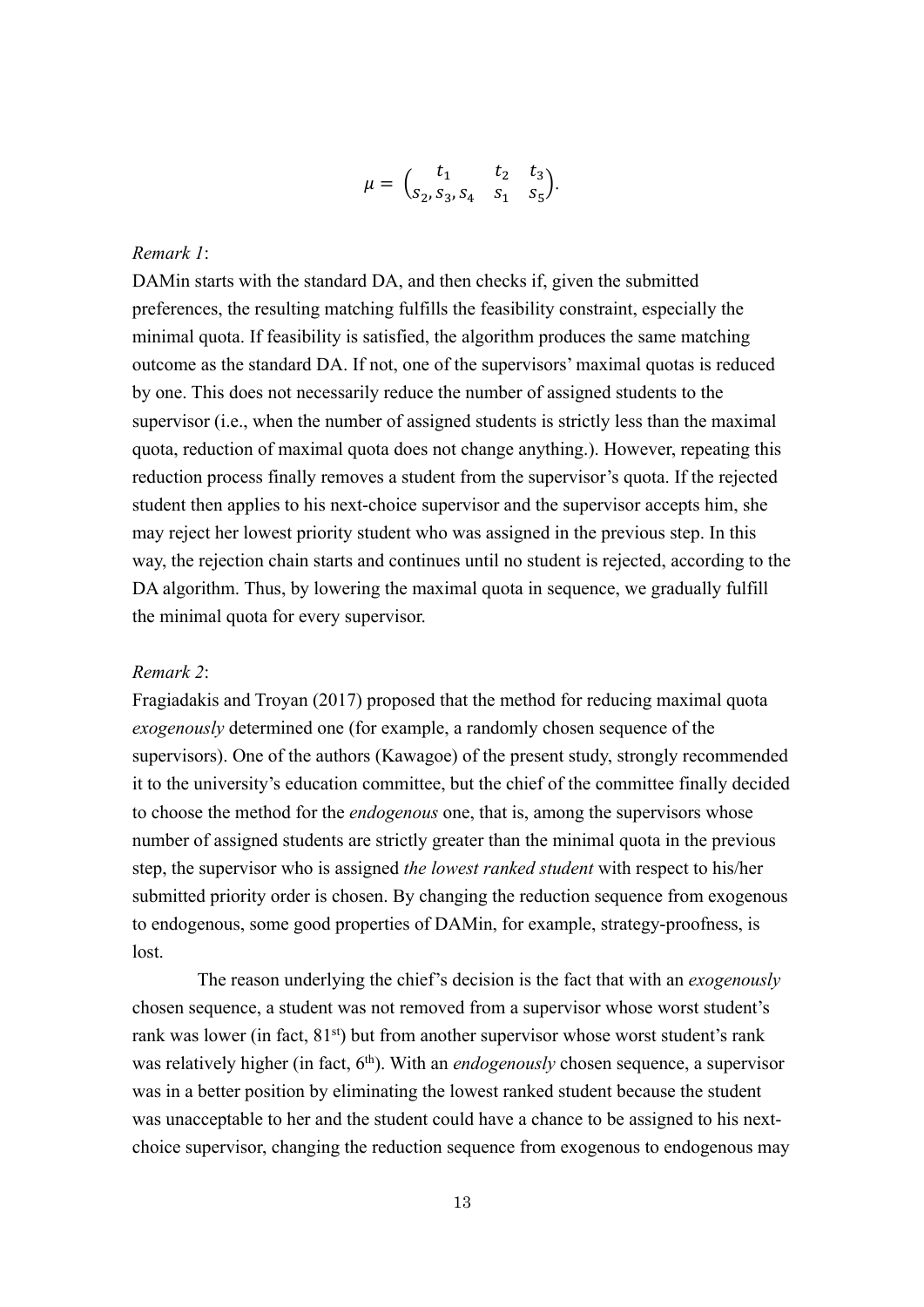$$
\mu = \begin{pmatrix} t_1 & t_2 & t_3 \\ s_2, s_3, s_4 & s_1 & s_5 \end{pmatrix}.
$$

# *Remark 1*:

DAMin starts with the standard DA, and then checks if, given the submitted preferences, the resulting matching fulfills the feasibility constraint, especially the minimal quota. If feasibility is satisfied, the algorithm produces the same matching outcome as the standard DA. If not, one of the supervisors' maximal quotas is reduced by one. This does not necessarily reduce the number of assigned students to the supervisor (i.e., when the number of assigned students is strictly less than the maximal quota, reduction of maximal quota does not change anything.). However, repeating this reduction process finally removes a student from the supervisor's quota. If the rejected student then applies to his next-choice supervisor and the supervisor accepts him, she may reject her lowest priority student who was assigned in the previous step. In this way, the rejection chain starts and continues until no student is rejected, according to the DA algorithm. Thus, by lowering the maximal quota in sequence, we gradually fulfill the minimal quota for every supervisor.

## *Remark 2*:

Fragiadakis and Troyan (2017) proposed that the method for reducing maximal quota *exogenously* determined one (for example, a randomly chosen sequence of the supervisors). One of the authors (Kawagoe) of the present study, strongly recommended it to the university's education committee, but the chief of the committee finally decided to choose the method for the *endogenous* one, that is, among the supervisors whose number of assigned students are strictly greater than the minimal quota in the previous step, the supervisor who is assigned *the lowest ranked student* with respect to his/her submitted priority order is chosen. By changing the reduction sequence from exogenous to endogenous, some good properties of DAMin, for example, strategy-proofness, is lost.

The reason underlying the chief's decision is the fact that with an *exogenously* chosen sequence, a student was not removed from a supervisor whose worst student's rank was lower (in fact,  $81<sup>st</sup>$ ) but from another supervisor whose worst student's rank was relatively higher (in fact, 6<sup>th</sup>). With an *endogenously* chosen sequence, a supervisor was in a better position by eliminating the lowest ranked student because the student was unacceptable to her and the student could have a chance to be assigned to his nextchoice supervisor, changing the reduction sequence from exogenous to endogenous may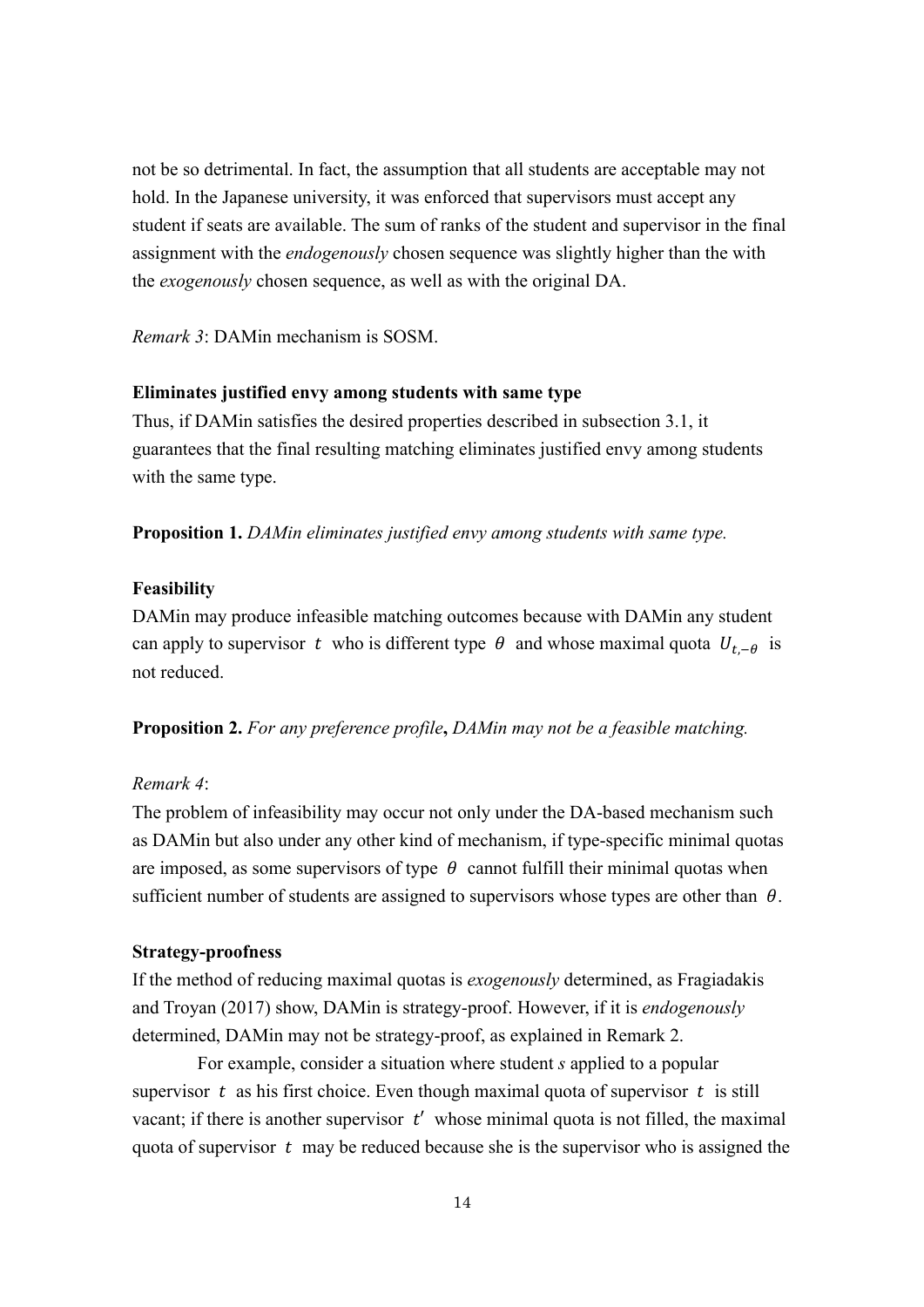not be so detrimental. In fact, the assumption that all students are acceptable may not hold. In the Japanese university, it was enforced that supervisors must accept any student if seats are available. The sum of ranks of the student and supervisor in the final assignment with the *endogenously* chosen sequence was slightly higher than the with the *exogenously* chosen sequence, as well as with the original DA.

*Remark 3*: DAMin mechanism is SOSM.

## **Eliminates justified envy among students with same type**

Thus, if DAMin satisfies the desired properties described in subsection 3.1, it guarantees that the final resulting matching eliminates justified envy among students with the same type.

**Proposition 1.** *DAMin eliminates justified envy among students with same type.* 

#### **Feasibility**

DAMin may produce infeasible matching outcomes because with DAMin any student can apply to supervisor t who is different type  $\theta$  and whose maximal quota  $U_{t,-\theta}$  is not reduced.

**Proposition 2.** *For any preference profile***,** *DAMin may not be a feasible matching.* 

## *Remark 4*:

The problem of infeasibility may occur not only under the DA-based mechanism such as DAMin but also under any other kind of mechanism, if type-specific minimal quotas are imposed, as some supervisors of type  $\theta$  cannot fulfill their minimal quotas when sufficient number of students are assigned to supervisors whose types are other than  $\theta$ .

## **Strategy-proofness**

If the method of reducing maximal quotas is *exogenously* determined, as Fragiadakis and Troyan (2017) show, DAMin is strategy-proof. However, if it is *endogenously*  determined, DAMin may not be strategy-proof, as explained in Remark 2.

For example, consider a situation where student *s* applied to a popular supervisor  $t$  as his first choice. Even though maximal quota of supervisor  $t$  is still vacant; if there is another supervisor  $t'$  whose minimal quota is not filled, the maximal quota of supervisor  $t$  may be reduced because she is the supervisor who is assigned the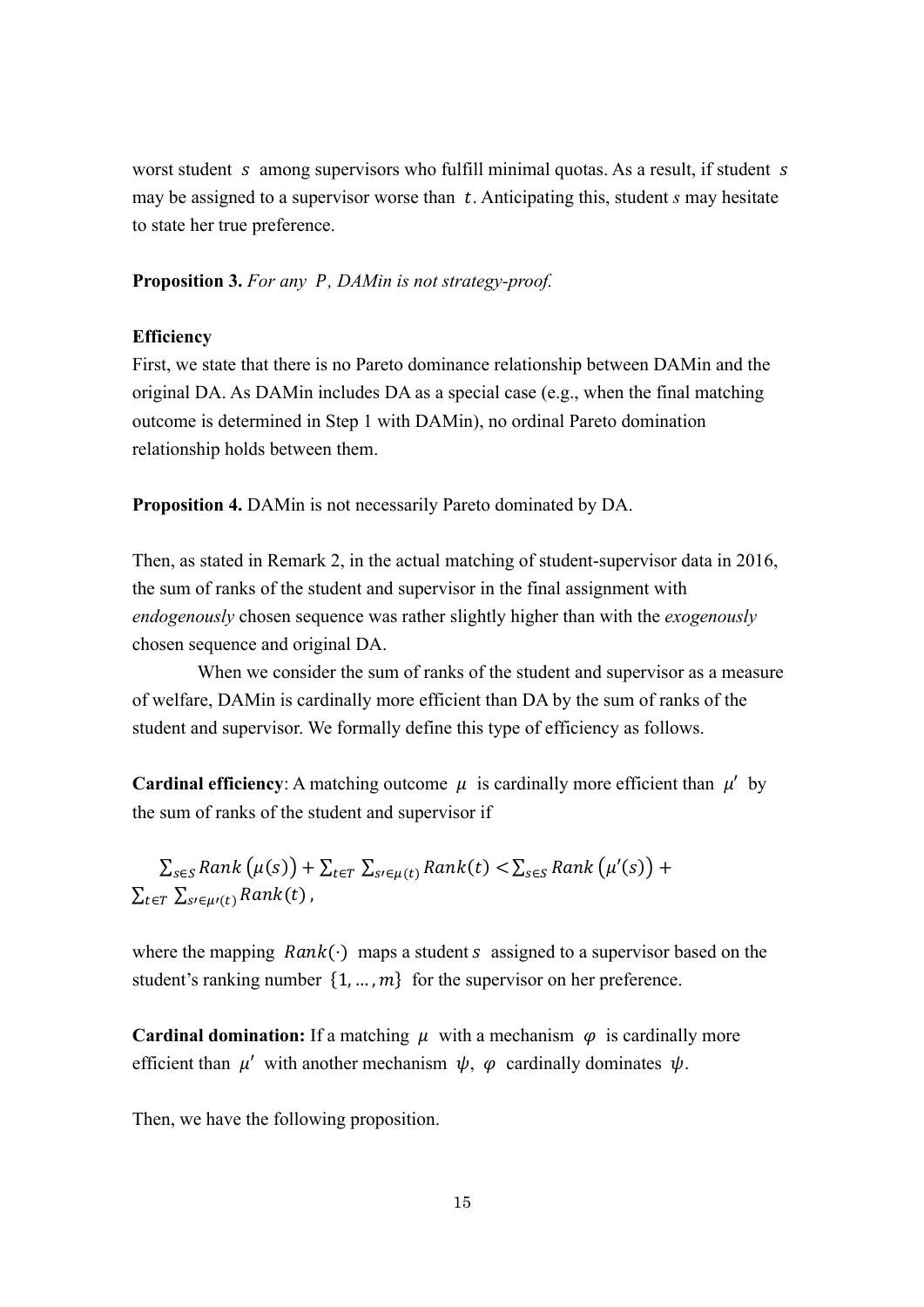worst student  $s$  among supervisors who fulfill minimal quotas. As a result, if student  $s$ may be assigned to a supervisor worse than t. Anticipating this, student *s* may hesitate to state her true preference.

**Proposition 3.** *For any , DAMin is not strategy-proof.*

## **Efficiency**

First, we state that there is no Pareto dominance relationship between DAMin and the original DA. As DAMin includes DA as a special case (e.g., when the final matching outcome is determined in Step 1 with DAMin), no ordinal Pareto domination relationship holds between them.

**Proposition 4.** DAMin is not necessarily Pareto dominated by DA.

Then, as stated in Remark 2, in the actual matching of student-supervisor data in 2016, the sum of ranks of the student and supervisor in the final assignment with *endogenously* chosen sequence was rather slightly higher than with the *exogenously* chosen sequence and original DA.

When we consider the sum of ranks of the student and supervisor as a measure of welfare, DAMin is cardinally more efficient than DA by the sum of ranks of the student and supervisor. We formally define this type of efficiency as follows.

**Cardinal efficiency**: A matching outcome  $\mu$  is cardinally more efficient than  $\mu'$  by the sum of ranks of the student and supervisor if

 $\sum_{s\in S} Rank(\mu(s)) + \sum_{t\in T} \sum_{s\in \mu(t)} Rank(t) < \sum_{s\in S} Rank(\mu'(s)) +$  $\sum_{t \in T} \sum_{s \in u(t)} Rank(t)$ ,

where the mapping  $Rank(\cdot)$  maps a student s assigned to a supervisor based on the student's ranking number  $\{1, ..., m\}$  for the supervisor on her preference.

**Cardinal domination:** If a matching  $\mu$  with a mechanism  $\varphi$  is cardinally more efficient than  $\mu'$  with another mechanism  $\psi$ ,  $\varphi$  cardinally dominates  $\psi$ .

Then, we have the following proposition.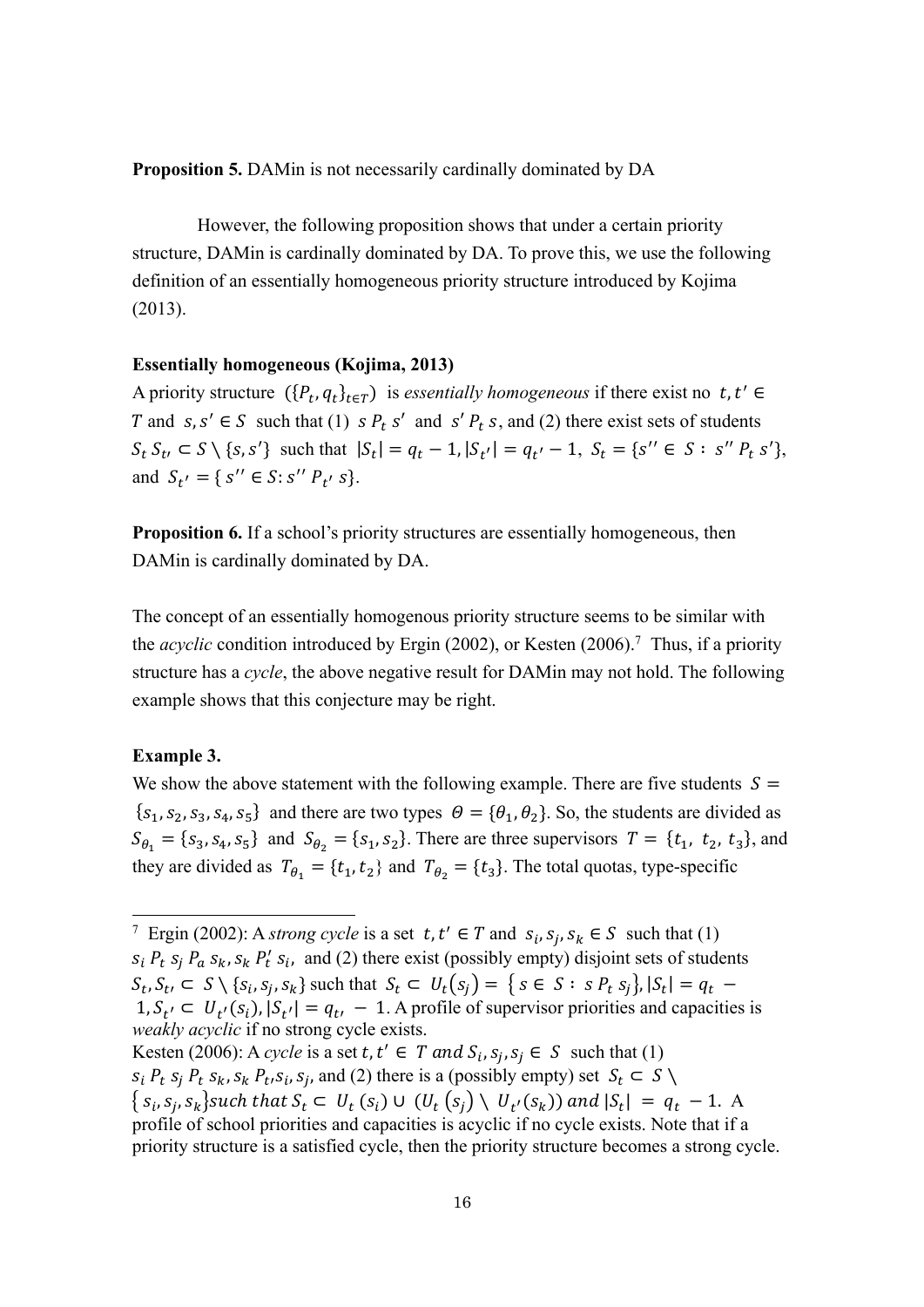**Proposition 5.** DAMin is not necessarily cardinally dominated by DA

However, the following proposition shows that under a certain priority structure, DAMin is cardinally dominated by DA. To prove this, we use the following definition of an essentially homogeneous priority structure introduced by Kojima (2013).

## **Essentially homogeneous (Kojima, 2013)**

A priority structure  $({P_t, q_t}_{t \in T})$  is *essentially homogeneous* if there exist no t, t' ∈ T and  $s, s' \in S$  such that (1)  $s P_t s'$  and  $s' P_t s$ , and (2) there exist sets of students  $S_t S_{t'} \subset S \setminus \{s, s'\}$  such that  $|S_t| = q_t - 1$ ,  $|S_{t'}| = q_{t'} - 1$ ,  $S_t = \{s'' \in S : s'' P_t s'\},$ and  $S_{t'} = \{ s'' \in S : s'' P_{t'} s \}.$ 

**Proposition 6.** If a school's priority structures are essentially homogeneous, then DAMin is cardinally dominated by DA.

The concept of an essentially homogenous priority structure seems to be similar with the *acyclic* condition introduced by Ergin (2002), or Kesten (2006).7 Thus, if a priority structure has a *cycle*, the above negative result for DAMin may not hold. The following example shows that this conjecture may be right.

## **Example 3.**

We show the above statement with the following example. There are five students  $S =$  ${s<sub>1</sub>, s<sub>2</sub>, s<sub>3</sub>, s<sub>4</sub>, s<sub>5</sub>}$  and there are two types  $\theta = {\theta<sub>1</sub>, \theta<sub>2</sub>}$ . So, the students are divided as  $S_{\theta_1} = \{s_3, s_4, s_5\}$  and  $S_{\theta_2} = \{s_1, s_2\}$ . There are three supervisors  $T = \{t_1, t_2, t_3\}$ , and they are divided as  $T_{\theta_1} = \{t_1, t_2\}$  and  $T_{\theta_2} = \{t_3\}$ . The total quotas, type-specific

<sup>&</sup>lt;sup>7</sup> Ergin (2002): A *strong cycle* is a set  $t, t' \in T$  and  $s_i, s_j, s_k \in S$  such that (1)  $s_i$   $P_t$   $s_j$   $P_a$   $s_k$ ,  $s_k$   $P'_t$   $s_i$ , and (2) there exist (possibly empty) disjoint sets of students  $S_t$ ,  $S_t$ ,  $\subset S \setminus \{s_i, s_j, s_k\}$  such that  $S_t \subset U_t(s_i) = \{s \in S : s P_t s_j\}$ ,  $|S_t| = q_t$  $1, S_{t'} \subset U_{t'}(s_i), |S_{t'}| = q_{t'} - 1$ . A profile of supervisor priorities and capacities is *weakly acyclic* if no strong cycle exists.

Kesten (2006): A *cycle* is a set  $t, t' \in T$  and  $S_i, S_i, S_i \in S$  such that (1)  $s_i$   $P_t$   $s_i$   $P_t$   $s_k$ ,  $s_k$   $P_t$ ,  $s_i$ ,  $s_j$ , and (2) there is a (possibly empty) set  $S_t \subset S \setminus$  $\{s_i, s_j, s_k\}$ such that  $S_t \subset U_t$   $(s_i) \cup (U_t (s_j) \setminus U_{t'}(s_k))$  and  $|S_t| = q_t - 1$ . A profile of school priorities and capacities is acyclic if no cycle exists. Note that if a priority structure is a satisfied cycle, then the priority structure becomes a strong cycle.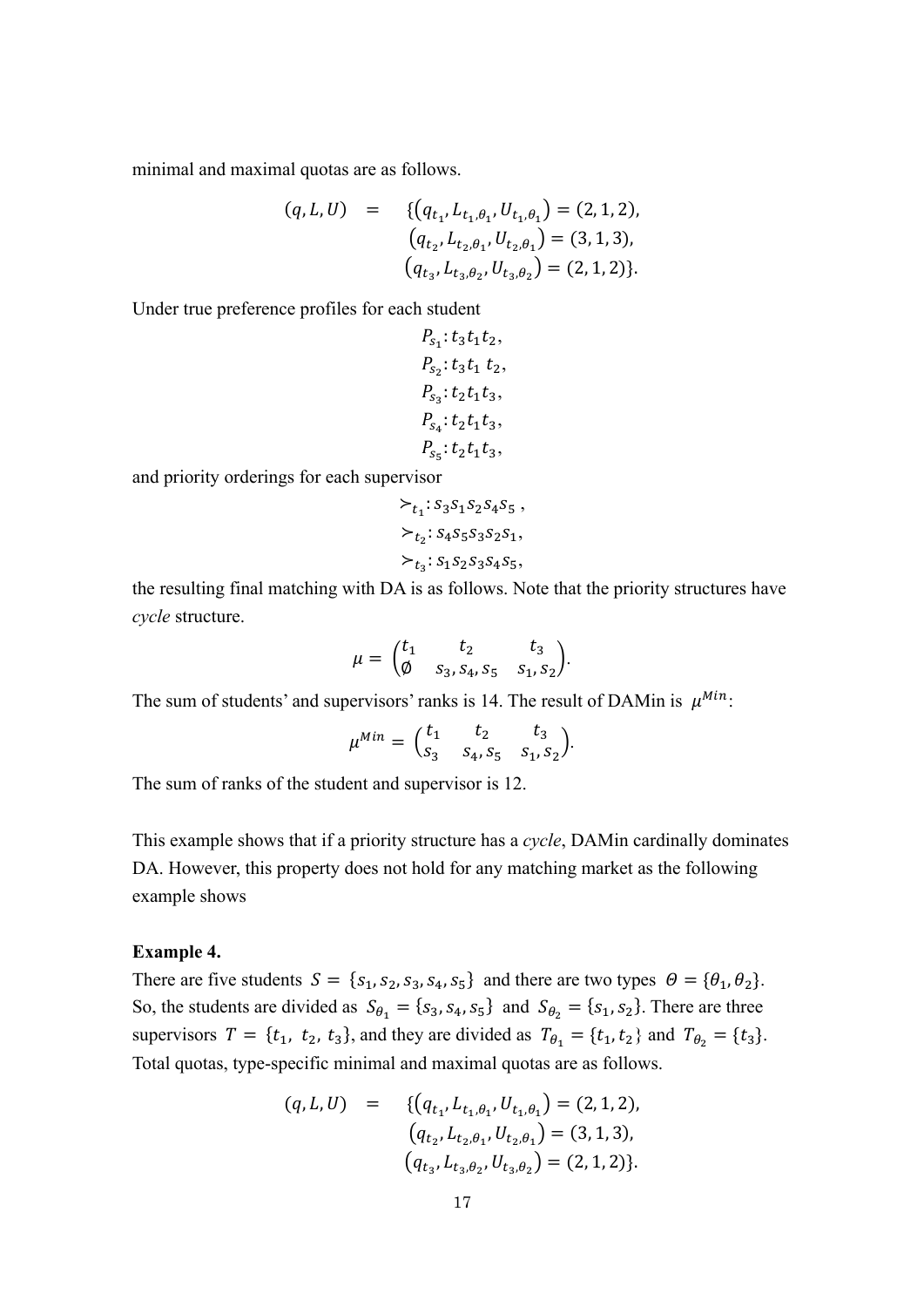minimal and maximal quotas are as follows.

$$
(q, L, U) = \{ (q_{t_1}, L_{t_1, \theta_1}, U_{t_1, \theta_1}) = (2, 1, 2),
$$
  
\n
$$
(q_{t_2}, L_{t_2, \theta_1}, U_{t_2, \theta_1}) = (3, 1, 3),
$$
  
\n
$$
(q_{t_3}, L_{t_3, \theta_2}, U_{t_3, \theta_2}) = (2, 1, 2) \}.
$$

Under true preference profiles for each student

$$
P_{s_1}: t_3t_1t_2,
$$
  
\n
$$
P_{s_2}: t_3t_1 t_2,
$$
  
\n
$$
P_{s_3}: t_2t_1t_3,
$$
  
\n
$$
P_{s_4}: t_2t_1t_3,
$$
  
\n
$$
P_{s_5}: t_2t_1t_3,
$$

and priority orderings for each supervisor

$$
\succ_{t_1}: s_3 s_1 s_2 s_4 s_5 ,
$$
  
\n
$$
\succ_{t_2}: s_4 s_5 s_3 s_2 s_1,
$$
  
\n
$$
\succ_{t_3}: s_1 s_2 s_3 s_4 s_5,
$$

the resulting final matching with DA is as follows. Note that the priority structures have *cycle* structure.

$$
\mu = \begin{pmatrix} t_1 & t_2 & t_3 \\ \emptyset & s_3, s_4, s_5 & s_1, s_2 \end{pmatrix}.
$$

The sum of students' and supervisors' ranks is 14. The result of DAMin is  $\mu^{Min}$ :

$$
\mu^{Min} = \begin{pmatrix} t_1 & t_2 & t_3 \\ s_3 & s_4, s_5 & s_1, s_2 \end{pmatrix}.
$$

The sum of ranks of the student and supervisor is 12.

This example shows that if a priority structure has a *cycle*, DAMin cardinally dominates DA. However, this property does not hold for any matching market as the following example shows

### **Example 4.**

There are five students  $S = \{s_1, s_2, s_3, s_4, s_5\}$  and there are two types  $\Theta = \{\theta_1, \theta_2\}.$ So, the students are divided as  $S_{\theta_1} = \{s_3, s_4, s_5\}$  and  $S_{\theta_2} = \{s_1, s_2\}$ . There are three supervisors  $T = \{t_1, t_2, t_3\}$ , and they are divided as  $T_{\theta_1} = \{t_1, t_2\}$  and  $T_{\theta_2} = \{t_3\}$ . Total quotas, type-specific minimal and maximal quotas are as follows.

$$
(q, L, U) = \{ (q_{t_1}, L_{t_1, \theta_1}, U_{t_1, \theta_1}) = (2, 1, 2),
$$
  
\n
$$
(q_{t_2}, L_{t_2, \theta_1}, U_{t_2, \theta_1}) = (3, 1, 3),
$$
  
\n
$$
(q_{t_3}, L_{t_3, \theta_2}, U_{t_3, \theta_2}) = (2, 1, 2) \}.
$$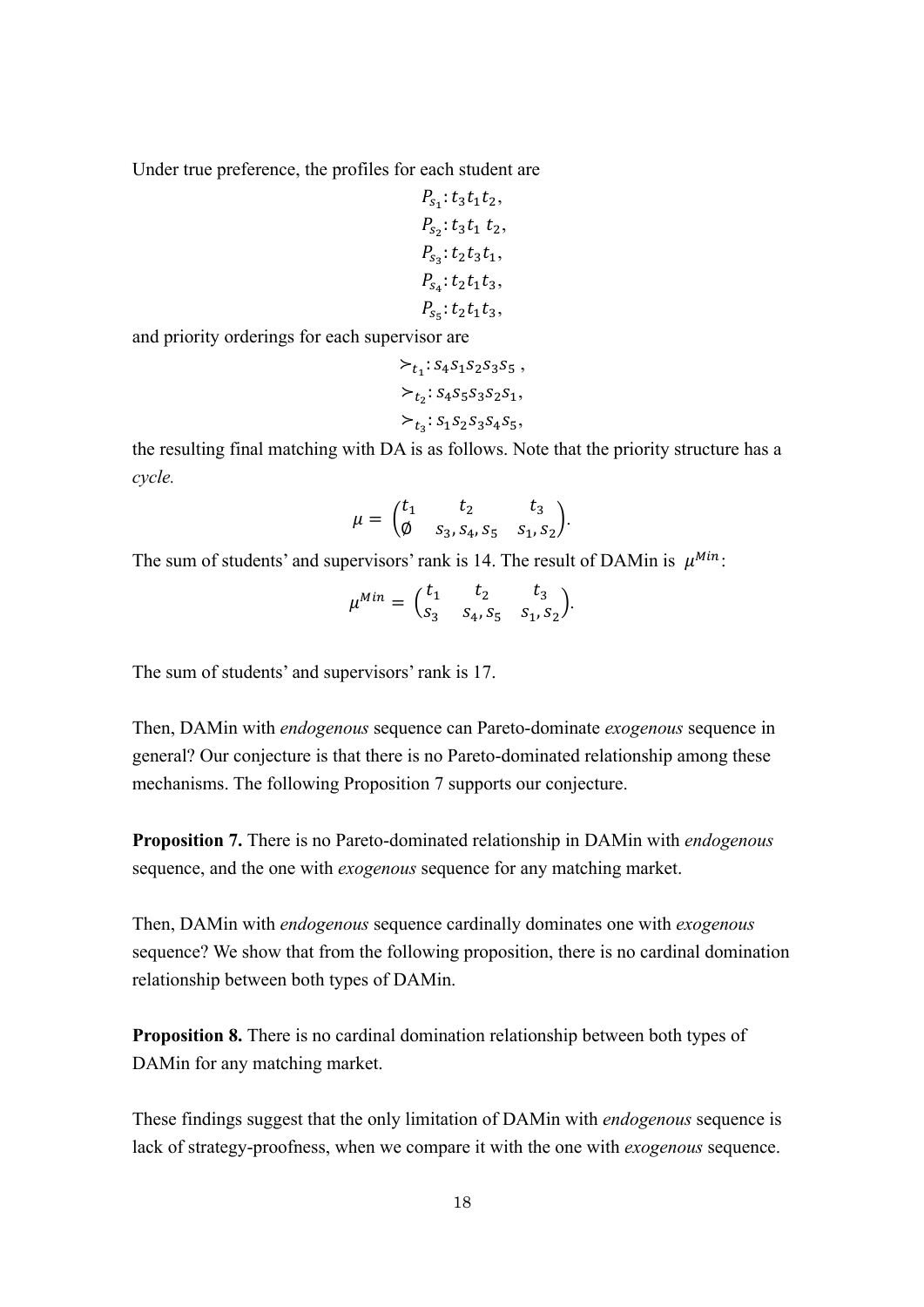Under true preference, the profiles for each student are

$$
P_{s_1}: t_3t_1t_2,
$$
  
\n
$$
P_{s_2}: t_3t_1 t_2,
$$
  
\n
$$
P_{s_3}: t_2t_3t_1,
$$
  
\n
$$
P_{s_4}: t_2t_1t_3,
$$
  
\n
$$
P_{s_5}: t_2t_1t_3,
$$

and priority orderings for each supervisor are

$$
\succ_{t_1}: s_4 s_1 s_2 s_3 s_5 ,
$$
  
\n
$$
\succ_{t_2}: s_4 s_5 s_3 s_2 s_1,
$$
  
\n
$$
\succ_{t_3}: s_1 s_2 s_3 s_4 s_5,
$$

the resulting final matching with DA is as follows. Note that the priority structure has a *cycle.*

$$
\mu = \begin{pmatrix} t_1 & t_2 & t_3 \\ \emptyset & s_3, s_4, s_5 & s_1, s_2 \end{pmatrix}.
$$

The sum of students' and supervisors' rank is 14. The result of DAMin is  $\mu^{Min}$ .

$$
\mu^{Min} = \begin{pmatrix} t_1 & t_2 & t_3 \\ s_3 & s_4, s_5 & s_1, s_2 \end{pmatrix}.
$$

The sum of students' and supervisors' rank is 17.

Then, DAMin with *endogenous* sequence can Pareto-dominate *exogenous* sequence in general? Our conjecture is that there is no Pareto-dominated relationship among these mechanisms. The following Proposition 7 supports our conjecture.

**Proposition 7.** There is no Pareto-dominated relationship in DAMin with *endogenous*  sequence, and the one with *exogenous* sequence for any matching market.

Then, DAMin with *endogenous* sequence cardinally dominates one with *exogenous* sequence? We show that from the following proposition, there is no cardinal domination relationship between both types of DAMin.

**Proposition 8.** There is no cardinal domination relationship between both types of DAMin for any matching market.

These findings suggest that the only limitation of DAMin with *endogenous* sequence is lack of strategy-proofness, when we compare it with the one with *exogenous* sequence.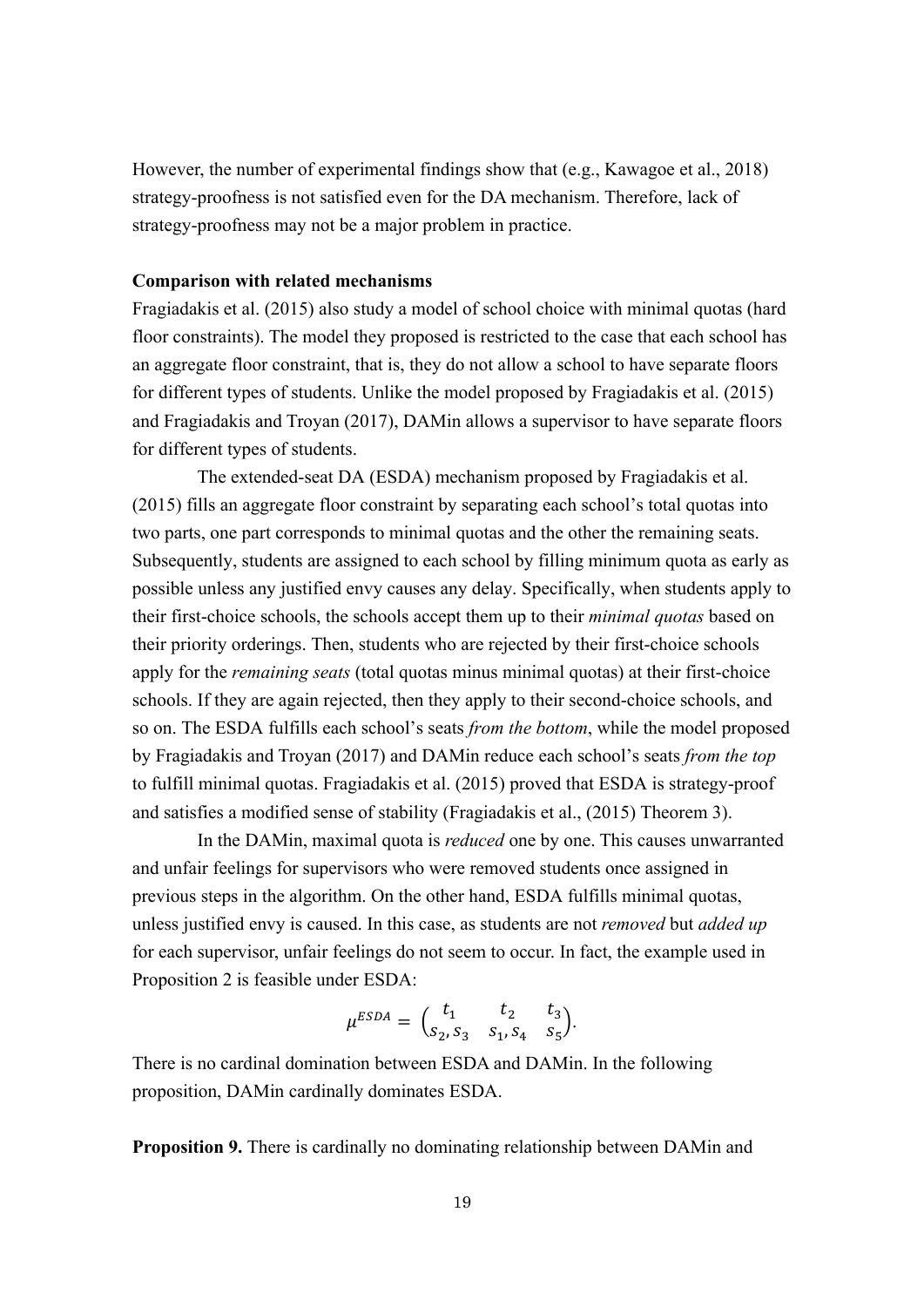However, the number of experimental findings show that (e.g., Kawagoe et al., 2018) strategy-proofness is not satisfied even for the DA mechanism. Therefore, lack of strategy-proofness may not be a major problem in practice.

## **Comparison with related mechanisms**

Fragiadakis et al. (2015) also study a model of school choice with minimal quotas (hard floor constraints). The model they proposed is restricted to the case that each school has an aggregate floor constraint, that is, they do not allow a school to have separate floors for different types of students. Unlike the model proposed by Fragiadakis et al. (2015) and Fragiadakis and Troyan (2017), DAMin allows a supervisor to have separate floors for different types of students.

The extended-seat DA (ESDA) mechanism proposed by Fragiadakis et al. (2015) fills an aggregate floor constraint by separating each school's total quotas into two parts, one part corresponds to minimal quotas and the other the remaining seats. Subsequently, students are assigned to each school by filling minimum quota as early as possible unless any justified envy causes any delay. Specifically, when students apply to their first-choice schools, the schools accept them up to their *minimal quotas* based on their priority orderings. Then, students who are rejected by their first-choice schools apply for the *remaining seats* (total quotas minus minimal quotas) at their first-choice schools. If they are again rejected, then they apply to their second-choice schools, and so on. The ESDA fulfills each school's seats *from the bottom*, while the model proposed by Fragiadakis and Troyan (2017) and DAMin reduce each school's seats *from the top* to fulfill minimal quotas. Fragiadakis et al. (2015) proved that ESDA is strategy-proof and satisfies a modified sense of stability (Fragiadakis et al., (2015) Theorem 3).

In the DAMin, maximal quota is *reduced* one by one. This causes unwarranted and unfair feelings for supervisors who were removed students once assigned in previous steps in the algorithm. On the other hand, ESDA fulfills minimal quotas, unless justified envy is caused. In this case, as students are not *removed* but *added up* for each supervisor, unfair feelings do not seem to occur. In fact, the example used in Proposition 2 is feasible under ESDA:

$$
\mu^{ESDA} = \begin{pmatrix} t_1 & t_2 & t_3 \\ s_2, s_3 & s_1, s_4 & s_5 \end{pmatrix}.
$$

There is no cardinal domination between ESDA and DAMin. In the following proposition, DAMin cardinally dominates ESDA.

**Proposition 9.** There is cardinally no dominating relationship between DAMin and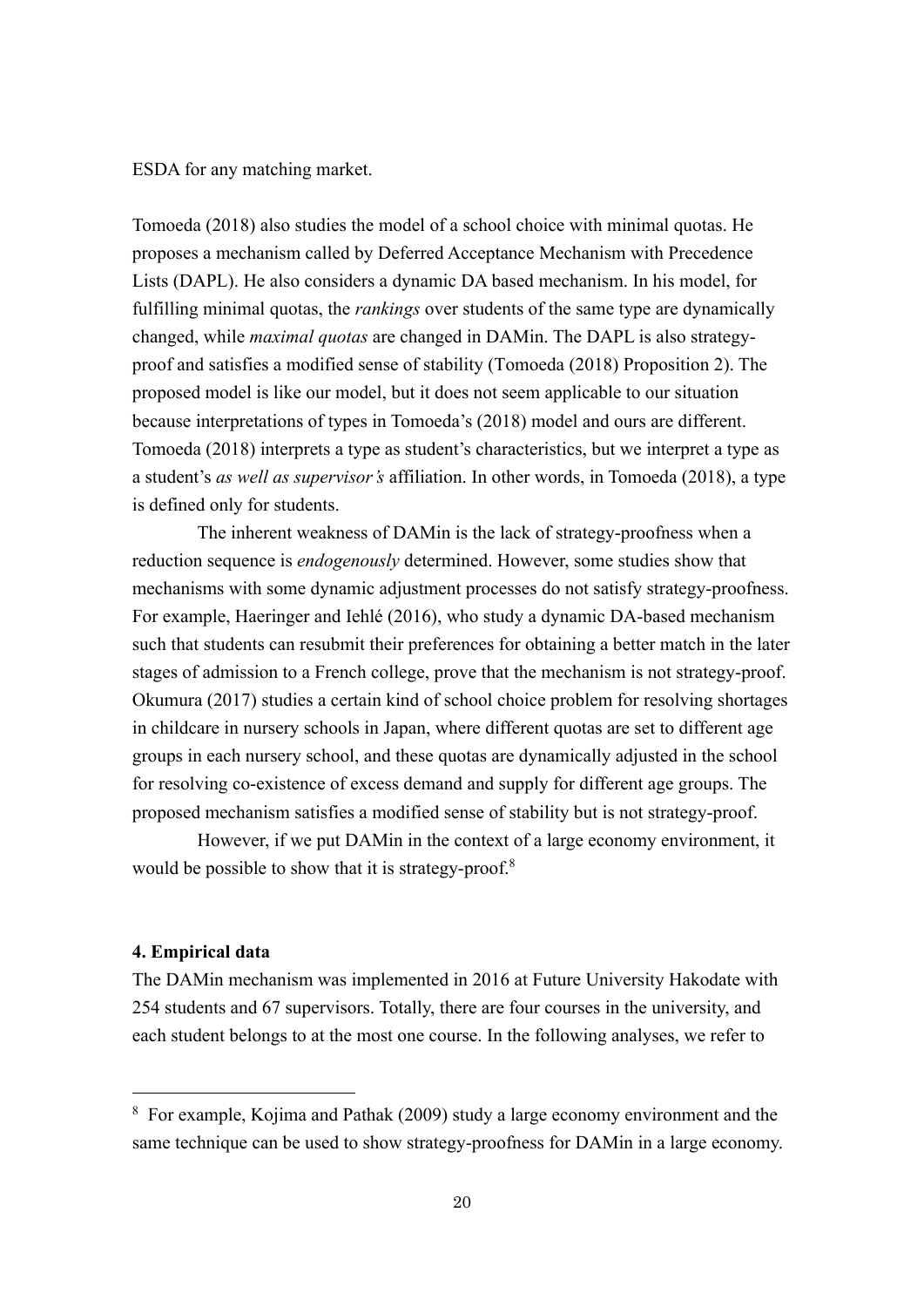ESDA for any matching market.

Tomoeda (2018) also studies the model of a school choice with minimal quotas. He proposes a mechanism called by Deferred Acceptance Mechanism with Precedence Lists (DAPL). He also considers a dynamic DA based mechanism. In his model, for fulfilling minimal quotas, the *rankings* over students of the same type are dynamically changed, while *maximal quotas* are changed in DAMin. The DAPL is also strategyproof and satisfies a modified sense of stability (Tomoeda (2018) Proposition 2). The proposed model is like our model, but it does not seem applicable to our situation because interpretations of types in Tomoeda's (2018) model and ours are different. Tomoeda (2018) interprets a type as student's characteristics, but we interpret a type as a student's *as well as supervisor's* affiliation. In other words, in Tomoeda (2018), a type is defined only for students.

The inherent weakness of DAMin is the lack of strategy-proofness when a reduction sequence is *endogenously* determined. However, some studies show that mechanisms with some dynamic adjustment processes do not satisfy strategy-proofness. For example, Haeringer and Iehlé (2016), who study a dynamic DA-based mechanism such that students can resubmit their preferences for obtaining a better match in the later stages of admission to a French college, prove that the mechanism is not strategy-proof. Okumura (2017) studies a certain kind of school choice problem for resolving shortages in childcare in nursery schools in Japan, where different quotas are set to different age groups in each nursery school, and these quotas are dynamically adjusted in the school for resolving co-existence of excess demand and supply for different age groups. The proposed mechanism satisfies a modified sense of stability but is not strategy-proof.

However, if we put DAMin in the context of a large economy environment, it would be possible to show that it is strategy-proof.<sup>8</sup>

## **4. Empirical data**

The DAMin mechanism was implemented in 2016 at Future University Hakodate with 254 students and 67 supervisors. Totally, there are four courses in the university, and each student belongs to at the most one course. In the following analyses, we refer to

<sup>&</sup>lt;sup>8</sup> For example, Kojima and Pathak (2009) study a large economy environment and the same technique can be used to show strategy-proofness for DAMin in a large economy.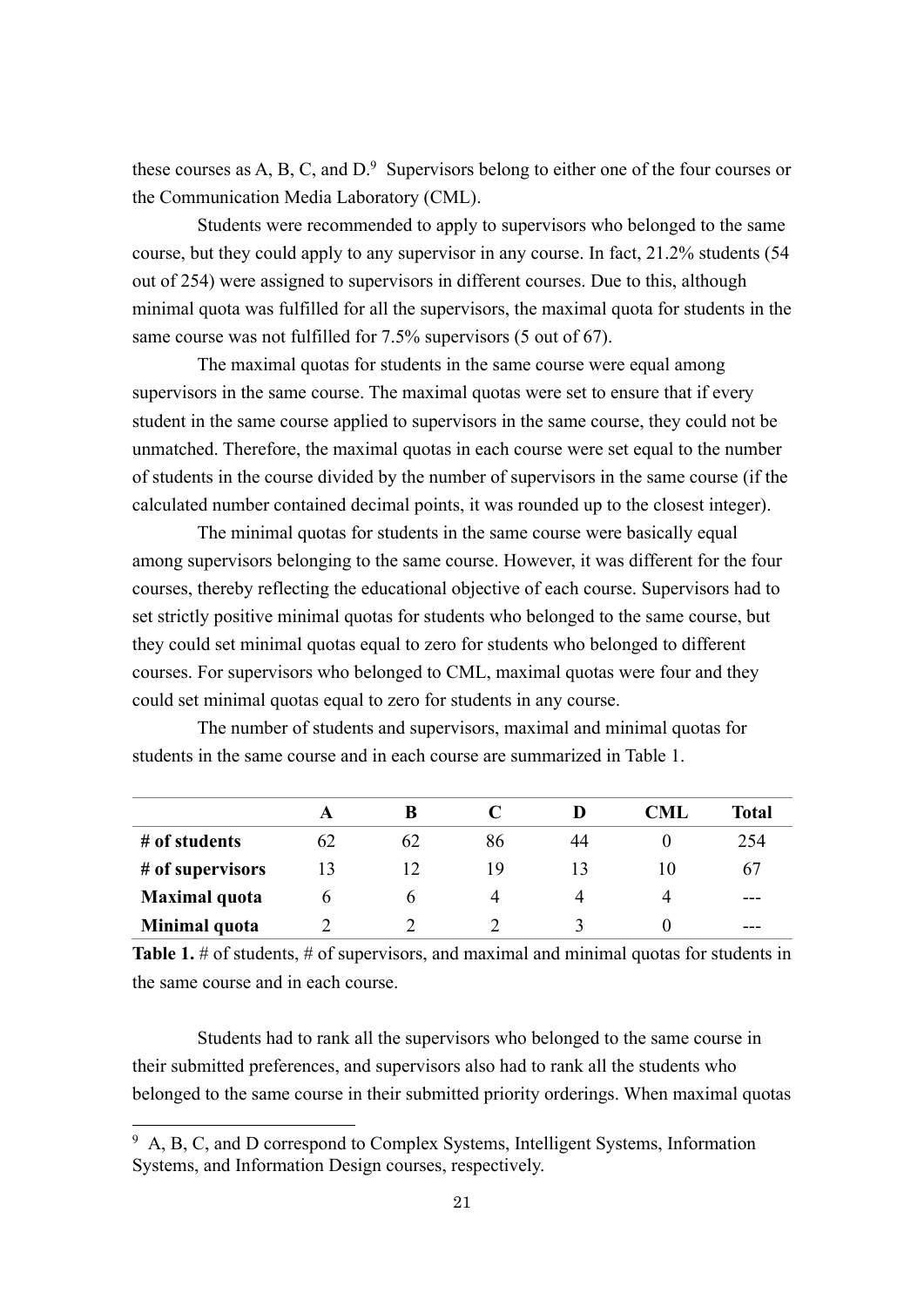these courses as A, B, C, and  $D^9$  Supervisors belong to either one of the four courses or the Communication Media Laboratory (CML).

Students were recommended to apply to supervisors who belonged to the same course, but they could apply to any supervisor in any course. In fact, 21.2% students (54 out of 254) were assigned to supervisors in different courses. Due to this, although minimal quota was fulfilled for all the supervisors, the maximal quota for students in the same course was not fulfilled for 7.5% supervisors (5 out of 67).

The maximal quotas for students in the same course were equal among supervisors in the same course. The maximal quotas were set to ensure that if every student in the same course applied to supervisors in the same course, they could not be unmatched. Therefore, the maximal quotas in each course were set equal to the number of students in the course divided by the number of supervisors in the same course (if the calculated number contained decimal points, it was rounded up to the closest integer).

The minimal quotas for students in the same course were basically equal among supervisors belonging to the same course. However, it was different for the four courses, thereby reflecting the educational objective of each course. Supervisors had to set strictly positive minimal quotas for students who belonged to the same course, but they could set minimal quotas equal to zero for students who belonged to different courses. For supervisors who belonged to CML, maximal quotas were four and they could set minimal quotas equal to zero for students in any course.

The number of students and supervisors, maximal and minimal quotas for students in the same course and in each course are summarized in Table 1.

|                      |    | В  |    |    | CML | Total |
|----------------------|----|----|----|----|-----|-------|
| # of students        | 62 | 62 | 86 | 44 |     | 254   |
| # of supervisors     |    |    | 19 |    | 10  | 67    |
| <b>Maximal</b> quota |    |    |    |    |     | ---   |
| Minimal quota        |    |    |    |    |     | ---   |

**Table 1.** # of students, # of supervisors, and maximal and minimal quotas for students in the same course and in each course.

Students had to rank all the supervisors who belonged to the same course in their submitted preferences, and supervisors also had to rank all the students who belonged to the same course in their submitted priority orderings. When maximal quotas

 $9\,$  A, B, C, and D correspond to Complex Systems, Intelligent Systems, Information Systems, and Information Design courses, respectively.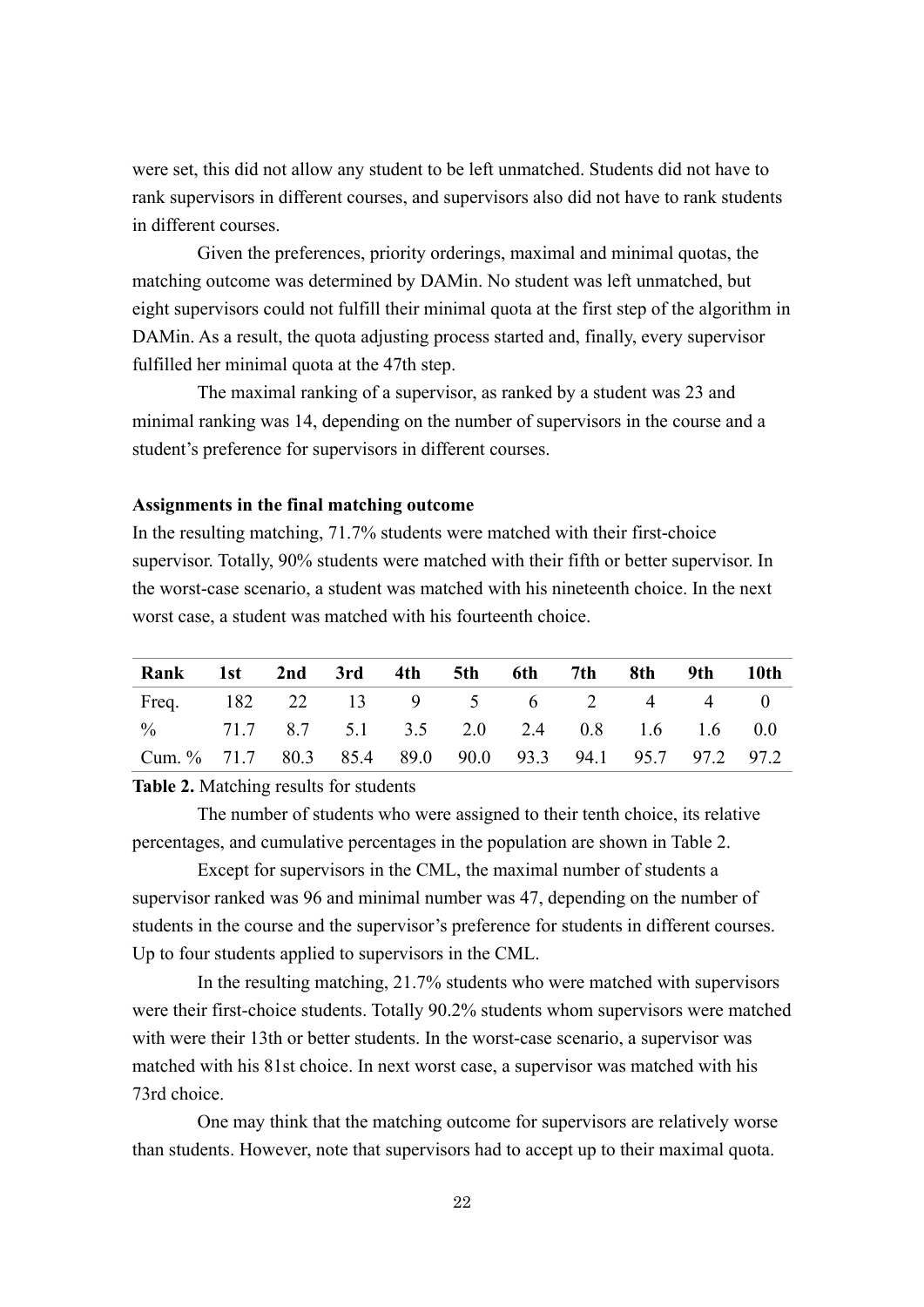were set, this did not allow any student to be left unmatched. Students did not have to rank supervisors in different courses, and supervisors also did not have to rank students in different courses.

Given the preferences, priority orderings, maximal and minimal quotas, the matching outcome was determined by DAMin. No student was left unmatched, but eight supervisors could not fulfill their minimal quota at the first step of the algorithm in DAMin. As a result, the quota adjusting process started and, finally, every supervisor fulfilled her minimal quota at the 47th step.

The maximal ranking of a supervisor, as ranked by a student was 23 and minimal ranking was 14, depending on the number of supervisors in the course and a student's preference for supervisors in different courses.

## **Assignments in the final matching outcome**

In the resulting matching, 71.7% students were matched with their first-choice supervisor. Totally, 90% students were matched with their fifth or better supervisor. In the worst-case scenario, a student was matched with his nineteenth choice. In the next worst case, a student was matched with his fourteenth choice.

| Rank 1st 2nd 3rd 4th 5th 6th 7th 8th 9th 10th            |  |  |  |  |  |
|----------------------------------------------------------|--|--|--|--|--|
| Freq. 182 22 13 9 5 6 2 4 4 0                            |  |  |  |  |  |
| % 71.7 8.7 5.1 3.5 2.0 2.4 0.8 1.6 1.6 0.0               |  |  |  |  |  |
| Cum. % 71.7 80.3 85.4 89.0 90.0 93.3 94.1 95.7 97.2 97.2 |  |  |  |  |  |

**Table 2.** Matching results for students

The number of students who were assigned to their tenth choice, its relative percentages, and cumulative percentages in the population are shown in Table 2.

Except for supervisors in the CML, the maximal number of students a supervisor ranked was 96 and minimal number was 47, depending on the number of students in the course and the supervisor's preference for students in different courses. Up to four students applied to supervisors in the CML.

In the resulting matching, 21.7% students who were matched with supervisors were their first-choice students. Totally 90.2% students whom supervisors were matched with were their 13th or better students. In the worst-case scenario, a supervisor was matched with his 81st choice. In next worst case, a supervisor was matched with his 73rd choice.

One may think that the matching outcome for supervisors are relatively worse than students. However, note that supervisors had to accept up to their maximal quota.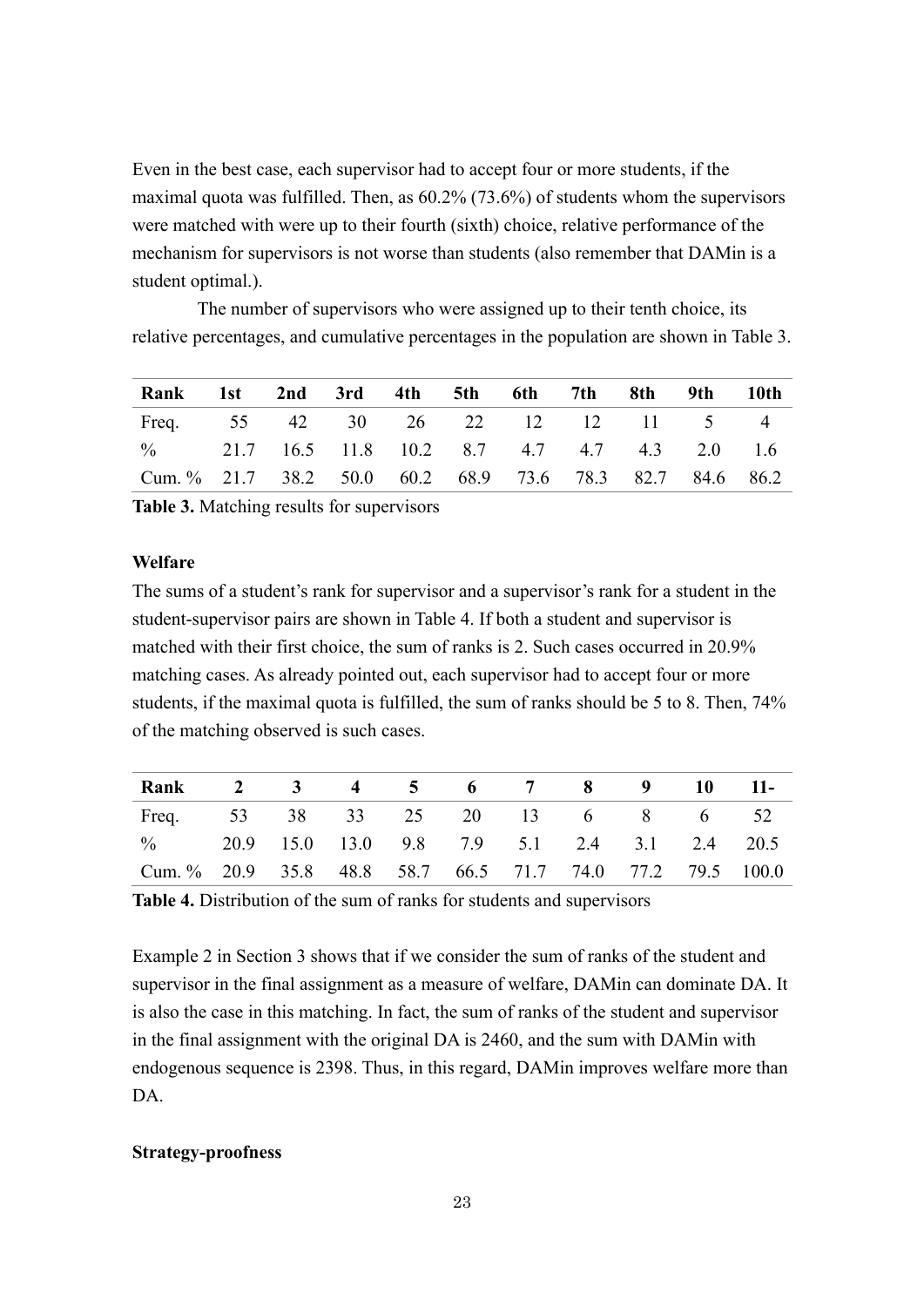Even in the best case, each supervisor had to accept four or more students, if the maximal quota was fulfilled. Then, as 60.2% (73.6%) of students whom the supervisors were matched with were up to their fourth (sixth) choice, relative performance of the mechanism for supervisors is not worse than students (also remember that DAMin is a student optimal.).

The number of supervisors who were assigned up to their tenth choice, its relative percentages, and cumulative percentages in the population are shown in Table 3.

| Rank 1st 2nd 3rd 4th 5th 6th 7th 8th 9th 10th            |  |  |  |  |  |
|----------------------------------------------------------|--|--|--|--|--|
| Freq. 55 42 30 26 22 12 12 11 5 4                        |  |  |  |  |  |
| % 21.7 16.5 11.8 10.2 8.7 4.7 4.7 4.3 2.0 1.6            |  |  |  |  |  |
| Cum. % 21.7 38.2 50.0 60.2 68.9 73.6 78.3 82.7 84.6 86.2 |  |  |  |  |  |

**Table 3.** Matching results for supervisors

## **Welfare**

The sums of a student's rank for supervisor and a supervisor's rank for a student in the student-supervisor pairs are shown in Table 4. If both a student and supervisor is matched with their first choice, the sum of ranks is 2. Such cases occurred in 20.9% matching cases. As already pointed out, each supervisor had to accept four or more students, if the maximal quota is fulfilled, the sum of ranks should be 5 to 8. Then, 74% of the matching observed is such cases.

| Rank 2 3 4 5 6 7 8 9 10 11-                               |  |  |  |  |  |
|-----------------------------------------------------------|--|--|--|--|--|
| Freq. 53 38 33 25 20 13 6 8 6 52                          |  |  |  |  |  |
| % 20.9 15.0 13.0 9.8 7.9 5.1 2.4 3.1 2.4 20.5             |  |  |  |  |  |
| Cum. % 20.9 35.8 48.8 58.7 66.5 71.7 74.0 77.2 79.5 100.0 |  |  |  |  |  |

**Table 4.** Distribution of the sum of ranks for students and supervisors

Example 2 in Section 3 shows that if we consider the sum of ranks of the student and supervisor in the final assignment as a measure of welfare, DAMin can dominate DA. It is also the case in this matching. In fact, the sum of ranks of the student and supervisor in the final assignment with the original DA is 2460, and the sum with DAMin with endogenous sequence is 2398. Thus, in this regard, DAMin improves welfare more than DA.

## **Strategy-proofness**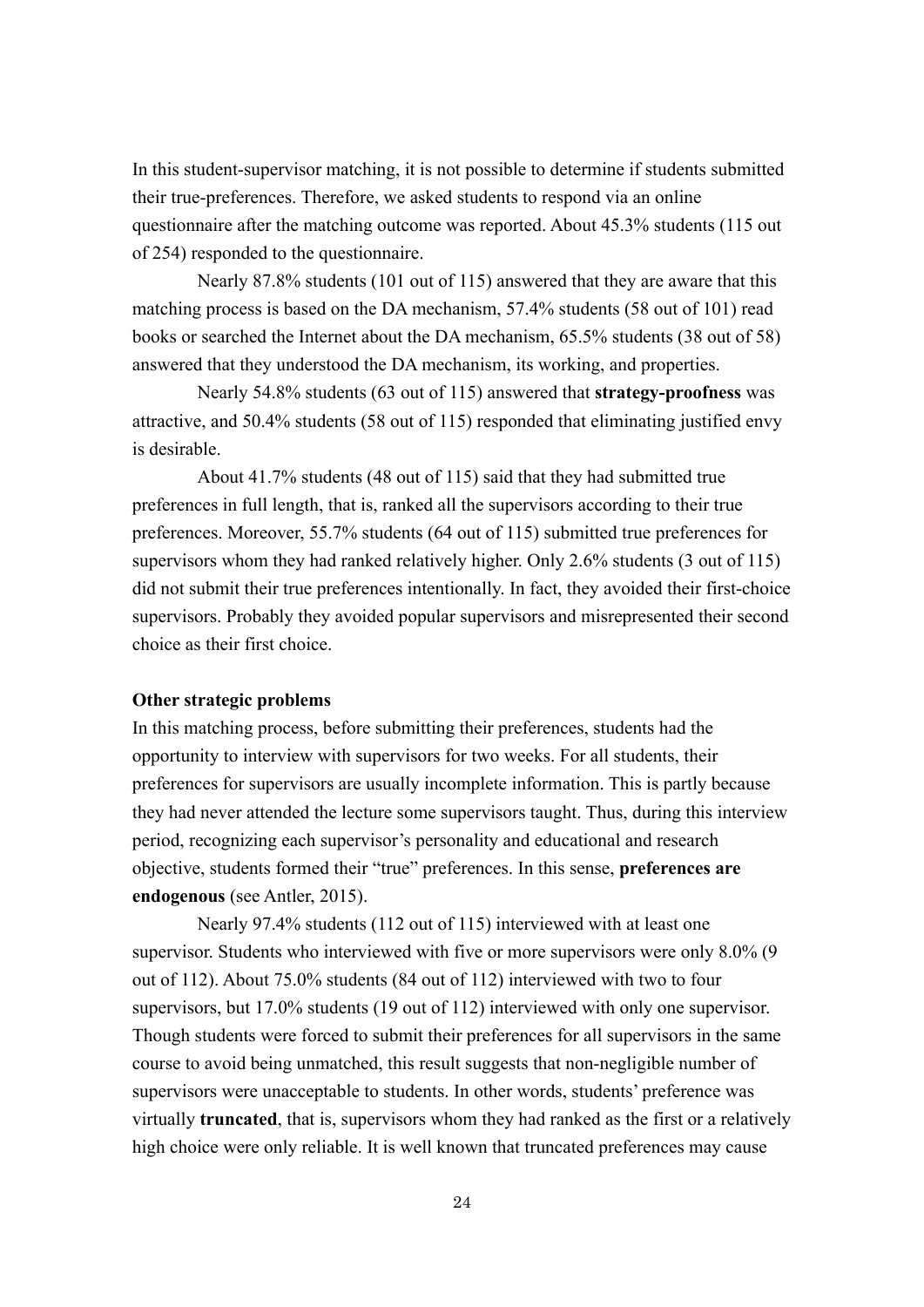In this student-supervisor matching, it is not possible to determine if students submitted their true-preferences. Therefore, we asked students to respond via an online questionnaire after the matching outcome was reported. About 45.3% students (115 out of 254) responded to the questionnaire.

Nearly 87.8% students (101 out of 115) answered that they are aware that this matching process is based on the DA mechanism, 57.4% students (58 out of 101) read books or searched the Internet about the DA mechanism, 65.5% students (38 out of 58) answered that they understood the DA mechanism, its working, and properties.

Nearly 54.8% students (63 out of 115) answered that **strategy-proofness** was attractive, and 50.4% students (58 out of 115) responded that eliminating justified envy is desirable.

About 41.7% students (48 out of 115) said that they had submitted true preferences in full length, that is, ranked all the supervisors according to their true preferences. Moreover, 55.7% students (64 out of 115) submitted true preferences for supervisors whom they had ranked relatively higher. Only 2.6% students (3 out of 115) did not submit their true preferences intentionally. In fact, they avoided their first-choice supervisors. Probably they avoided popular supervisors and misrepresented their second choice as their first choice.

## **Other strategic problems**

In this matching process, before submitting their preferences, students had the opportunity to interview with supervisors for two weeks. For all students, their preferences for supervisors are usually incomplete information. This is partly because they had never attended the lecture some supervisors taught. Thus, during this interview period, recognizing each supervisor's personality and educational and research objective, students formed their "true" preferences. In this sense, **preferences are endogenous** (see Antler, 2015).

Nearly 97.4% students (112 out of 115) interviewed with at least one supervisor. Students who interviewed with five or more supervisors were only 8.0% (9 out of 112). About 75.0% students (84 out of 112) interviewed with two to four supervisors, but 17.0% students (19 out of 112) interviewed with only one supervisor. Though students were forced to submit their preferences for all supervisors in the same course to avoid being unmatched, this result suggests that non-negligible number of supervisors were unacceptable to students. In other words, students' preference was virtually **truncated**, that is, supervisors whom they had ranked as the first or a relatively high choice were only reliable. It is well known that truncated preferences may cause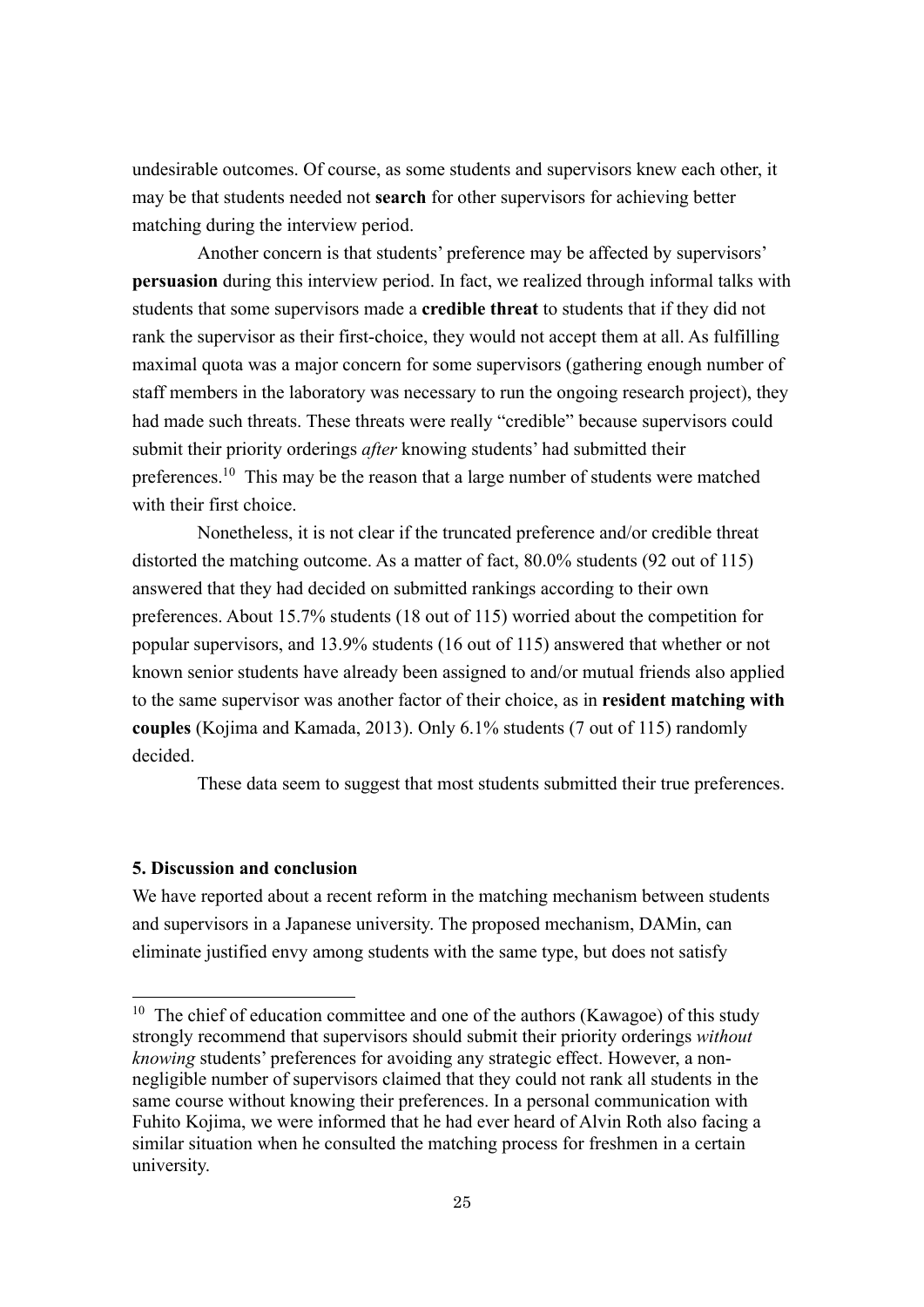undesirable outcomes. Of course, as some students and supervisors knew each other, it may be that students needed not **search** for other supervisors for achieving better matching during the interview period.

Another concern is that students' preference may be affected by supervisors' **persuasion** during this interview period. In fact, we realized through informal talks with students that some supervisors made a **credible threat** to students that if they did not rank the supervisor as their first-choice, they would not accept them at all. As fulfilling maximal quota was a major concern for some supervisors (gathering enough number of staff members in the laboratory was necessary to run the ongoing research project), they had made such threats. These threats were really "credible" because supervisors could submit their priority orderings *after* knowing students' had submitted their preferences.<sup>10</sup> This may be the reason that a large number of students were matched with their first choice.

Nonetheless, it is not clear if the truncated preference and/or credible threat distorted the matching outcome. As a matter of fact, 80.0% students (92 out of 115) answered that they had decided on submitted rankings according to their own preferences. About 15.7% students (18 out of 115) worried about the competition for popular supervisors, and 13.9% students (16 out of 115) answered that whether or not known senior students have already been assigned to and/or mutual friends also applied to the same supervisor was another factor of their choice, as in **resident matching with couples** (Kojima and Kamada, 2013). Only 6.1% students (7 out of 115) randomly decided.

These data seem to suggest that most students submitted their true preferences.

## **5. Discussion and conclusion**

We have reported about a recent reform in the matching mechanism between students and supervisors in a Japanese university. The proposed mechanism, DAMin, can eliminate justified envy among students with the same type, but does not satisfy

<sup>&</sup>lt;sup>10</sup> The chief of education committee and one of the authors (Kawagoe) of this study strongly recommend that supervisors should submit their priority orderings *without knowing* students' preferences for avoiding any strategic effect. However, a nonnegligible number of supervisors claimed that they could not rank all students in the same course without knowing their preferences. In a personal communication with Fuhito Kojima, we were informed that he had ever heard of Alvin Roth also facing a similar situation when he consulted the matching process for freshmen in a certain university.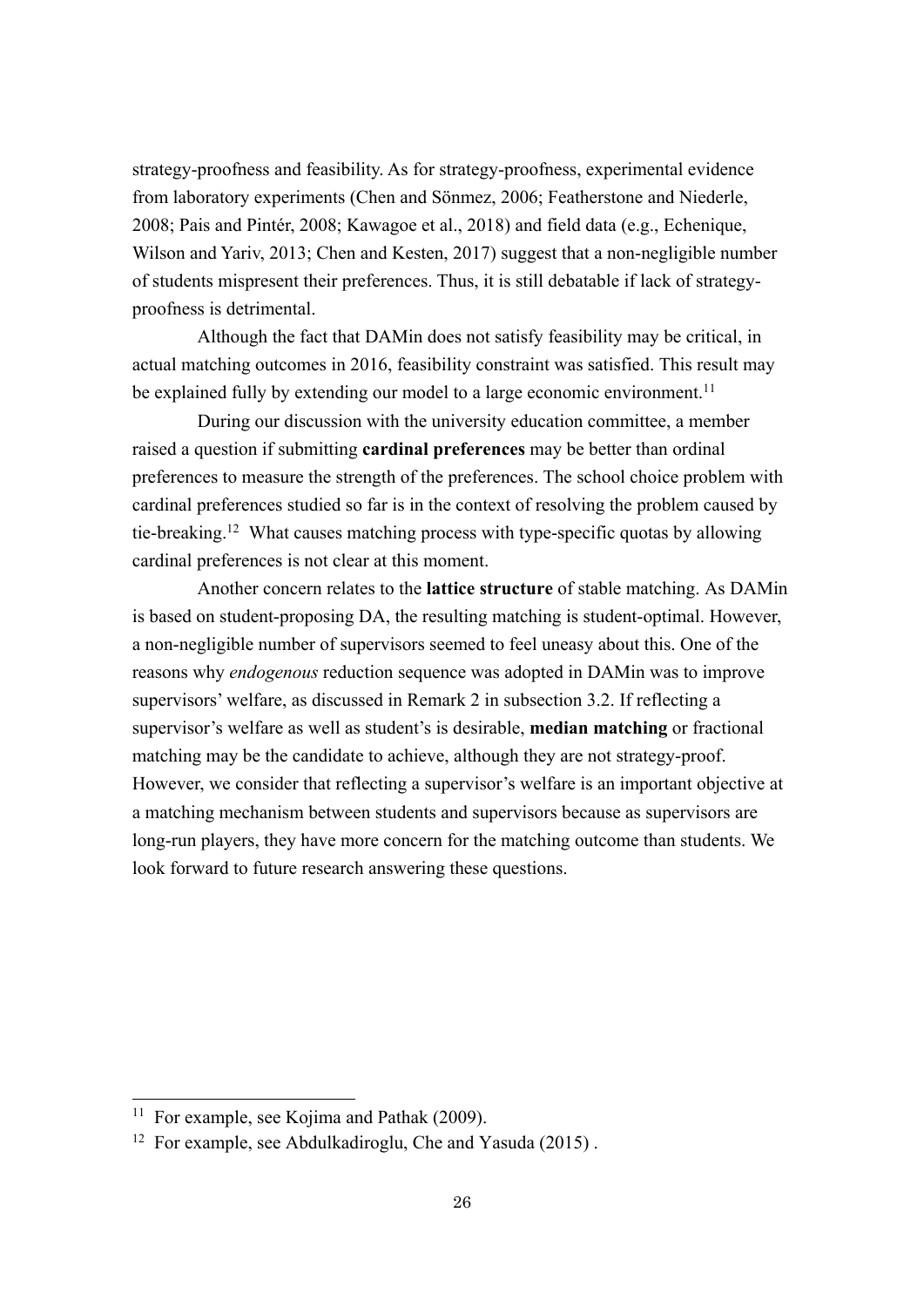strategy-proofness and feasibility. As for strategy-proofness, experimental evidence from laboratory experiments (Chen and Sönmez, 2006; Featherstone and Niederle, 2008; Pais and Pintér, 2008; Kawagoe et al., 2018) and field data (e.g., Echenique, Wilson and Yariv, 2013; Chen and Kesten, 2017) suggest that a non-negligible number of students mispresent their preferences. Thus, it is still debatable if lack of strategyproofness is detrimental.

Although the fact that DAMin does not satisfy feasibility may be critical, in actual matching outcomes in 2016, feasibility constraint was satisfied. This result may be explained fully by extending our model to a large economic environment.<sup>11</sup>

During our discussion with the university education committee, a member raised a question if submitting **cardinal preferences** may be better than ordinal preferences to measure the strength of the preferences. The school choice problem with cardinal preferences studied so far is in the context of resolving the problem caused by tie-breaking.12 What causes matching process with type-specific quotas by allowing cardinal preferences is not clear at this moment.

Another concern relates to the **lattice structure** of stable matching. As DAMin is based on student-proposing DA, the resulting matching is student-optimal. However, a non-negligible number of supervisors seemed to feel uneasy about this. One of the reasons why *endogenous* reduction sequence was adopted in DAMin was to improve supervisors' welfare, as discussed in Remark 2 in subsection 3.2. If reflecting a supervisor's welfare as well as student's is desirable, **median matching** or fractional matching may be the candidate to achieve, although they are not strategy-proof. However, we consider that reflecting a supervisor's welfare is an important objective at a matching mechanism between students and supervisors because as supervisors are long-run players, they have more concern for the matching outcome than students. We look forward to future research answering these questions.

<sup>&</sup>lt;sup>11</sup> For example, see Kojima and Pathak (2009).

<sup>12</sup> For example, see Abdulkadiroglu, Che and Yasuda (2015) .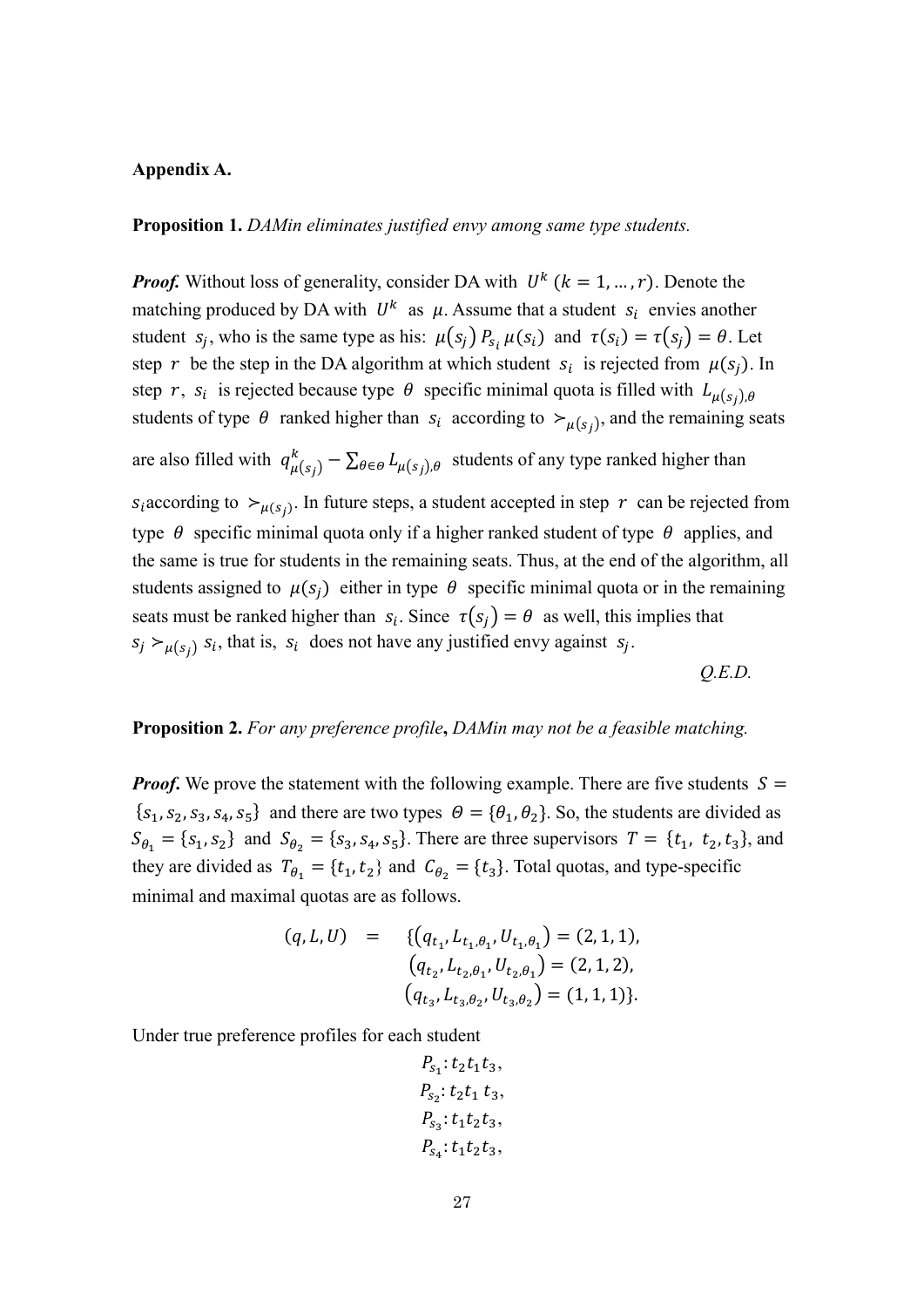#### **Appendix A.**

**Proposition 1.** *DAMin eliminates justified envy among same type students.* 

*Proof.* Without loss of generality, consider DA with  $U^k$  ( $k = 1, ..., r$ ). Denote the matching produced by DA with  $U^k$  as  $\mu$ . Assume that a student  $s_i$  envies another student  $s_j$ , who is the same type as his:  $\mu(s_j) P_{s_i} \mu(s_i)$  and  $\tau(s_i) = \tau(s_j) = \theta$ . Let step r be the step in the DA algorithm at which student  $s_i$  is rejected from  $\mu(s_i)$ . In step r,  $s_i$  is rejected because type  $\theta$  specific minimal quota is filled with  $L_{\mu(s_i),\theta}$ students of type  $\theta$  ranked higher than  $s_i$  according to  $\succ_{\mu(s_i)}$ , and the remaining seats are also filled with  $q_{\mu(s_j)}^k - \sum_{\theta \in \Theta} L_{\mu(s_j),\theta}$  students of any type ranked higher than  $S_i$  according to  $\succ_{\mu(S_i)}$ . In future steps, a student accepted in step r can be rejected from type  $\theta$  specific minimal quota only if a higher ranked student of type  $\theta$  applies, and the same is true for students in the remaining seats. Thus, at the end of the algorithm, all students assigned to  $\mu(s_i)$  either in type  $\theta$  specific minimal quota or in the remaining seats must be ranked higher than  $s_i$ . Since  $\tau(s_i) = \theta$  as well, this implies that  $S_j \succ_{\mu(s_i)} S_i$ , that is,  $S_i$  does not have any justified envy against  $S_j$ .

*Q.E.D.*

## **Proposition 2.** *For any preference profile***,** *DAMin may not be a feasible matching.*

*Proof.* We prove the statement with the following example. There are five students  $S =$  ${s<sub>1</sub>, s<sub>2</sub>, s<sub>3</sub>, s<sub>4</sub>, s<sub>5</sub>}$  and there are two types  $\theta = {\theta<sub>1</sub>, \theta<sub>2</sub>}$ . So, the students are divided as  $S_{\theta_1} = \{s_1, s_2\}$  and  $S_{\theta_2} = \{s_3, s_4, s_5\}$ . There are three supervisors  $T = \{t_1, t_2, t_3\}$ , and they are divided as  $T_{\theta_1} = \{t_1, t_2\}$  and  $C_{\theta_2} = \{t_3\}$ . Total quotas, and type-specific minimal and maximal quotas are as follows.

$$
(q, L, U) = \{ (q_{t_1}, L_{t_1, \theta_1}, U_{t_1, \theta_1}) = (2, 1, 1), (q_{t_2}, L_{t_2, \theta_1}, U_{t_2, \theta_1}) = (2, 1, 2), (q_{t_3}, L_{t_3, \theta_2}, U_{t_3, \theta_2}) = (1, 1, 1) \}.
$$

$$
P_{s_1}: t_2t_1t_3,
$$
  
\n
$$
P_{s_2}: t_2t_1 t_3,
$$
  
\n
$$
P_{s_3}: t_1t_2t_3,
$$
  
\n
$$
P_{s_4}: t_1t_2t_3,
$$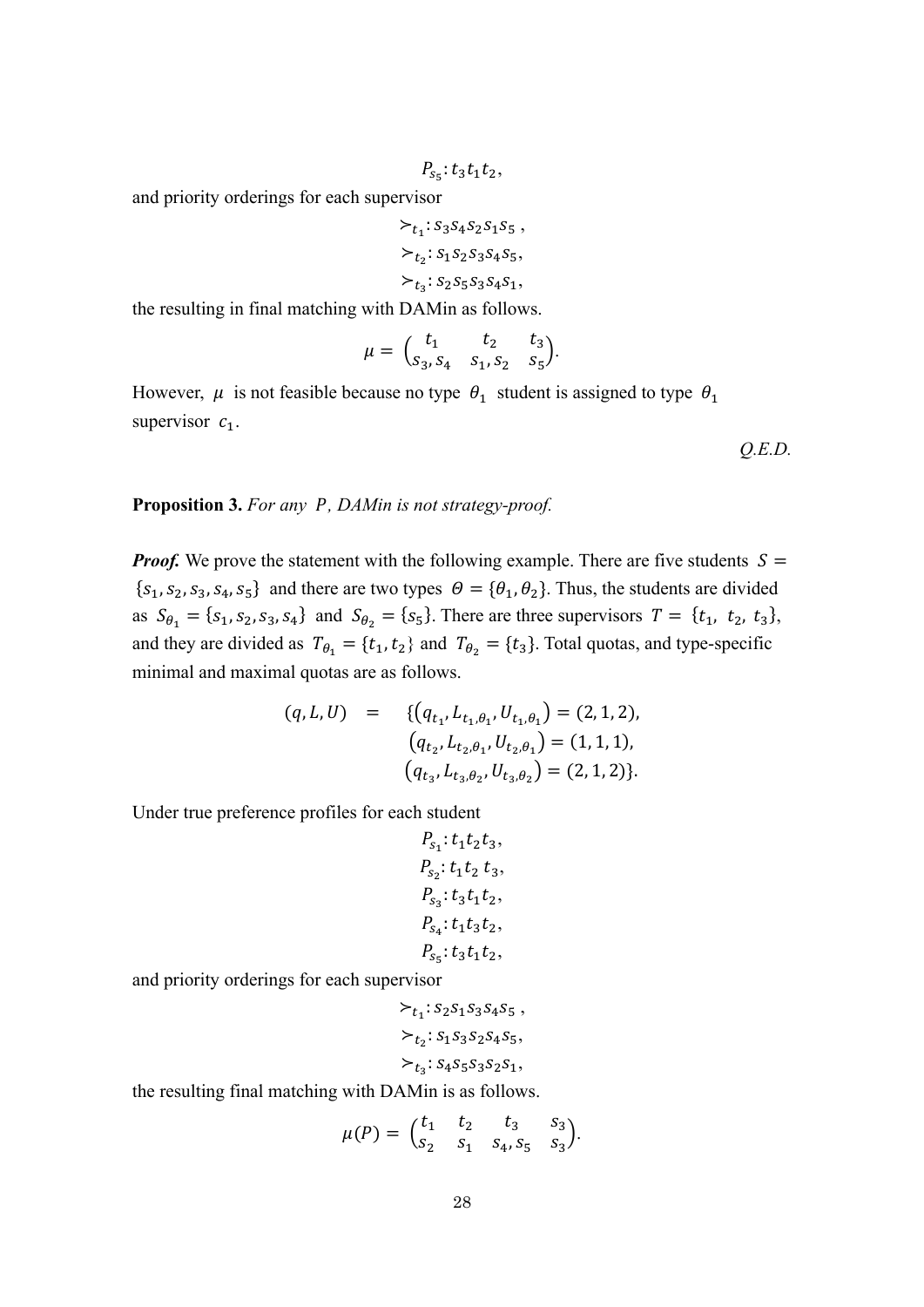$$
P_{s_5}:t_3t_1t_2,
$$

 $\succ_{t_1}: S_3S_4S_2S_1S_5,$  $\succ_{t_2}: S_1 S_2 S_3 S_4 S_5,$  $\succ_{t_2}: S_2 S_5 S_3 S_4 S_1,$ 

the resulting in final matching with DAMin as follows.

$$
\mu = \begin{pmatrix} t_1 & t_2 & t_3 \\ s_3, s_4 & s_1, s_2 & s_5 \end{pmatrix}.
$$

However,  $\mu$  is not feasible because no type  $\theta_1$  student is assigned to type  $\theta_1$ supervisor  $c_1$ .

*Q.E.D.*

#### **Proposition 3.** *For any , DAMin is not strategy-proof.*

*Proof.* We prove the statement with the following example. There are five students  $S =$  ${s<sub>1</sub>, s<sub>2</sub>, s<sub>3</sub>, s<sub>4</sub>, s<sub>5</sub>}$  and there are two types  $\theta = {\theta<sub>1</sub>, \theta<sub>2</sub>}$ . Thus, the students are divided as  $S_{\theta_1} = \{s_1, s_2, s_3, s_4\}$  and  $S_{\theta_2} = \{s_5\}$ . There are three supervisors  $T = \{t_1, t_2, t_3\}$ , and they are divided as  $T_{\theta_1} = \{t_1, t_2\}$  and  $T_{\theta_2} = \{t_3\}$ . Total quotas, and type-specific minimal and maximal quotas are as follows.

$$
(q, L, U) = \{ (q_{t_1}, L_{t_1, \theta_1}, U_{t_1, \theta_1}) = (2, 1, 2),
$$
  
\n
$$
(q_{t_2}, L_{t_2, \theta_1}, U_{t_2, \theta_1}) = (1, 1, 1),
$$
  
\n
$$
(q_{t_3}, L_{t_3, \theta_2}, U_{t_3, \theta_2}) = (2, 1, 2) \}.
$$

Under true preference profiles for each student

$$
P_{s_1}: t_1t_2t_3,
$$
  
\n
$$
P_{s_2}: t_1t_2 t_3,
$$
  
\n
$$
P_{s_3}: t_3t_1t_2,
$$
  
\n
$$
P_{s_4}: t_1t_3t_2,
$$
  
\n
$$
P_{s_5}: t_3t_1t_2,
$$

and priority orderings for each supervisor

$$
\succ_{t_1}: s_2 s_1 s_3 s_4 s_5 ,
$$
  

$$
\succ_{t_2}: s_1 s_3 s_2 s_4 s_5,
$$
  

$$
\succ_{t_3}: s_4 s_5 s_3 s_2 s_1,
$$

the resulting final matching with DAMin is as follows.

$$
\mu(P) = \begin{pmatrix} t_1 & t_2 & t_3 & s_3 \\ s_2 & s_1 & s_4 & s_5 & s_3 \end{pmatrix}.
$$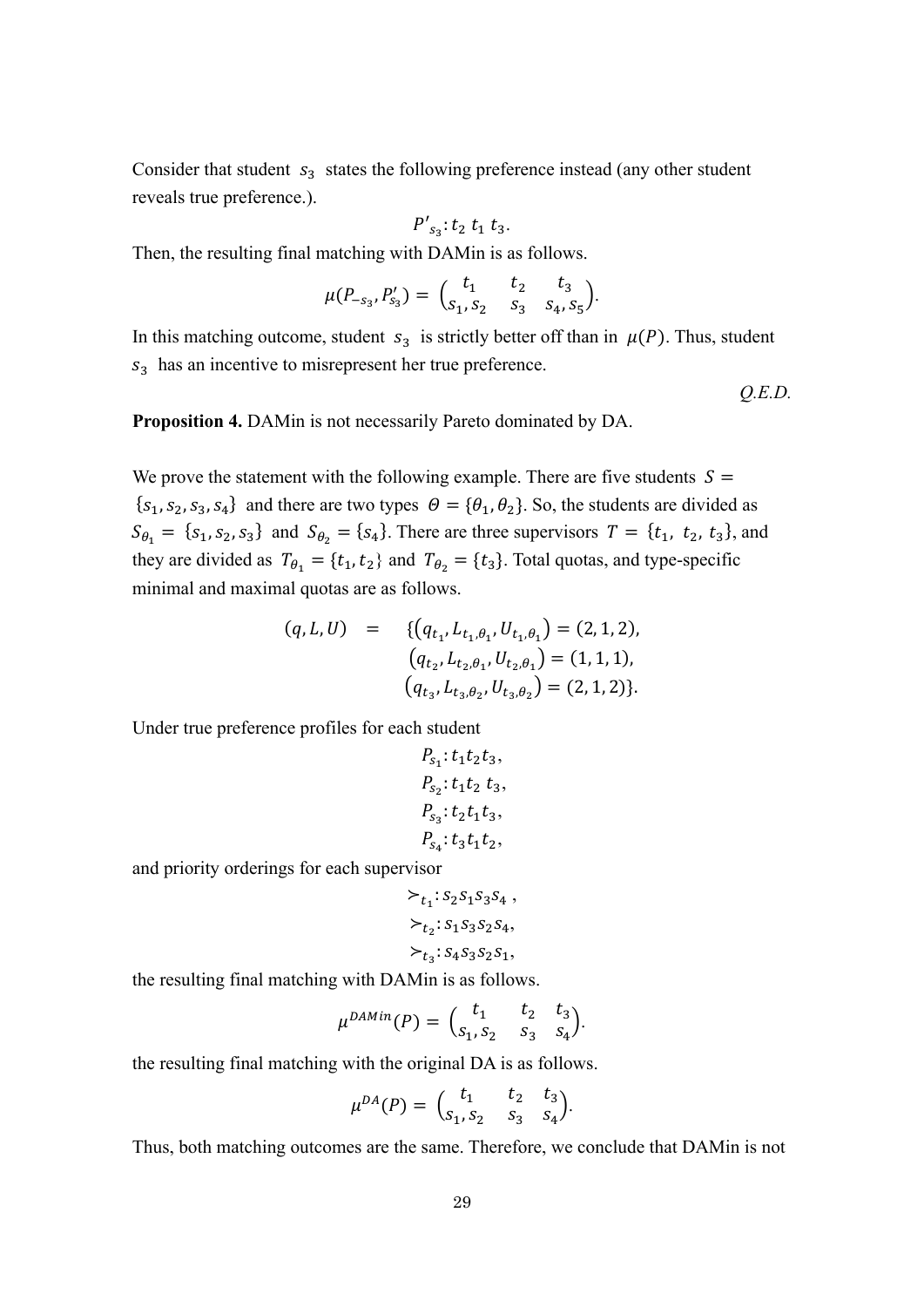Consider that student  $s_3$  states the following preference instead (any other student reveals true preference.).

$$
P{'}_{s_3}: t_2 t_1 t_3.
$$

Then, the resulting final matching with DAMin is as follows.

$$
\mu(P_{-s_3},P'_{s_3})=\binom{t_1}{s_1,s_2}\;\;\frac{t_2}{s_3}\;\;\frac{t_3}{s_4,s_5}.
$$

In this matching outcome, student  $s_3$  is strictly better off than in  $\mu(P)$ . Thus, student  $s_3$  has an incentive to misrepresent her true preference.

*Q.E.D.*

**Proposition 4.** DAMin is not necessarily Pareto dominated by DA.

We prove the statement with the following example. There are five students  $S =$  ${s<sub>1</sub>, s<sub>2</sub>, s<sub>3</sub>, s<sub>4</sub>}$  and there are two types  $\theta = {\theta<sub>1</sub>, \theta<sub>2</sub>}$ . So, the students are divided as  $S_{\theta_1} = \{s_1, s_2, s_3\}$  and  $S_{\theta_2} = \{s_4\}$ . There are three supervisors  $T = \{t_1, t_2, t_3\}$ , and they are divided as  $T_{\theta_1} = \{t_1, t_2\}$  and  $T_{\theta_2} = \{t_3\}$ . Total quotas, and type-specific minimal and maximal quotas are as follows.

$$
(q, L, U) = \{ (q_{t_1}, L_{t_1, \theta_1}, U_{t_1, \theta_1}) = (2, 1, 2),
$$
  
\n
$$
(q_{t_2}, L_{t_2, \theta_1}, U_{t_2, \theta_1}) = (1, 1, 1),
$$
  
\n
$$
(q_{t_3}, L_{t_3, \theta_2}, U_{t_3, \theta_2}) = (2, 1, 2) \}.
$$

Under true preference profiles for each student

$$
P_{s_1}: t_1t_2t_3,
$$
  
\n
$$
P_{s_2}: t_1t_2 t_3,
$$
  
\n
$$
P_{s_3}: t_2t_1t_3,
$$
  
\n
$$
P_{s_4}: t_3t_1t_2,
$$

and priority orderings for each supervisor

$$
\succ_{t_1}: S_2S_1S_3S_4 ,\succ_{t_2}: S_1S_3S_2S_4,\succ_{t_3}: S_4S_3S_2S_1,
$$

the resulting final matching with DAMin is as follows.

$$
\mu^{DAMin}(P) = \begin{pmatrix} t_1 & t_2 & t_3 \\ s_1, s_2 & s_3 & s_4 \end{pmatrix}.
$$

the resulting final matching with the original DA is as follows.

$$
\mu^{DA}(P) = \begin{pmatrix} t_1 & t_2 & t_3 \\ s_1, s_2 & s_3 & s_4 \end{pmatrix}.
$$

Thus, both matching outcomes are the same. Therefore, we conclude that DAMin is not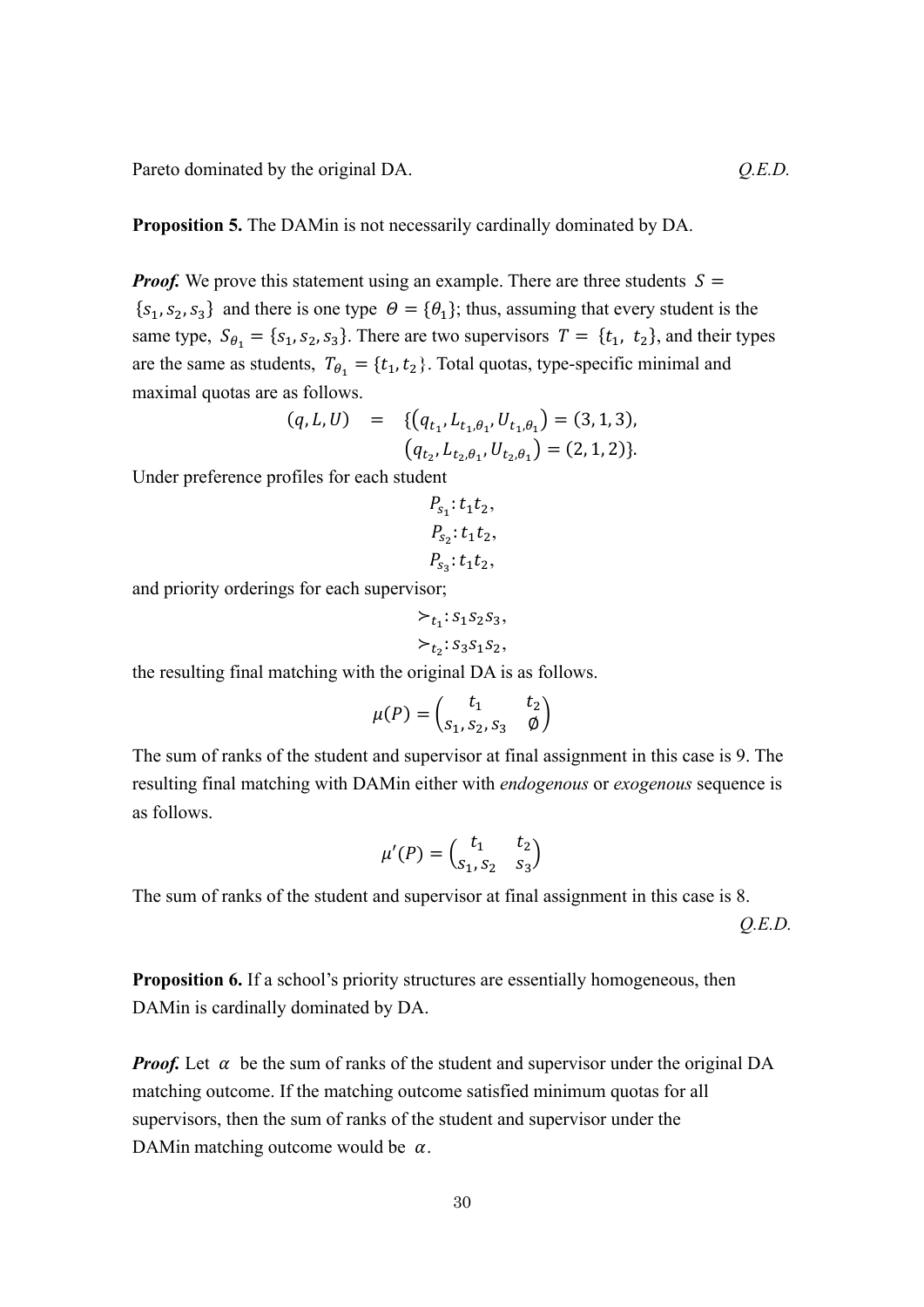Pareto dominated by the original DA.  $Q.E.D.$ 

**Proposition 5.** The DAMin is not necessarily cardinally dominated by DA.

*Proof.* We prove this statement using an example. There are three students  $S =$  ${s<sub>1</sub>, s<sub>2</sub>, s<sub>3</sub>}$  and there is one type  $\theta = {\theta<sub>1</sub>}$ ; thus, assuming that every student is the same type,  $S_{\theta_1} = \{s_1, s_2, s_3\}$ . There are two supervisors  $T = \{t_1, t_2\}$ , and their types are the same as students,  $T_{\theta_1} = \{t_1, t_2\}$ . Total quotas, type-specific minimal and maximal quotas are as follows.

$$
(q, L, U) = \{ (q_{t_1}, L_{t_1, \theta_1}, U_{t_1, \theta_1}) = (3, 1, 3),
$$
  

$$
(q_{t_2}, L_{t_2, \theta_1}, U_{t_2, \theta_1}) = (2, 1, 2) \}.
$$

Under preference profiles for each student

$$
P_{s_1}: t_1t_2,
$$
  

$$
P_{s_2}: t_1t_2,
$$
  

$$
P_{s_3}: t_1t_2,
$$

and priority orderings for each supervisor;

$$
\succ_{t_1}: s_1s_2s_3,
$$
  

$$
\succ_{t_2}: s_3s_1s_2,
$$

the resulting final matching with the original DA is as follows.

$$
\mu(P) = \begin{pmatrix} t_1 & t_2 \\ s_1, s_2, s_3 & \emptyset \end{pmatrix}
$$

The sum of ranks of the student and supervisor at final assignment in this case is 9. The resulting final matching with DAMin either with *endogenous* or *exogenous* sequence is as follows.

$$
\mu'(P) = \begin{pmatrix} t_1 & t_2 \\ s_1, s_2 & s_3 \end{pmatrix}
$$

The sum of ranks of the student and supervisor at final assignment in this case is 8.

*Q.E.D.*

**Proposition 6.** If a school's priority structures are essentially homogeneous, then DAMin is cardinally dominated by DA.

*Proof.* Let  $\alpha$  be the sum of ranks of the student and supervisor under the original DA matching outcome. If the matching outcome satisfied minimum quotas for all supervisors, then the sum of ranks of the student and supervisor under the DAMin matching outcome would be  $\alpha$ .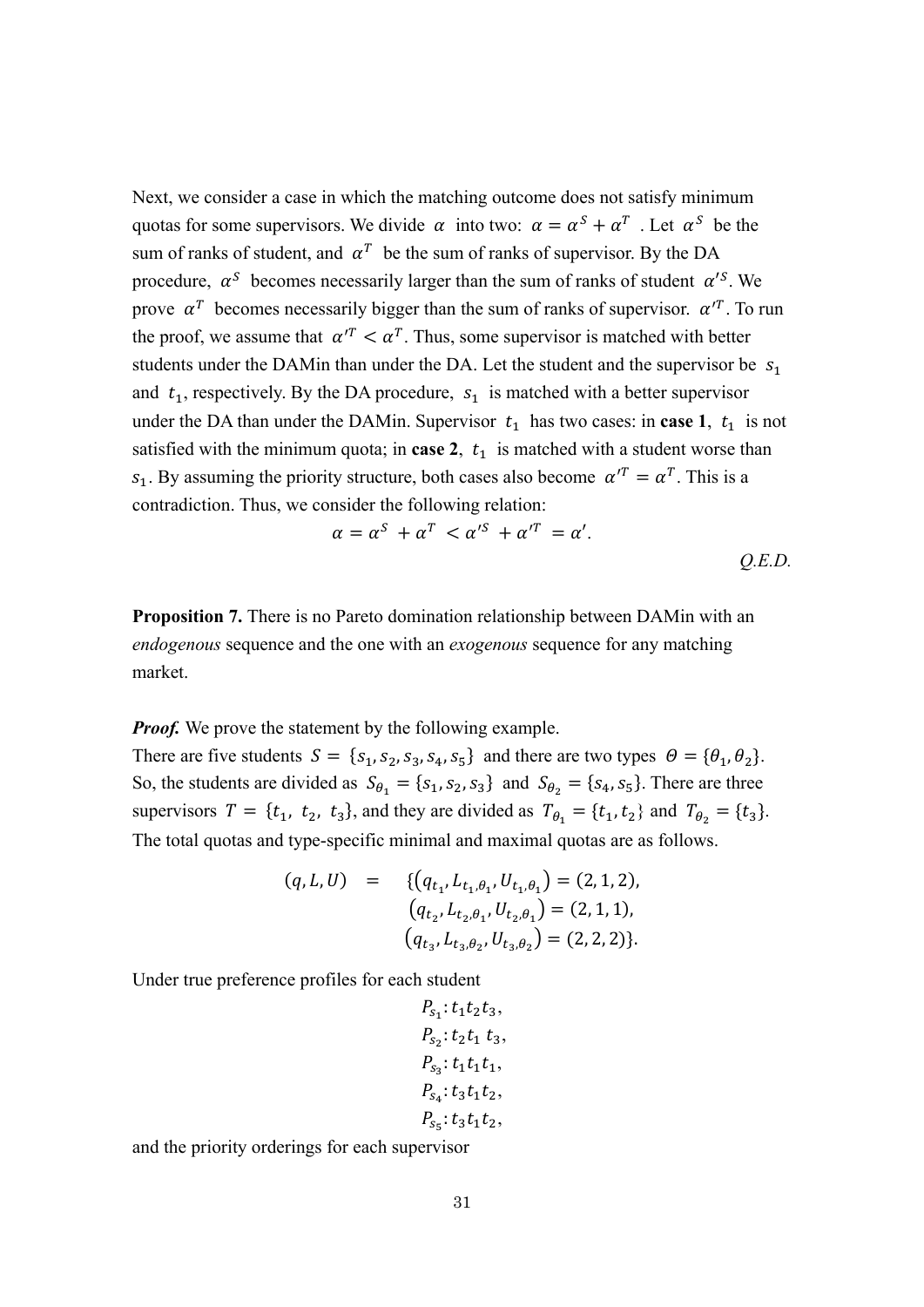Next, we consider a case in which the matching outcome does not satisfy minimum quotas for some supervisors. We divide  $\alpha$  into two:  $\alpha = \alpha^S + \alpha^T$ . Let  $\alpha^S$  be the sum of ranks of student, and  $\alpha^T$  be the sum of ranks of supervisor. By the DA procedure,  $\alpha^s$  becomes necessarily larger than the sum of ranks of student  $\alpha'^s$ . We prove  $\alpha^T$  becomes necessarily bigger than the sum of ranks of supervisor.  $\alpha^{T}$ . To run the proof, we assume that  $\alpha^{T} < \alpha^{T}$ . Thus, some supervisor is matched with better students under the DAMin than under the DA. Let the student and the supervisor be  $S_1$ and  $t_1$ , respectively. By the DA procedure,  $s_1$  is matched with a better supervisor under the DA than under the DAMin. Supervisor  $t_1$  has two cases: in **case 1**,  $t_1$  is not satisfied with the minimum quota; in **case 2**,  $t_1$  is matched with a student worse than  $s_1$ . By assuming the priority structure, both cases also become  $\alpha'^T = \alpha^T$ . This is a contradiction. Thus, we consider the following relation:

$$
\alpha = \alpha^S + \alpha^T < \alpha^{\prime S} + \alpha^{\prime T} = \alpha^{\prime}.
$$
\nQ.E.D.

**Proposition 7.** There is no Pareto domination relationship between DAMin with an *endogenous* sequence and the one with an *exogenous* sequence for any matching market.

*Proof.* We prove the statement by the following example.

There are five students  $S = \{s_1, s_2, s_3, s_4, s_5\}$  and there are two types  $\Theta = \{\theta_1, \theta_2\}.$ So, the students are divided as  $S_{\theta_1} = \{s_1, s_2, s_3\}$  and  $S_{\theta_2} = \{s_4, s_5\}$ . There are three supervisors  $T = \{t_1, t_2, t_3\}$ , and they are divided as  $T_{\theta_1} = \{t_1, t_2\}$  and  $T_{\theta_2} = \{t_3\}$ . The total quotas and type-specific minimal and maximal quotas are as follows.

$$
(q, L, U) = \{ (q_{t_1}, L_{t_1, \theta_1}, U_{t_1, \theta_1}) = (2, 1, 2),
$$
  
\n
$$
(q_{t_2}, L_{t_2, \theta_1}, U_{t_2, \theta_1}) = (2, 1, 1),
$$
  
\n
$$
(q_{t_3}, L_{t_3, \theta_2}, U_{t_3, \theta_2}) = (2, 2, 2) \}.
$$

Under true preference profiles for each student

$$
P_{s_1}: t_1t_2t_3,
$$
  
\n
$$
P_{s_2}: t_2t_1 t_3,
$$
  
\n
$$
P_{s_3}: t_1t_1t_1,
$$
  
\n
$$
P_{s_4}: t_3t_1t_2,
$$
  
\n
$$
P_{s_5}: t_3t_1t_2,
$$

and the priority orderings for each supervisor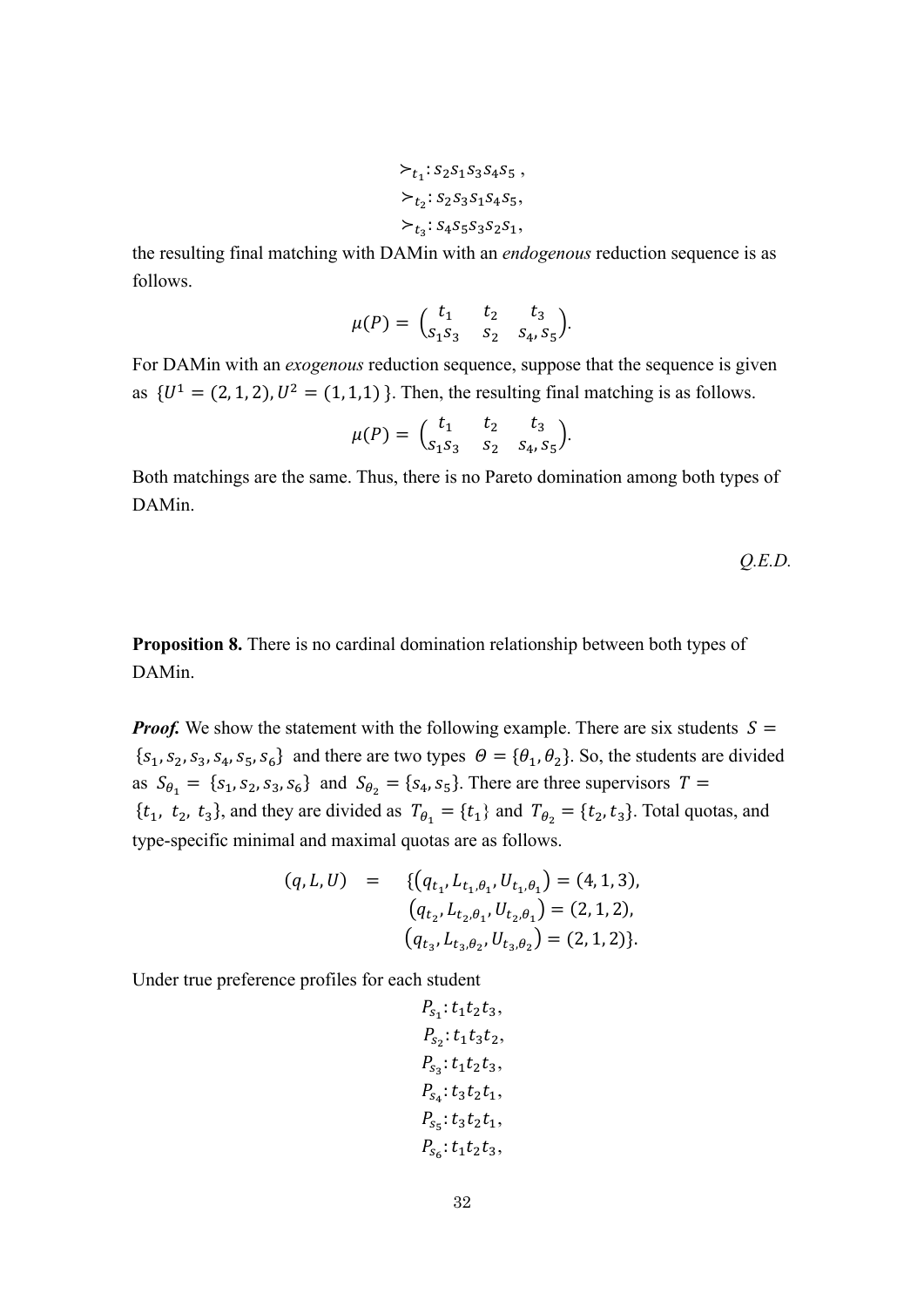$$
\succ_{t_1}: S_2S_1S_3S_4S_5 ,
$$
  
\n
$$
\succ_{t_2}: S_2S_3S_1S_4S_5,
$$
  
\n
$$
\succ_{t_3}: S_4S_5S_3S_2S_1,
$$

the resulting final matching with DAMin with an *endogenous* reduction sequence is as follows.

$$
\mu(P) = \begin{pmatrix} t_1 & t_2 & t_3 \\ s_1 s_3 & s_2 & s_4, s_5 \end{pmatrix}.
$$

For DAMin with an *exogenous* reduction sequence, suppose that the sequence is given as  ${U<sup>1</sup> = (2, 1, 2), U<sup>2</sup> = (1, 1, 1)}$ . Then, the resulting final matching is as follows.

$$
\mu(P) = \begin{pmatrix} t_1 & t_2 & t_3 \\ s_1 s_3 & s_2 & s_4, s_5 \end{pmatrix}.
$$

Both matchings are the same. Thus, there is no Pareto domination among both types of DAMin.

$$
Q.E.D.
$$

**Proposition 8.** There is no cardinal domination relationship between both types of DAMin.

*Proof.* We show the statement with the following example. There are six students  $S =$  ${s<sub>1</sub>, s<sub>2</sub>, s<sub>3</sub>, s<sub>4</sub>, s<sub>5</sub>, s<sub>6</sub>}$  and there are two types  $\theta = {\theta<sub>1</sub>, \theta<sub>2</sub>}$ . So, the students are divided as  $S_{\theta_1} = \{s_1, s_2, s_3, s_6\}$  and  $S_{\theta_2} = \{s_4, s_5\}$ . There are three supervisors  $T =$  $\{t_1, t_2, t_3\}$ , and they are divided as  $T_{\theta_1} = \{t_1\}$  and  $T_{\theta_2} = \{t_2, t_3\}$ . Total quotas, and type-specific minimal and maximal quotas are as follows.

$$
(q, L, U) = \{ (q_{t_1}, L_{t_1, \theta_1}, U_{t_1, \theta_1}) = (4, 1, 3),
$$
  
\n
$$
(q_{t_2}, L_{t_2, \theta_1}, U_{t_2, \theta_1}) = (2, 1, 2),
$$
  
\n
$$
(q_{t_3}, L_{t_3, \theta_2}, U_{t_3, \theta_2}) = (2, 1, 2) \}.
$$

$$
P_{s_1}: t_1t_2t_3,
$$
  
\n
$$
P_{s_2}: t_1t_3t_2,
$$
  
\n
$$
P_{s_3}: t_1t_2t_3,
$$
  
\n
$$
P_{s_4}: t_3t_2t_1,
$$
  
\n
$$
P_{s_5}: t_3t_2t_1,
$$
  
\n
$$
P_{s_6}: t_1t_2t_3,
$$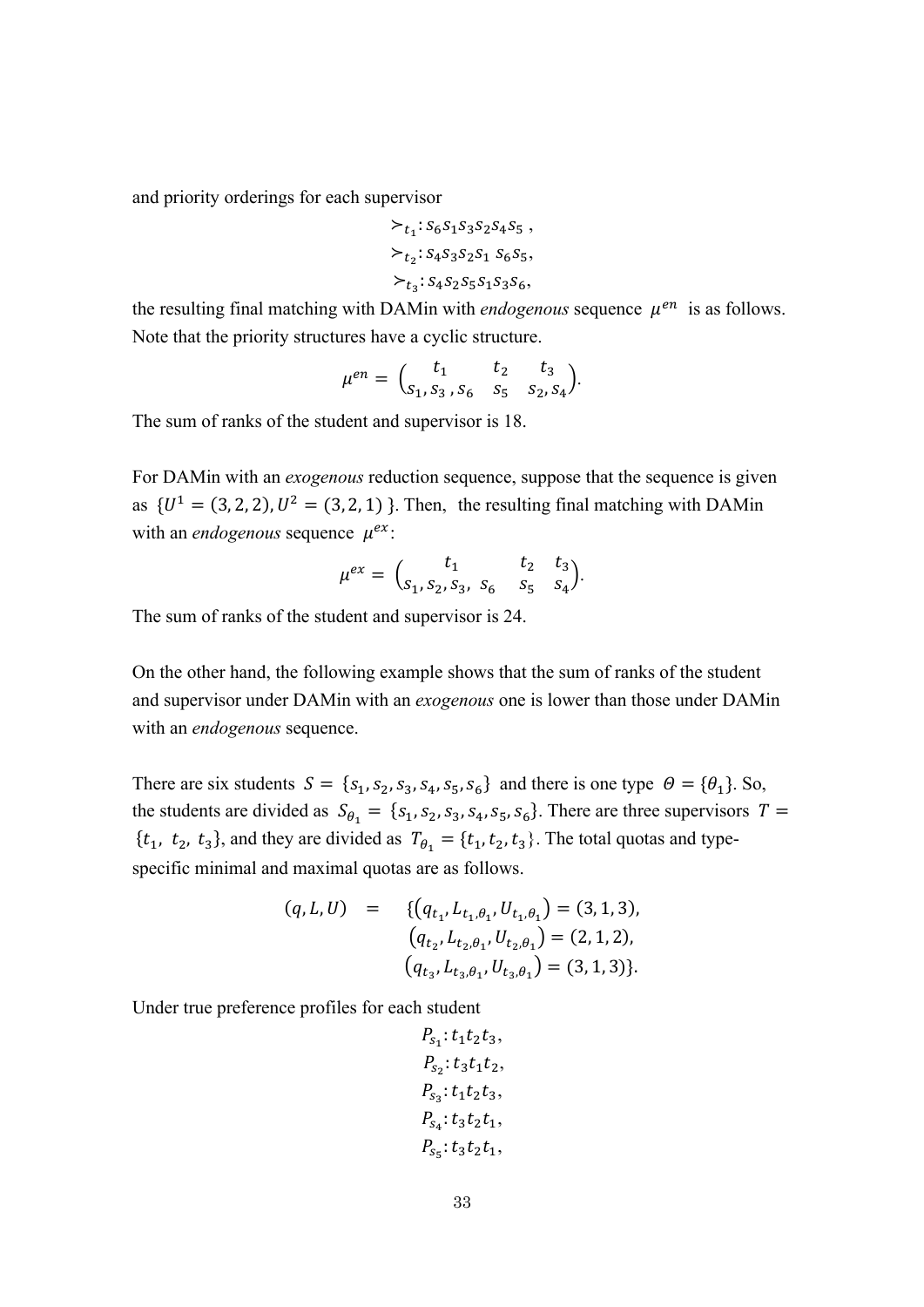$$
\begin{aligned} &\succ_{t_1}:s_6s_1s_3s_2s_4s_5\,,\\ &\succ_{t_2}:s_4s_3s_2s_1\ s_6s_5,\\ &\succ_{t_3}:s_4s_2s_5s_1s_3s_6, \end{aligned}
$$

the resulting final matching with DAMin with *endogenous* sequence  $\mu^{en}$  is as follows. Note that the priority structures have a cyclic structure.

$$
\mu^{en} = \begin{pmatrix} t_1 & t_2 & t_3 \\ s_1, s_3, s_6 & s_5 & s_2, s_4 \end{pmatrix}.
$$

The sum of ranks of the student and supervisor is 18.

For DAMin with an *exogenous* reduction sequence, suppose that the sequence is given as  ${U^1 = (3, 2, 2), U^2 = (3, 2, 1)}$ . Then, the resulting final matching with DAMin with an *endogenous* sequence  $\mu^{ex}$ .

$$
\mu^{ex} = \begin{pmatrix} t_1 & t_2 & t_3 \\ s_1, s_2, s_3, s_6 & s_5 & s_4 \end{pmatrix}.
$$

The sum of ranks of the student and supervisor is 24.

On the other hand, the following example shows that the sum of ranks of the student and supervisor under DAMin with an *exogenous* one is lower than those under DAMin with an *endogenous* sequence.

There are six students  $S = \{s_1, s_2, s_3, s_4, s_5, s_6\}$  and there is one type  $\Theta = \{\theta_1\}$ . So, the students are divided as  $S_{\theta_1} = \{s_1, s_2, s_3, s_4, s_5, s_6\}$ . There are three supervisors  $T =$  $\{t_1, t_2, t_3\}$ , and they are divided as  $T_{\theta_1} = \{t_1, t_2, t_3\}$ . The total quotas and typespecific minimal and maximal quotas are as follows.

$$
(q, L, U) = \{ (q_{t_1}, L_{t_1, \theta_1}, U_{t_1, \theta_1}) = (3, 1, 3),
$$
  
\n
$$
(q_{t_2}, L_{t_2, \theta_1}, U_{t_2, \theta_1}) = (2, 1, 2),
$$
  
\n
$$
(q_{t_3}, L_{t_3, \theta_1}, U_{t_3, \theta_1}) = (3, 1, 3) \}.
$$

$$
P_{s_1}: t_1t_2t_3,
$$
  
\n
$$
P_{s_2}: t_3t_1t_2,
$$
  
\n
$$
P_{s_3}: t_1t_2t_3,
$$
  
\n
$$
P_{s_4}: t_3t_2t_1,
$$
  
\n
$$
P_{s_5}: t_3t_2t_1,
$$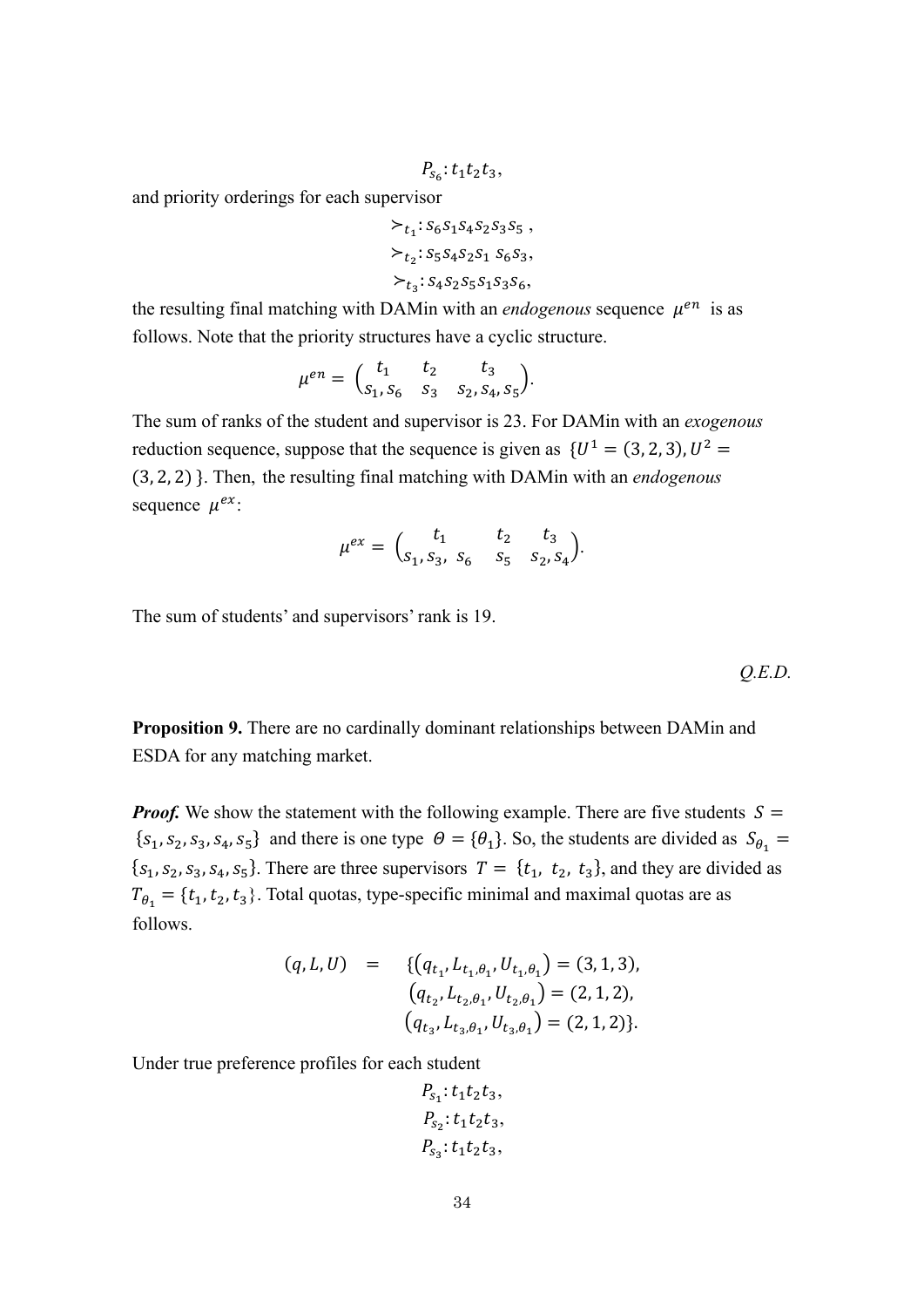$$
P_{s_6}:t_1t_2t_3,
$$

$$
\begin{aligned} &\succ_{t_1}: s_6 s_1 s_4 s_2 s_3 s_5 \,, \\ &\succ_{t_2}: s_5 s_4 s_2 s_1 \ s_6 s_3, \\ &\succ_{t_3}: s_4 s_2 s_5 s_1 s_3 s_6, \end{aligned}
$$

the resulting final matching with DAMin with an *endogenous* sequence  $\mu^{en}$  is as follows. Note that the priority structures have a cyclic structure.

$$
\mu^{en} = \begin{pmatrix} t_1 & t_2 & t_3 \\ s_1, s_6 & s_3 & s_2, s_4, s_5 \end{pmatrix}.
$$

The sum of ranks of the student and supervisor is 23. For DAMin with an *exogenous* reduction sequence, suppose that the sequence is given as  ${U^1 = (3, 2, 3), U^2 =}$ (3, 2, 2) }. Then, the resulting final matching with DAMin with an *endogenous*  sequence  $\mu^{ex}$ :

$$
\mu^{ex} = \begin{pmatrix} t_1 & t_2 & t_3 \\ s_1, s_3, s_6 & s_5 & s_2, s_4 \end{pmatrix}.
$$

The sum of students' and supervisors' rank is 19.

*Q.E.D.*

**Proposition 9.** There are no cardinally dominant relationships between DAMin and ESDA for any matching market.

*Proof.* We show the statement with the following example. There are five students  $S =$  ${s_1, s_2, s_3, s_4, s_5}$  and there is one type  $\theta = {\theta_1}$ . So, the students are divided as  $S_{\theta_1}$  ${s<sub>1</sub>, s<sub>2</sub>, s<sub>3</sub>, s<sub>4</sub>, s<sub>5</sub>}$ . There are three supervisors  $T = {t<sub>1</sub>, t<sub>2</sub>, t<sub>3</sub>}$ , and they are divided as  $T_{\theta_1} = \{t_1, t_2, t_3\}$ . Total quotas, type-specific minimal and maximal quotas are as follows.

$$
(q, L, U) = \{ (q_{t_1}, L_{t_1, \theta_1}, U_{t_1, \theta_1}) = (3, 1, 3),
$$
  
\n
$$
(q_{t_2}, L_{t_2, \theta_1}, U_{t_2, \theta_1}) = (2, 1, 2),
$$
  
\n
$$
(q_{t_3}, L_{t_3, \theta_1}, U_{t_3, \theta_1}) = (2, 1, 2) \}.
$$

$$
P_{s_1}: t_1t_2t_3,
$$
  
\n
$$
P_{s_2}: t_1t_2t_3,
$$
  
\n
$$
P_{s_3}: t_1t_2t_3,
$$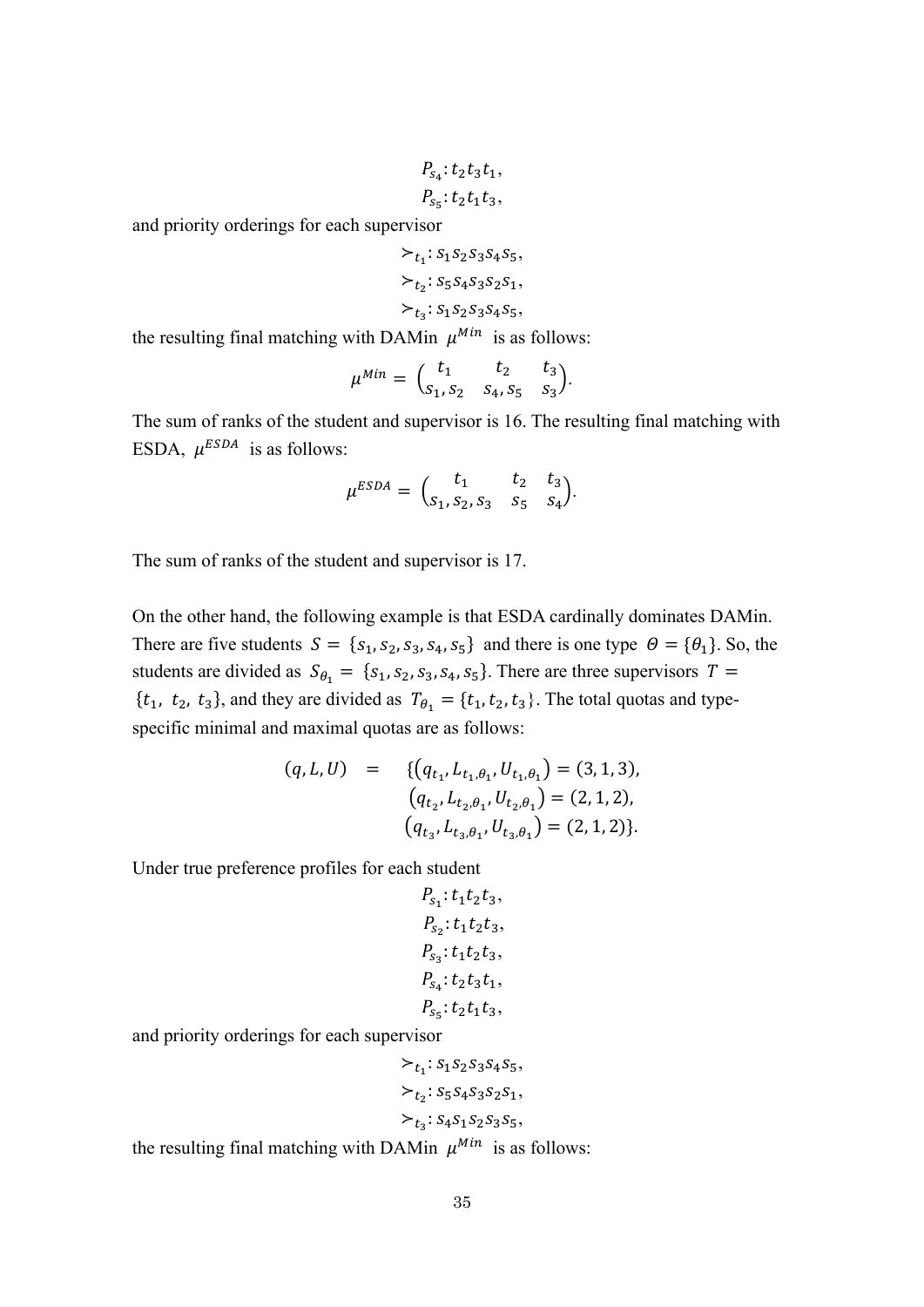$$
P_{s_4}: t_2t_3t_1,
$$
  

$$
P_{s_5}: t_2t_1t_3,
$$

$$
\succ_{t_1}: s_1 s_2 s_3 s_4 s_5,
$$
  
\n
$$
\succ_{t_2}: s_5 s_4 s_3 s_2 s_1,
$$
  
\n
$$
\succ_{t_3}: s_1 s_2 s_3 s_4 s_5,
$$

the resulting final matching with DAMin  $\mu^{Min}$  is as follows:

$$
\mu^{Min} = \begin{pmatrix} t_1 & t_2 & t_3 \\ s_1, s_2 & s_4, s_5 & s_3 \end{pmatrix}.
$$

The sum of ranks of the student and supervisor is 16. The resulting final matching with ESDA,  $\mu^{ESDA}$  is as follows:

$$
\mu^{ESDA} = \begin{pmatrix} t_1 & t_2 & t_3 \\ s_1, s_2, s_3 & s_5 & s_4 \end{pmatrix}.
$$

The sum of ranks of the student and supervisor is 17.

On the other hand, the following example is that ESDA cardinally dominates DAMin. There are five students  $S = \{s_1, s_2, s_3, s_4, s_5\}$  and there is one type  $\Theta = \{\theta_1\}$ . So, the students are divided as  $S_{\theta_1} = \{s_1, s_2, s_3, s_4, s_5\}$ . There are three supervisors  $T =$  $\{t_1, t_2, t_3\}$ , and they are divided as  $T_{\theta_1} = \{t_1, t_2, t_3\}$ . The total quotas and typespecific minimal and maximal quotas are as follows:

$$
(q, L, U) = \{ (q_{t_1}, L_{t_1, \theta_1}, U_{t_1, \theta_1}) = (3, 1, 3),
$$
  
\n
$$
(q_{t_2}, L_{t_2, \theta_1}, U_{t_2, \theta_1}) = (2, 1, 2),
$$
  
\n
$$
(q_{t_3}, L_{t_3, \theta_1}, U_{t_3, \theta_1}) = (2, 1, 2) \}.
$$

Under true preference profiles for each student

$$
P_{s_1}: t_1t_2t_3,
$$
  
\n
$$
P_{s_2}: t_1t_2t_3,
$$
  
\n
$$
P_{s_3}: t_1t_2t_3,
$$
  
\n
$$
P_{s_4}: t_2t_3t_1,
$$
  
\n
$$
P_{s_5}: t_2t_1t_3,
$$

and priority orderings for each supervisor

$$
\succ_{t_1}: s_1 s_2 s_3 s_4 s_5,
$$
  
\n
$$
\succ_{t_2}: s_5 s_4 s_3 s_2 s_1,
$$
  
\n
$$
\succ_{t_3}: s_4 s_1 s_2 s_3 s_5,
$$

the resulting final matching with DAMin  $\mu^{Min}$  is as follows: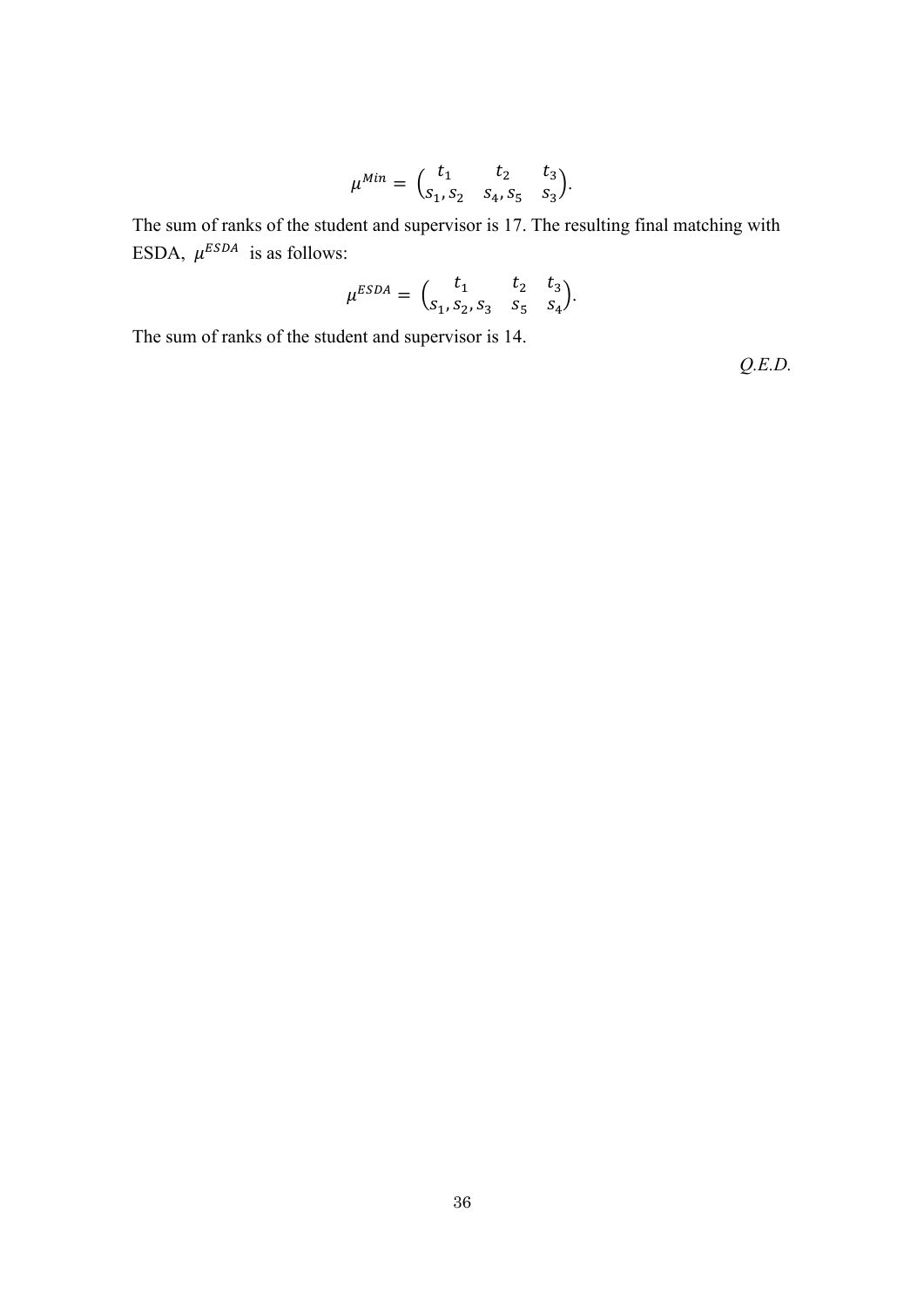$$
\mu^{Min} = \begin{pmatrix} t_1 & t_2 & t_3 \\ s_1, s_2 & s_4, s_5 & s_3 \end{pmatrix}.
$$

The sum of ranks of the student and supervisor is 17. The resulting final matching with ESDA,  $\mu^{ESDA}$  is as follows:

$$
\mu^{ESDA} = \begin{pmatrix} t_1 & t_2 & t_3 \\ s_1, s_2, s_3 & s_5 & s_4 \end{pmatrix}.
$$

The sum of ranks of the student and supervisor is 14.

*Q.E.D.*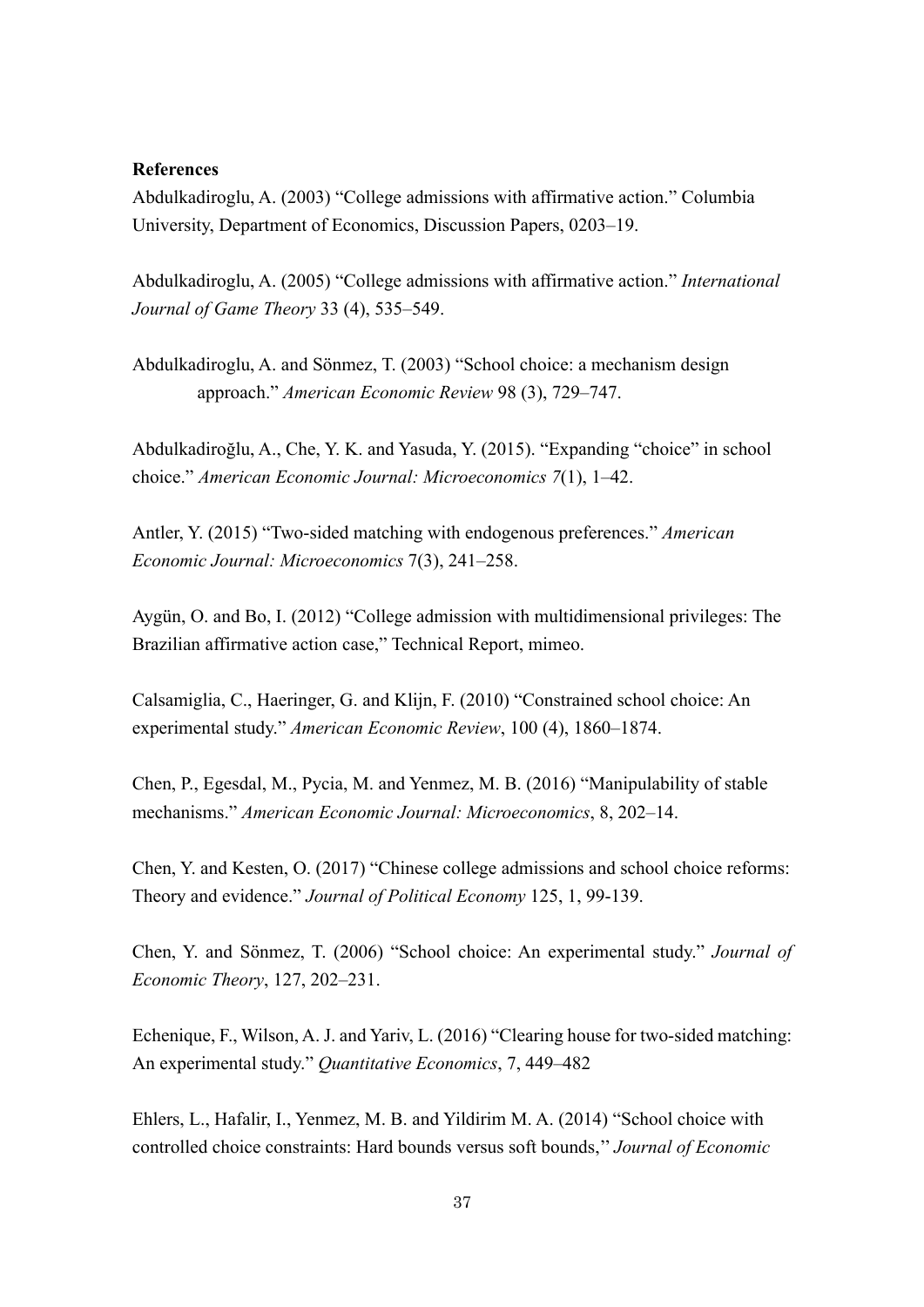#### **References**

Abdulkadiroglu, A. (2003) "College admissions with affirmative action." Columbia University, Department of Economics, Discussion Papers, 0203–19.

Abdulkadiroglu, A. (2005) "College admissions with affirmative action." *International Journal of Game Theory* 33 (4), 535–549.

Abdulkadiroglu, A. and Sönmez, T. (2003) "School choice: a mechanism design approach." *American Economic Review* 98 (3), 729–747.

Abdulkadiroğlu, A., Che, Y. K. and Yasuda, Y. (2015). "Expanding "choice" in school choice." *American Economic Journal: Microeconomics 7*(1), 1–42.

Antler, Y. (2015) "Two-sided matching with endogenous preferences." *American Economic Journal: Microeconomics* 7(3), 241–258.

Aygün, O. and Bo, I. (2012) "College admission with multidimensional privileges: The Brazilian affirmative action case," Technical Report, mimeo.

Calsamiglia, C., Haeringer, G. and Klijn, F. (2010) "Constrained school choice: An experimental study." *American Economic Review*, 100 (4), 1860–1874.

Chen, P., Egesdal, M., Pycia, M. and Yenmez, M. B. (2016) "Manipulability of stable mechanisms." *American Economic Journal: Microeconomics*, 8, 202–14.

Chen, Y. and Kesten, O. (2017) "Chinese college admissions and school choice reforms: Theory and evidence." *Journal of Political Economy* 125, 1, 99-139.

Chen, Y. and Sönmez, T. (2006) "School choice: An experimental study." *Journal of Economic Theory*, 127, 202–231.

Echenique, F., Wilson, A. J. and Yariv, L. (2016) "Clearing house for two-sided matching: An experimental study." *Quantitative Economics*, 7, 449–482

Ehlers, L., Hafalir, I., Yenmez, M. B. and Yildirim M. A. (2014) "School choice with controlled choice constraints: Hard bounds versus soft bounds,'' *Journal of Economic*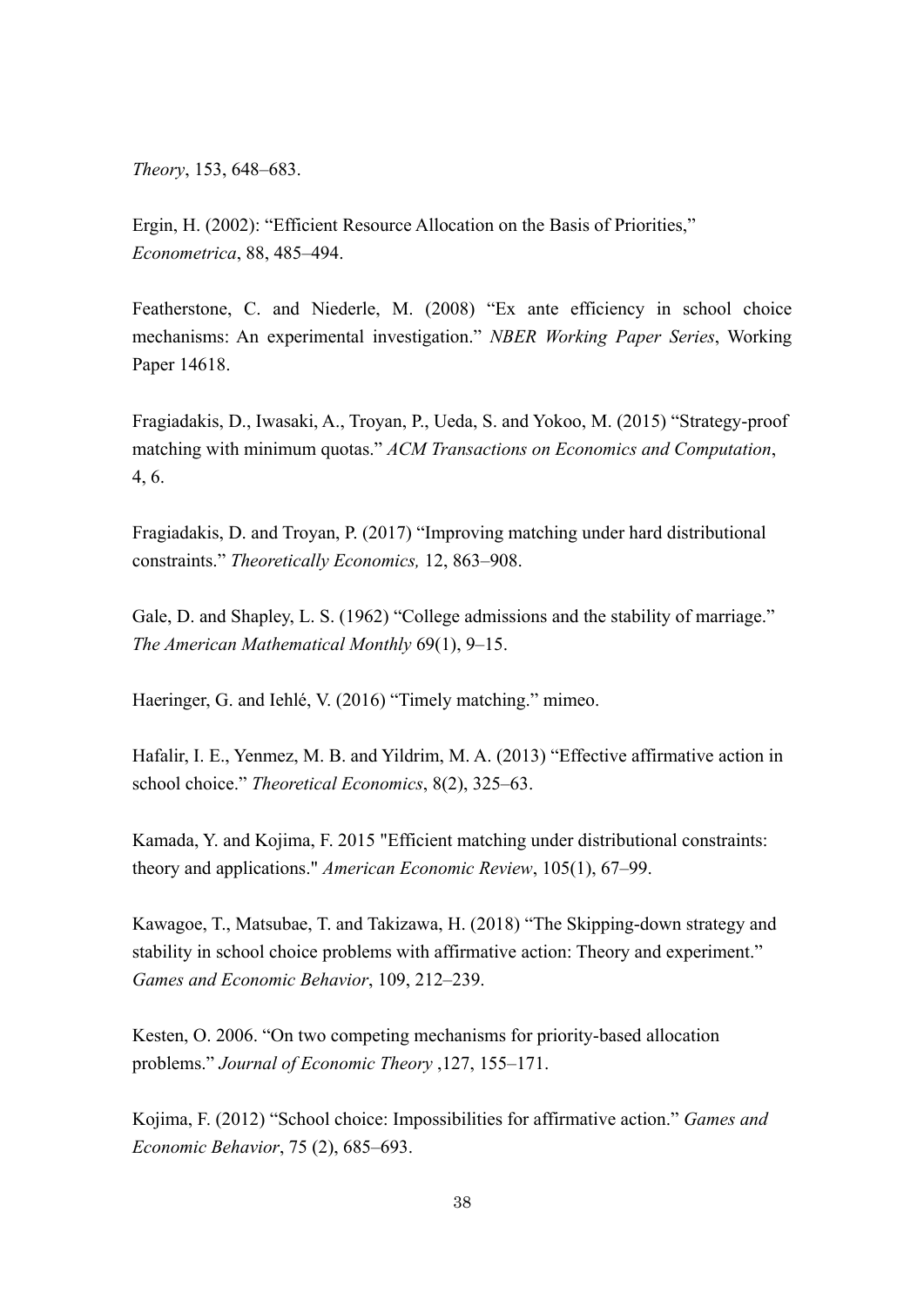*Theory*, 153, 648–683.

Ergin, H. (2002): "Efficient Resource Allocation on the Basis of Priorities," *Econometrica*, 88, 485–494.

Featherstone, C. and Niederle, M. (2008) "Ex ante efficiency in school choice mechanisms: An experimental investigation." *NBER Working Paper Series*, Working Paper 14618.

Fragiadakis, D., Iwasaki, A., Troyan, P., Ueda, S. and Yokoo, M. (2015) "Strategy-proof matching with minimum quotas." *ACM Transactions on Economics and Computation*, 4, 6.

Fragiadakis, D. and Troyan, P. (2017) "Improving matching under hard distributional constraints." *Theoretically Economics,* 12, 863–908.

Gale, D. and Shapley, L. S. (1962) "College admissions and the stability of marriage." *The American Mathematical Monthly* 69(1), 9–15.

Haeringer, G. and Iehlé, V. (2016) "Timely matching." mimeo.

Hafalir, I. E., Yenmez, M. B. and Yildrim, M. A. (2013) "Effective affirmative action in school choice." *Theoretical Economics*, 8(2), 325–63.

Kamada, Y. and Kojima, F. 2015 "Efficient matching under distributional constraints: theory and applications." *American Economic Review*, 105(1), 67–99.

Kawagoe, T., Matsubae, T. and Takizawa, H. (2018) "The Skipping-down strategy and stability in school choice problems with affirmative action: Theory and experiment." *Games and Economic Behavior*, 109, 212–239.

Kesten, O. 2006. "On two competing mechanisms for priority-based allocation problems." *Journal of Economic Theory* ,127, 155–171.

Kojima, F. (2012) "School choice: Impossibilities for affirmative action." *Games and Economic Behavior*, 75 (2), 685–693.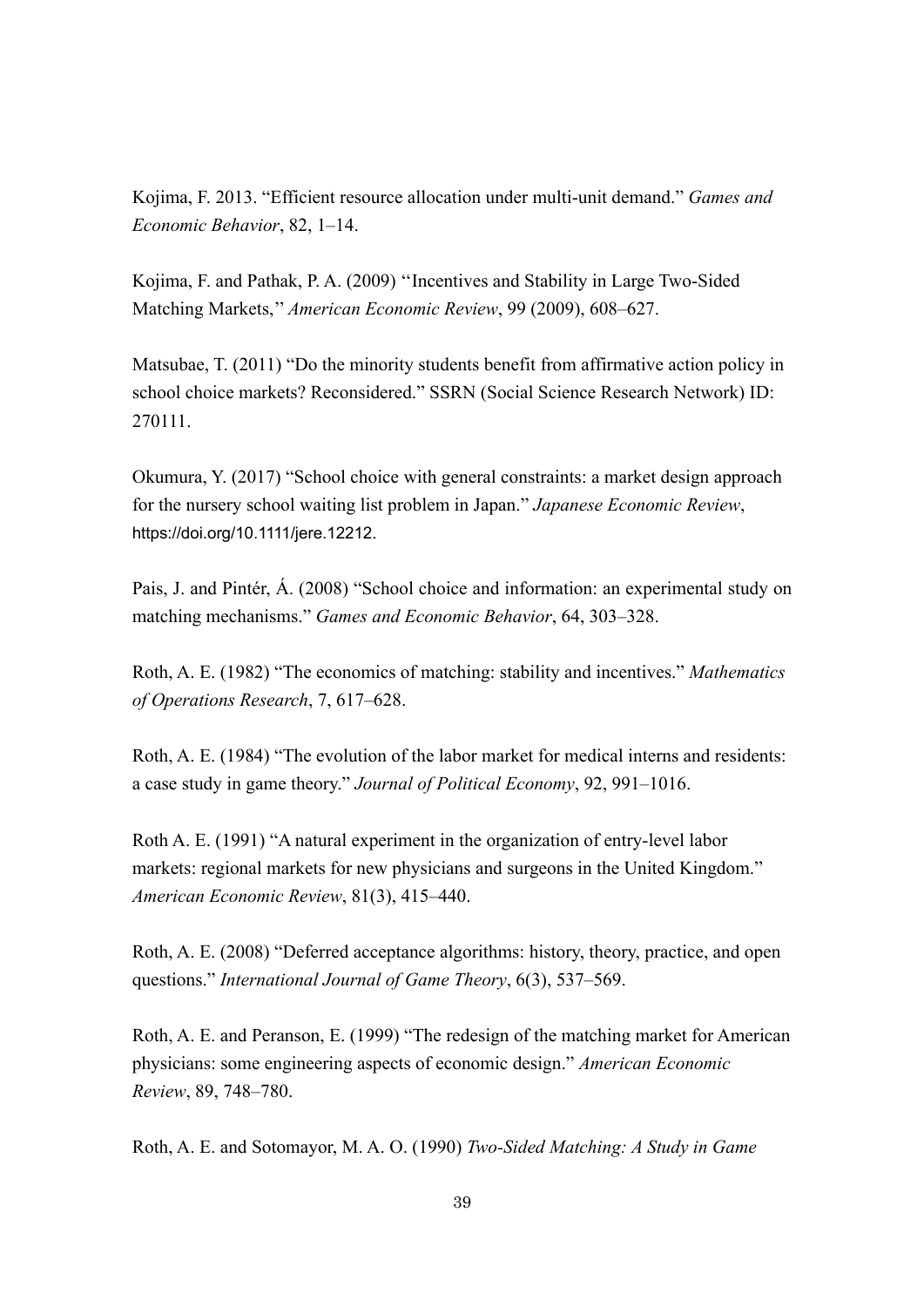Kojima, F. 2013. "Efficient resource allocation under multi-unit demand." *Games and Economic Behavior*, 82, 1–14.

Kojima, F. and Pathak, P. A. (2009) ''Incentives and Stability in Large Two-Sided Matching Markets,'' *American Economic Review*, 99 (2009), 608–627.

Matsubae, T. (2011) "Do the minority students benefit from affirmative action policy in school choice markets? Reconsidered." SSRN (Social Science Research Network) ID: 270111.

Okumura, Y. (2017) "School choice with general constraints: a market design approach for the nursery school waiting list problem in Japan." *Japanese Economic Review*, https://doi.org/10.1111/jere.12212.

Pais, J. and Pintér, Á. (2008) "School choice and information: an experimental study on matching mechanisms." *Games and Economic Behavior*, 64, 303–328.

Roth, A. E. (1982) "The economics of matching: stability and incentives." *Mathematics of Operations Research*, 7, 617–628.

Roth, A. E. (1984) "The evolution of the labor market for medical interns and residents: a case study in game theory." *Journal of Political Economy*, 92, 991–1016.

Roth A. E. (1991) "A natural experiment in the organization of entry-level labor markets: regional markets for new physicians and surgeons in the United Kingdom." *American Economic Review*, 81(3), 415–440.

Roth, A. E. (2008) "Deferred acceptance algorithms: history, theory, practice, and open questions." *International Journal of Game Theory*, 6(3), 537–569.

Roth, A. E. and Peranson, E. (1999) "The redesign of the matching market for American physicians: some engineering aspects of economic design." *American Economic Review*, 89, 748–780.

Roth, A. E. and Sotomayor, M. A. O. (1990) *Two-Sided Matching: A Study in Game*